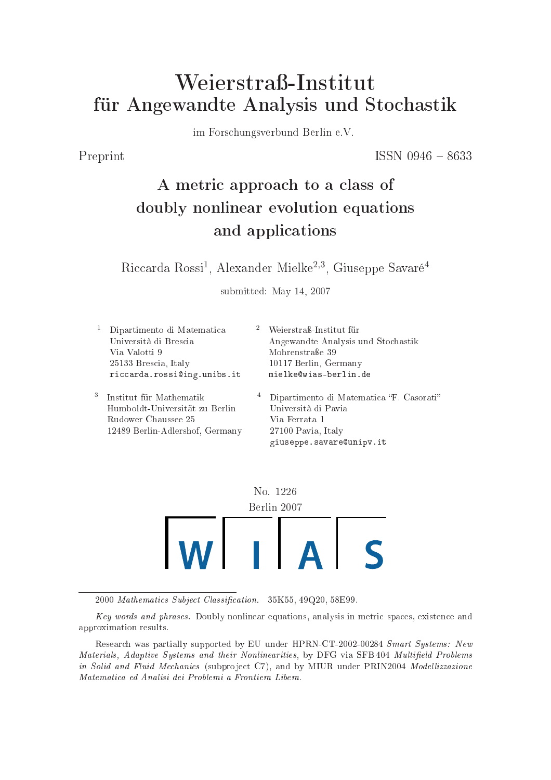# Weierstraß-Institut für Angewandte Analysis und Sto
hastik

im Fors
hungsverbund Berlin e.V.

Preprint ISSN 0946 - 8633

# A metri approa
h to <sup>a</sup> lass of doubly nonlinear evolution equations and appli
ations

Riccarda Rossi<sup>1</sup>, Alexander Mielke<sup>2,3</sup>, Giuseppe Savaré<sup>4</sup>

submitted: May 14, 2007

1 Dipartimento di Matemati
a Università di Bres
ia Via Valotti 9 25133 Bres
ia, Italy ri

arda.rossiing.unibs.it <sup>2</sup> Weierstraß-Institut für Angewandte Analysis und Sto
hastik Mohrenstraÿe 39 10117 Berlin, Germany merentah menunjuk mengenakan dan menangkan dan menjadi kecamatan dan menjadi berlindasi dan menjadi berlindas 3 Institut für Mathematik Humboldt-Universität zu Berlin Rudower Chaussee 25 12489 Berlin-Adlershof, Germany <sup>4</sup> Dipartimento di Matematica "F. Casorati" Università di Pavia Via Ferrata 1 27100 Pavia, Italy



giuse eppe. savareunipp. . . . . .

2000 Mathematics Subject Classification. 35K55, 49Q20, 58E99.

Key words and phrases. Doubly nonlinear equations, analysis in metric spaces, existence and approximation results.

Research was partially supported by EU under HPRN-CT-2002-00284 Smart Systems: New Materials, Adaptive Systems and their Nonlinearities, by DFG via SFB 404 Multifield Problems in Solid and Fluid Mechanics (subproject C7), and by MIUR under PRIN2004 Modellizzazione Matemati
a ed Analisi dei Problemi <sup>a</sup> Frontiera Libera.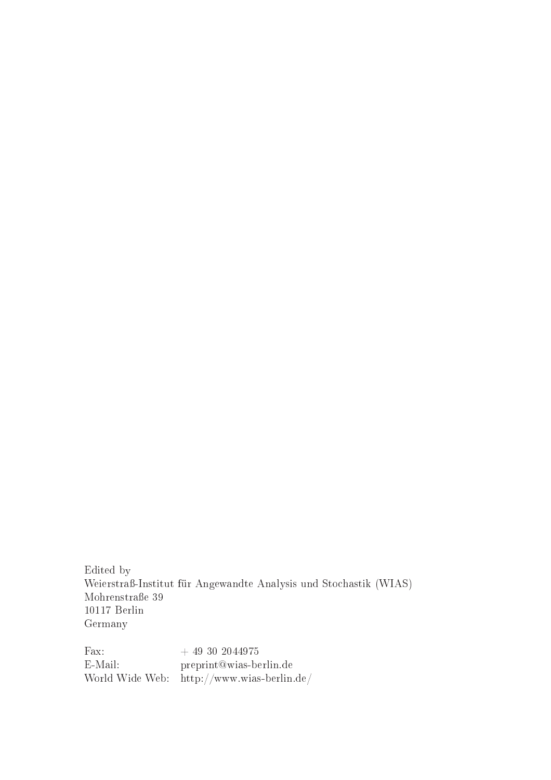Edited by Weierstraÿ-Institut für Angewandte Analysis und Sto
hastik (WIAS) Mohrenstraße 39 10117 Berlin Germany

Fax:  $+ 49302044975$ E-Mail: preprint@wias-berlin.de World Wide Web: $\;$ http://www.wias-berlin.de/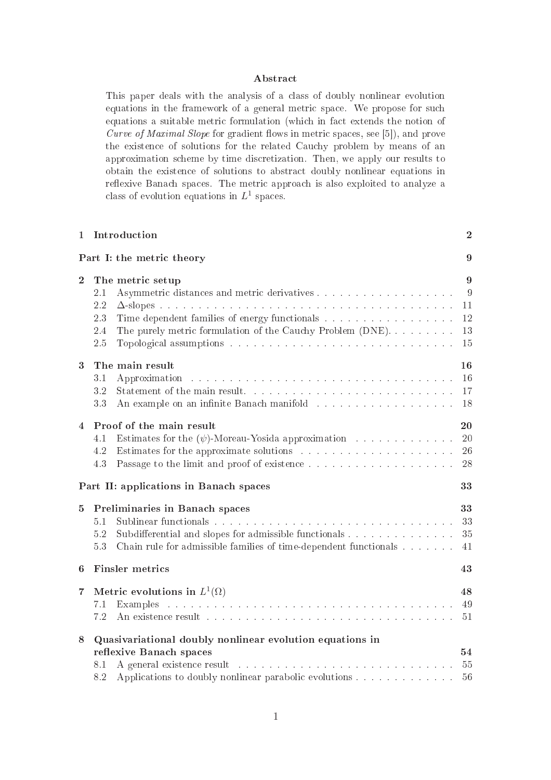### **Abstract**

This paper deals with the analysis of a class of doubly nonlinear evolution equations in the framework of a general metric space. We propose for such equations a suitable metric formulation (which in fact extends the notion of Curve of Maximal Slope for gradient flows in metric spaces, see  $[5]$ , and prove the existence of solutions for the related Cauchy problem by means of an approximation s
heme by time dis
retization. Then, we apply our results to obtain the existen
e of solutions to abstra
t doubly nonlinear equations in reflexive Banach spaces. The metric approach is also exploited to analyze a class of evolution equations in  $L^1$  spaces.

|                  | 1 Introduction                                                          | $\overline{2}$ |
|------------------|-------------------------------------------------------------------------|----------------|
|                  | Part I: the metric theory                                               | 9              |
| $\overline{2}$   | The metric setup                                                        | 9              |
|                  | 2.1                                                                     | 9              |
|                  | 2.2                                                                     | 11             |
|                  | Time dependent families of energy functionals<br>2.3                    | 12             |
|                  | 2.4<br>The purely metric formulation of the Cauchy Problem (DNE)        | 13             |
|                  | 2.5                                                                     | 15             |
| $\boldsymbol{3}$ | The main result                                                         | 16             |
|                  | 3.1                                                                     | 16             |
|                  | 3.2                                                                     | 17             |
|                  | 3.3                                                                     | 18             |
| $\overline{4}$   | Proof of the main result                                                | 20             |
|                  | Estimates for the $(\psi)$ -Moreau-Yosida approximation<br>4.1          | 20             |
|                  | 4.2                                                                     | 26             |
|                  | 4.3                                                                     | 28             |
|                  | Part II: applications in Banach spaces                                  | 33             |
| $5^{\circ}$      | Preliminaries in Banach spaces                                          | 33             |
|                  | 5.1                                                                     | 33             |
|                  | Subdifferential and slopes for admissible functionals<br>5.2            | 35             |
|                  | Chain rule for admissible families of time-dependent functionals<br>5.3 | 41             |
| 6                | <b>Finsler</b> metrics                                                  | 43             |
| 7                | Metric evolutions in $L^1(\Omega)$                                      | 48             |
|                  | 7.1                                                                     | 49             |
|                  | 7.2                                                                     | 51             |
| $8\phantom{1}$   | Quasivariational doubly nonlinear evolution equations in                |                |
|                  | reflexive Banach spaces                                                 | 54             |
|                  | 8.1                                                                     | 55             |
|                  | Applications to doubly nonlinear parabolic evolutions<br>8.2            | 56             |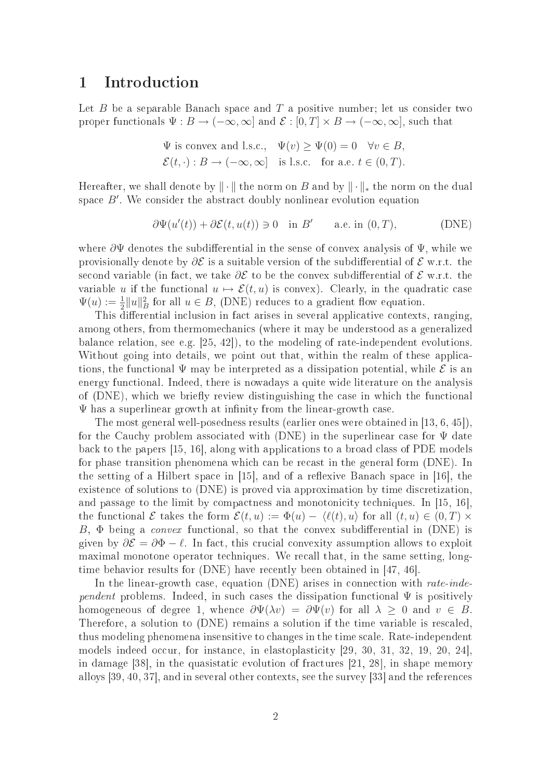## 1 Introduction

Let  $B$  be a separable Banach space and  $T$  a positive number; let us consider two proper functionals  $\Psi : B \to (-\infty, \infty]$  and  $\mathcal{E} : [0, T] \times B \to (-\infty, \infty]$ , such that

$$
\Psi
$$
 is convex and l.s.c.,  $\Psi(v) \ge \Psi(0) = 0 \quad \forall v \in B$ ,  
 $\mathcal{E}(t, \cdot) : B \to (-\infty, \infty]$  is l.s.c. for a.e.  $t \in (0, T)$ .

Hereafter, we shall denote by  $\|\cdot\|$  the norm on B and by  $\|\cdot\|_*$  the norm on the dual space B'. We consider the abstract doubly nonlinear evolution equation

$$
\partial \Psi(u'(t)) + \partial \mathcal{E}(t, u(t)) \ni 0 \quad \text{in } B' \qquad \text{a.e. in } (0, T), \tag{DNE}
$$

where  $\partial \Psi$  denotes the subdifferential in the sense of convex analysis of  $\Psi$ , while we provisionally denote by  $\partial \mathcal{E}$  is a suitable version of the subdifferential of  $\mathcal{E}$  w.r.t. the second variable (in fact, we take  $\partial \mathcal{E}$  to be the convex subdifferential of  $\mathcal{E}$  w.r.t. the variable u if the functional  $u \mapsto \mathcal{E}(t, u)$  is convex). Clearly, in the quadratic case  $\Psi(u) := \frac{1}{2} ||u||_B^2$  for all  $u \in B$ , (DNE) reduces to a gradient flow equation.

This differential inclusion in fact arises in several applicative contexts, ranging, among others, from thermome
hani
s (where it may be understood as a generalized balance relation, see e.g. [25, 42]), to the modeling of rate-independent evolutions. Without going into details, we point out that, within the realm of these applications, the functional  $\Psi$  may be interpreted as a dissipation potential, while  $\mathcal E$  is an energy functional. Indeed, there is nowadays a quite wide literature on the analysis of (DNE), which we briefly review distinguishing the case in which the functional  $\Psi$  has a superlinear growth at infinity from the linear-growth case.

The most general well-posedness results (earlier ones were obtained in  $[13, 6, 45]$ ), for the Cauchy problem associated with  $(DNE)$  in the superlinear case for  $\Psi$  date back to the papers  $[15, 16]$ , along with applications to a broad class of PDE models for phase transition phenomena which can be recast in the general form (DNE). In the setting of a Hilbert space in  $[15]$ , and of a reflexive Banach space in  $[16]$ , the existence of solutions to (DNE) is proved via approximation by time discretization, and passage to the limit by compactness and monotonicity techniques. In  $[15, 16]$ , the functional E takes the form  $\mathcal{E}(t, u) := \Phi(u) - \langle \ell(t), u \rangle$  for all  $(t, u) \in (0, T) \times$ B,  $\Phi$  being a *convex* functional, so that the convex subdifferential in (DNE) is given by  $\partial \mathcal{E} = \partial \Phi - \ell$ . In fact, this crucial convexity assumption allows to exploit maximal monotone operator techniques. We recall that, in the same setting, longtime behavior results for  $(DNE)$  have recently been obtained in [47, 46].

In the linear-growth case, equation (DNE) arises in connection with rate-independent problems. Indeed, in such cases the dissipation functional  $\Psi$  is positively homogeneous of degree 1, whence  $\partial \Psi(\lambda v) = \partial \Psi(v)$  for all  $\lambda \geq 0$  and  $v \in B$ . Therefore, a solution to (DNE) remains a solution if the time variable is rescaled. thus modeling phenomena insensitive to hanges in the time s
ale. Rate-independent models indeed occur, for instance, in elastoplasticity [29, 30, 31, 32, 19, 20, 24], in damage [38], in the quasistatic evolution of fractures  $[21, 28]$ , in shape memory alloys  $[39, 40, 37]$ , and in several other contexts, see the survey  $[33]$  and the references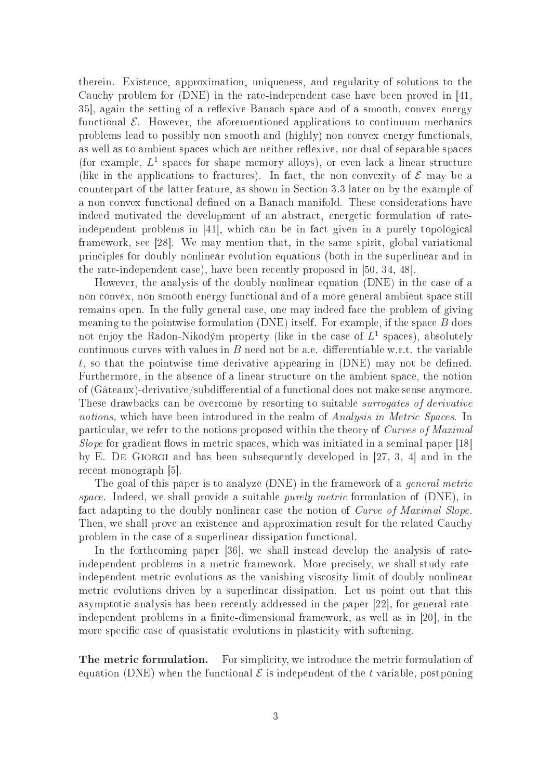therein. Existen
e, approximation, uniqueness, and regularity of solutions to the Cauchy problem for (DNE) in the rate-independent case have been proved in [41, 35, again the setting of a reflexive Banach space and of a smooth, convex energy functional  $\mathcal{E}$ . However, the aforementioned applications to continuum mechanics problems lead to possibly non smooth and (highly) non convex energy functionals, as well as to ambient spaces which are neither reflexive, nor dual of separable spaces (for example,  $L^1$  spaces for shape memory alloys), or even lack a linear structure (like in the applications to fractures). In fact, the non convexity of  $\mathcal E$  may be a ounterpart of the latter feature, as shown in Se
tion 3.3 later on by the example of a non convex functional defined on a Banach manifold. These considerations have indeed motivated the development of an abstra
t, energeti formulation of rateindependent problems in [41], which can be in fact given in a purely topological framework, see [28]. We may mention that, in the same spirit, global variational principles for doubly nonlinear evolution equations (both in the superlinear and in the rate-independent case), have been recently proposed in  $[50, 34, 48]$ .

However, the analysis of the doubly nonlinear equation (DNE) in the ase of a non onvex, non smooth energy fun
tional and of a more general ambient spa
e still remains open. In the fully general case, one may indeed face the problem of giving meaning to the pointwise formulation  $(DNE)$  itself. For example, if the space  $B$  does not enjoy the Radon-Nikodým property (like in the case of  $L^1$  spaces), absolutely continuous curves with values in  $B$  need not be a.e. differentiable w.r.t. the variable t, so that the pointwise time derivative appearing in  $(DNE)$  may not be defined. Furthermore, in the absence of a linear structure on the ambient space, the notion of (Gâteaux)-derivative/subdifferential of a functional does not make sense anymore. These drawbacks can be overcome by resorting to suitable *surrogates of derivative* notions, which have been introduced in the realm of *Analysis in Metric Spaces*. In particular, we refer to the notions proposed within the theory of Curves of Maximal Slope for gradient flows in metric spaces, which was initiated in a seminal paper  $[18]$ by E. DE GIORGI and has been subsequently developed in  $[27, 3, 4]$  and in the recent monograph [5].

The goal of this paper is to analyze  $(DNE)$  in the framework of a *general metric* space. Indeed, we shall provide a suitable *purely metric* formulation of (DNE), in fact adapting to the doubly nonlinear case the notion of Curve of Maximal Slope. Then, we shall prove an existen
e and approximation result for the related Cau
hy problem in the case of a superlinear dissipation functional.

In the forthcoming paper  $[36]$ , we shall instead develop the analysis of rateindependent problems in a metric framework. More precisely, we shall study rateindependent metri evolutions as the vanishing vis
osity limit of doubly nonlinear metri evolutions driven by a superlinear dissipation. Let us point out that this asymptotic analysis has been recently addressed in the paper [22], for general rateindependent problems in a finite-dimensional framework, as well as in [20], in the more specific case of quasistatic evolutions in plasticity with softening.

**The metric formulation.** For simplicity, we introduce the metric formulation of equation (DNE) when the functional  $\mathcal E$  is independent of the t variable, postponing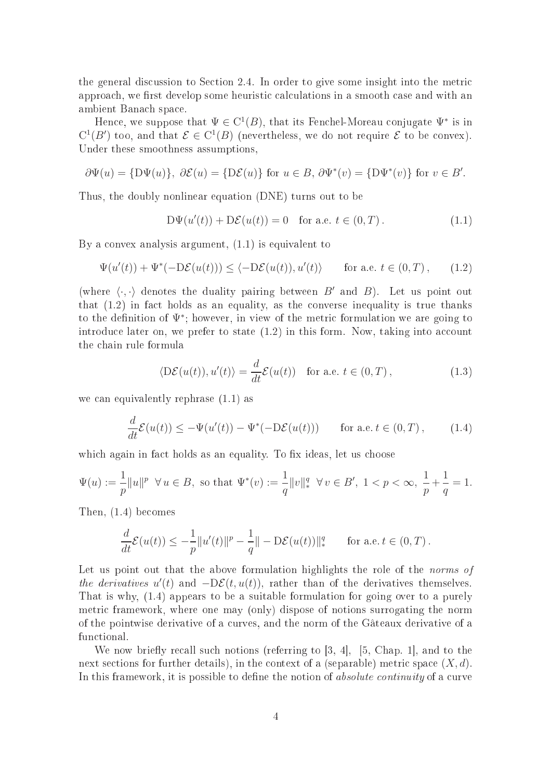the general discussion to Section 2.4. In order to give some insight into the metric approach, we first develop some heuristic calculations in a smooth case and with an ambient Bana
h spa
e.

Hence, we suppose that  $\Psi \in C^1(B)$ , that its Fenchel-Moreau conjugate  $\Psi^*$  is in  $C^1(B')$  too, and that  $\mathcal{E} \in C^1(B)$  (nevertheless, we do not require  $\mathcal E$  to be convex). Under these smoothness assumptions,

$$
\partial \Psi(u) = \{ D\Psi(u) \}, \ \partial \mathcal{E}(u) = \{ D\mathcal{E}(u) \} \text{ for } u \in B, \ \partial \Psi^*(v) = \{ D\Psi^*(v) \} \text{ for } v \in B'.
$$

Thus, the doubly nonlinear equation (DNE) turns out to be

$$
D\Psi(u'(t)) + D\mathcal{E}(u(t)) = 0 \quad \text{for a.e. } t \in (0, T). \tag{1.1}
$$

By a onvex analysis argument, (1.1) is equivalent to

$$
\Psi(u'(t)) + \Psi^*(-D\mathcal{E}(u(t))) \le \langle -D\mathcal{E}(u(t)), u'(t) \rangle \quad \text{for a.e. } t \in (0, T), \quad (1.2)
$$

(where  $\langle \cdot, \cdot \rangle$  denotes the duality pairing between B' and B). Let us point out that  $(1.2)$  in fact holds as an equality, as the converse inequality is true thanks to the definition of  $\Psi^*$ ; however, in view of the metric formulation we are going to introduce later on, we prefer to state  $(1.2)$  in this form. Now, taking into account the hain rule formula

$$
\langle \mathcal{D}\mathcal{E}(u(t)), u'(t) \rangle = \frac{d}{dt} \mathcal{E}(u(t)) \quad \text{for a.e. } t \in (0, T), \tag{1.3}
$$

we can equivalently rephrase  $(1.1)$  as

$$
\frac{d}{dt}\mathcal{E}(u(t)) \le -\Psi(u'(t)) - \Psi^*(-\mathcal{D}\mathcal{E}(u(t))) \quad \text{for a.e. } t \in (0, T), \qquad (1.4)
$$

which again in fact holds as an equality. To fix ideas, let us choose

$$
\Psi(u) := \frac{1}{p} \|u\|^p \quad \forall \, u \in B, \text{ so that } \Psi^*(v) := \frac{1}{q} \|v\|_*^q \quad \forall \, v \in B', \ 1 < p < \infty, \ \frac{1}{p} + \frac{1}{q} = 1.
$$

Then, (1.4) be
omes

$$
\frac{d}{dt}\mathcal{E}(u(t)) \le -\frac{1}{p}||u'(t)||^p - \frac{1}{q}|| - D\mathcal{E}(u(t))||_*^q \quad \text{for a.e. } t \in (0, T).
$$

Let us point out that the above formulation highlights the role of the *norms of* the derivatives  $u'(t)$  and  $-D\mathcal{E}(t, u(t))$ , rather than of the derivatives themselves. That is why, (1.4) appears to be a suitable formulation for going over to a purely metri framework, where one may (only) dispose of notions surrogating the norm of the pointwise derivative of a urves, and the norm of the Gâteaux derivative of a fun
tional.

We now briefly recall such notions (referring to  $[3, 4]$ ,  $[5, Chap. 1]$ , and to the next sections for further details), in the context of a (separable) metric space  $(X, d)$ . In this framework, it is possible to define the notion of *absolute continuity* of a curve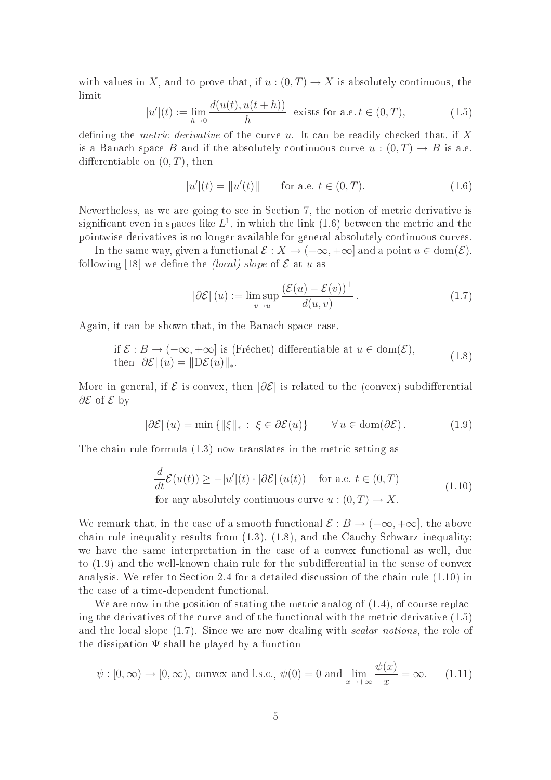with values in X, and to prove that, if  $u:(0,T) \to X$  is absolutely continuous, the limit

$$
|u'|(t) := \lim_{h \to 0} \frac{d(u(t), u(t+h))}{h} \text{ exists for a.e. } t \in (0, T), \tag{1.5}
$$

defining the *metric derivative* of the curve u. It can be readily checked that, if X is a Banach space B and if the absolutely continuous curve  $u:(0,T) \to B$  is a.e. differentiable on  $(0, T)$ , then

$$
|u'|(t) = ||u'(t)|| \qquad \text{for a.e. } t \in (0, T). \tag{1.6}
$$

Nevertheless, as we are going to see in Section 7, the notion of metric derivative is significant even in spaces like  $L^1$ , in which the link  $(1.6)$  between the metric and the pointwise derivatives is no longer available for general absolutely ontinuous urves.

In the same way, given a functional  $\mathcal{E}: X \to (-\infty, +\infty]$  and a point  $u \in \text{dom}(\mathcal{E}),$ following [18] we define the *(local)* slope of  $\mathcal E$  at u as

$$
|\partial \mathcal{E}|(u) := \limsup_{v \to u} \frac{(\mathcal{E}(u) - \mathcal{E}(v))^+}{d(u, v)}.
$$
 (1.7)

Again, it can be shown that, in the Banach space case,

if 
$$
\mathcal{E}: B \to (-\infty, +\infty]
$$
 is (Fréchet) differentiable at  $u \in \text{dom}(\mathcal{E})$ ,  
then  $|\partial \mathcal{E}|(u) = ||D\mathcal{E}(u)||_*$ . (1.8)

More in general, if  $\mathcal E$  is convex, then  $|\partial \mathcal E|$  is related to the (convex) subdifferential ∂*E* of *E* by

$$
|\partial \mathcal{E}|(u) = \min\left\{ \|\xi\|_{*} : \ \xi \in \partial \mathcal{E}(u) \right\} \qquad \forall u \in \text{dom}(\partial \mathcal{E}). \tag{1.9}
$$

The chain rule formula  $(1.3)$  now translates in the metric setting as

$$
\frac{d}{dt}\mathcal{E}(u(t)) \ge -|u'|(t) \cdot |\partial \mathcal{E}| (u(t)) \quad \text{for a.e. } t \in (0, T)
$$
\n
$$
\text{for any absolutely continuous curve } u : (0, T) \to X. \tag{1.10}
$$

We remark that, in the case of a smooth functional  $\mathcal{E}: B \to (-\infty, +\infty]$ , the above chain rule inequality results from  $(1.3)$ ,  $(1.8)$ , and the Cauchy-Schwarz inequality; we have the same interpretation in the ase of a onvex fun
tional as well, due to  $(1.9)$  and the well-known chain rule for the subdifferential in the sense of convex analysis. We refer to Section 2.4 for a detailed discussion of the chain rule  $(1.10)$  in the ase of a time-dependent fun
tional.

We are now in the position of stating the metric analog of  $(1.4)$ , of course replacing the derivatives of the curve and of the functional with the metric derivative  $(1.5)$ and the local slope  $(1.7)$ . Since we are now dealing with *scalar notions*, the role of the dissipation  $\Psi$  shall be played by a function

$$
\psi : [0, \infty) \to [0, \infty)
$$
, convex and l.s.c.,  $\psi(0) = 0$  and  $\lim_{x \to +\infty} \frac{\psi(x)}{x} = \infty$ . (1.11)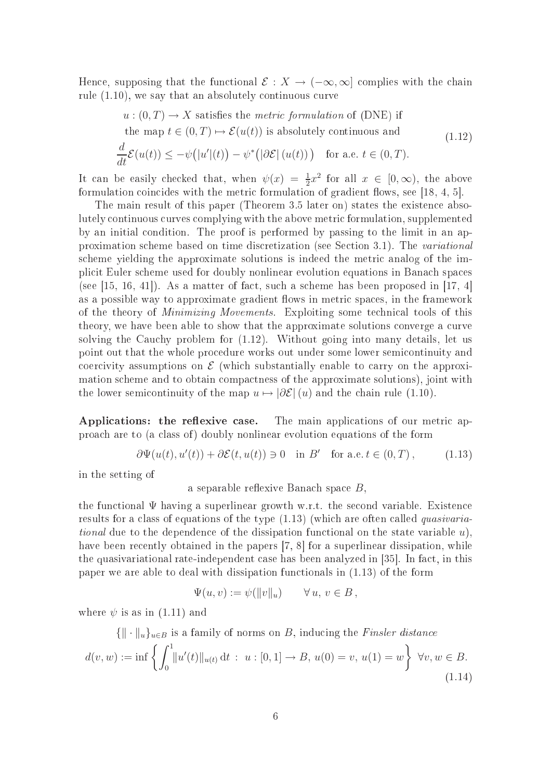Hence, supposing that the functional  $\mathcal{E}: X \to (-\infty, \infty]$  complies with the chain rule  $(1.10)$ , we say that an absolutely continuous curve

$$
u: (0, T) \to X \text{ satisfies the metric formulation of (DNE) if}
$$
  
the map  $t \in (0, T) \mapsto \mathcal{E}(u(t))$  is absolutely continuous and  

$$
\frac{d}{dt}\mathcal{E}(u(t)) \le -\psi(|u'|(t)) - \psi^*(|\partial \mathcal{E}|(u(t))) \text{ for a.e. } t \in (0, T).
$$
 (1.12)

It can be easily checked that, when 
$$
\psi(x) = \frac{1}{2}x^2
$$
 for all  $x \in [0, \infty)$ , the above

2 formulation coincides with the metric formulation of gradient flows, see [18, 4, 5]. The main result of this paper (Theorem 3.5 later on) states the existen
e abso-

lutely ontinuous urves omplying with the above metri formulation, supplemented by an initial ondition. The proof is performed by passing to the limit in an approximation scheme based on time discretization (see Section 3.1). The variational scheme vielding the approximate solutions is indeed the metric analog of the impli
it Euler s
heme used for doubly nonlinear evolution equations in Bana
h spa
es (see [15, 16, 41]). As a matter of fact, such a scheme has been proposed in [17, 4] as a possible way to approximate gradient flows in metric spaces, in the framework of the theory of *Minimizing Movements*. Exploiting some technical tools of this theory, we have been able to show that the approximate solutions converge a curve solving the Cauchy problem for  $(1.12)$ . Without going into many details, let us point out that the whole pro
edure works out under some lower semi
ontinuity and coercivity assumptions on  $\mathcal E$  (which substantially enable to carry on the approximation s
heme and to obtain ompa
tness of the approximate solutions), joint with the lower semicontinuity of the map  $u \mapsto |\partial \mathcal{E}|(u)$  and the chain rule (1.10).

Applications: the reflexive case. The main applications of our metric approa
h are to (a lass of ) doubly nonlinear evolution equations of the form

$$
\partial\Psi(u(t), u'(t)) + \partial \mathcal{E}(t, u(t)) \ni 0 \quad \text{in } B' \quad \text{for a.e. } t \in (0, T), \tag{1.13}
$$

in the setting of

a separable reflexive Banach space  $B$ ,

the functional  $\Psi$  having a superlinear growth w.r.t. the second variable. Existence results for a class of equations of the type  $(1.13)$  (which are often called *quasivaria*tional due to the dependence of the dissipation functional on the state variable  $u$ ). have been recently obtained in the papers [7, 8] for a superlinear dissipation, while the quasivariational rate-independent case has been analyzed in [35]. In fact, in this paper we are able to deal with dissipation fun
tionals in (1.13) of the form

$$
\Psi(u, v) := \psi(||v||_u) \qquad \forall u, v \in B,
$$

where  $\psi$  is as in (1.11) and

$$
\{\|\cdot\|_u\}_{u\in B} \text{ is a family of norms on } B, \text{ inducing the } \text{Finsler distance}
$$
\n
$$
d(v, w) := \inf \left\{ \int_0^1 \|u'(t)\|_{u(t)} dt \, : \, u : [0, 1] \to B, \, u(0) = v, \, u(1) = w \right\} \, \forall v, w \in B.
$$
\n
$$
(1.14)
$$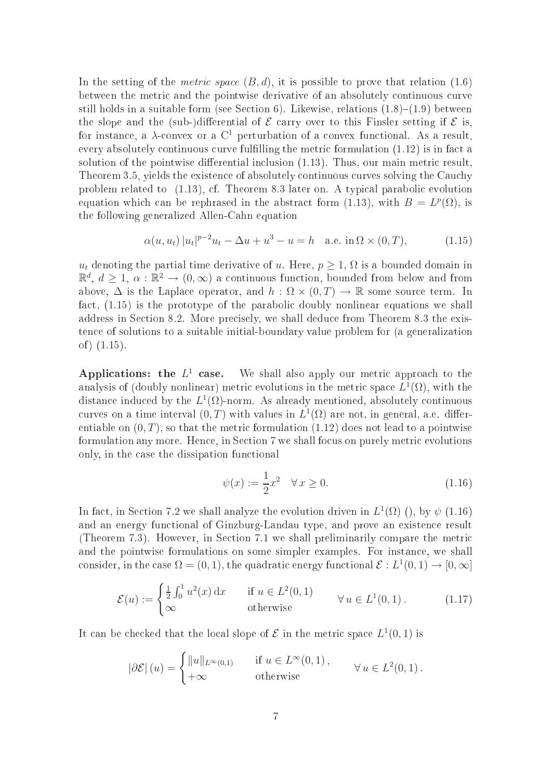In the setting of the *metric space*  $(B, d)$ , it is possible to prove that relation (1.6) between the metric and the pointwise derivative of an absolutely continuous curve still holds in a suitable form (see Section 6). Likewise, relations  $(1.8)-(1.9)$  between the slope and the (sub-)differential of  $\mathcal E$  carry over to this Finsler setting if  $\mathcal E$  is, for instance, a  $\lambda$ -convex or a C<sup>1</sup> perturbation of a convex functional. As a result, every absolutely continuous curve fulfilling the metric formulation  $(1.12)$  is in fact a solution of the pointwise differential inclusion  $(1.13)$ . Thus, our main metric result, Theorem 3.5, yields the existence of absolutely continuous curves solving the Cauchy problem related to  $(1.13)$ , cf. Theorem 8.3 later on. A typical parabolic evolution equation which can be rephrased in the abstract form (1.13), with  $B = L^p(\Omega)$ , is the following generalized Allen-Cahn equation

$$
\alpha(u, u_t) |u_t|^{p-2} u_t - \Delta u + u^3 - u = h \quad \text{a.e. in } \Omega \times (0, T), \tag{1.15}
$$

 $u_t$  denoting the partial time derivative of u. Here,  $p \geq 1$ ,  $\Omega$  is a bounded domain in  $\mathbb{R}^d$ ,  $d \geq 1$ ,  $\alpha : \mathbb{R}^2 \to (0, \infty)$  a continuous function, bounded from below and from above,  $\Delta$  is the Laplace operator, and  $h : \Omega \times (0,T) \to \mathbb{R}$  some source term. In fact,  $(1.15)$  is the prototype of the parabolic doubly nonlinear equations we shall address in Section 8.2. More precisely, we shall deduce from Theorem 8.3 the existen
e of solutions to a suitable initial-boundary value problem for (a generalization of)  $(1.15)$ .

Applications: the  $L^1$ We shall also apply our metric approach to the analysis of (doubly nonlinear) metric evolutions in the metric space  $L^1(\Omega)$ , with the distance induced by the  $L^1(\Omega)$ -norm. As already mentioned, absolutely continuous curves on a time interval  $(0, T)$  with values in  $L^1(\Omega)$  are not, in general, a.e. differentiable on  $(0, T)$ , so that the metric formulation  $(1.12)$  does not lead to a pointwise formulation any more. Hence, in Section 7 we shall focus on purely metric evolutions only, in the ase the dissipation fun
tional

$$
\psi(x) := \frac{1}{2}x^2 \quad \forall \, x \ge 0. \tag{1.16}
$$

In fact, in Section 7.2 we shall analyze the evolution driven in  $L^1(\Omega)$  (), by  $\psi$  (1.16) and an energy functional of Ginzburg-Landau type, and prove an existence result (Theorem 7.3). However, in Section 7.1 we shall preliminarily compare the metric and the pointwise formulations on some simpler examples. For instance, we shall consider, in the case  $\Omega = (0, 1)$ , the quadratic energy functional  $\mathcal{E}: L^1(0, 1) \to [0, \infty]$ 

$$
\mathcal{E}(u) := \begin{cases} \frac{1}{2} \int_0^1 u^2(x) dx & \text{if } u \in L^2(0,1) \\ \infty & \text{otherwise} \end{cases} \forall u \in L^1(0,1). \tag{1.17}
$$

It can be checked that the local slope of  $\mathcal E$  in the metric space  $L^1(0,1)$  is

$$
|\partial \mathcal{E}| (u) = \begin{cases} ||u||_{L^{\infty}(0,1)} & \text{if } u \in L^{\infty}(0,1), \\ +\infty & \text{otherwise} \end{cases} \forall u \in L^{2}(0,1).
$$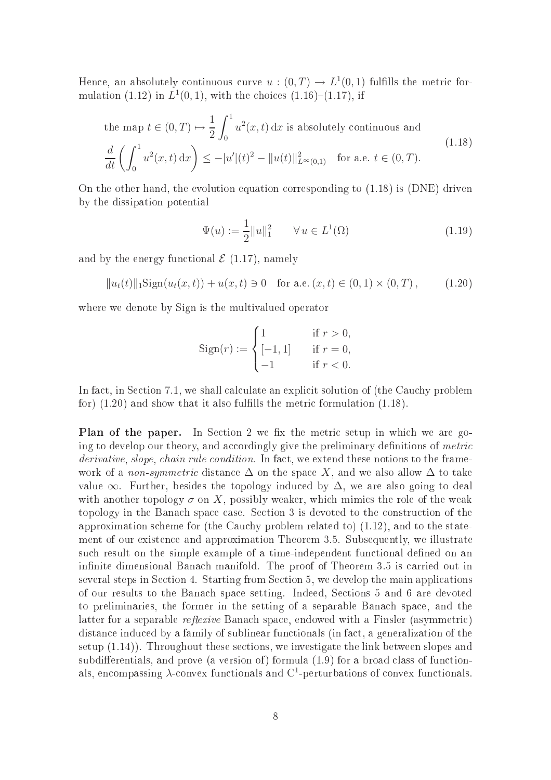Hence, an absolutely continuous curve  $u:(0,T) \to L^1(0,1)$  fulfills the metric formulation (1.12) in  $L^1(0,1)$ , with the choices (1.16)–(1.17), if

the map 
$$
t \in (0, T) \mapsto \frac{1}{2} \int_0^1 u^2(x, t) dx
$$
 is absolutely continuous and  
\n
$$
\frac{d}{dt} \left( \int_0^1 u^2(x, t) dx \right) \le -|u'| (t)^2 - \|u(t)\|_{L^\infty(0, 1)}^2 \quad \text{for a.e. } t \in (0, T).
$$
\n(1.18)

On the other hand, the evolution equation orresponding to (1.18) is (DNE) driven by the dissipation potential

$$
\Psi(u) := \frac{1}{2} ||u||_1^2 \qquad \forall \, u \in L^1(\Omega)
$$
\n(1.19)

and by the energy functional  $\mathcal{E}(1.17)$ , namely

$$
||u_t(t)||_1 \text{Sign}(u_t(x,t)) + u(x,t) \ni 0 \quad \text{for a.e. } (x,t) \in (0,1) \times (0,T), \quad (1.20)
$$

where we denote by Sign is the multivalued operator

$$
Sign(r) := \begin{cases} 1 & \text{if } r > 0, \\ [-1, 1] & \text{if } r = 0, \\ -1 & \text{if } r < 0. \end{cases}
$$

In fact, in Section 7.1, we shall calculate an explicit solution of (the Cauchy problem for)  $(1.20)$  and show that it also fulfills the metric formulation  $(1.18)$ .

Plan of the paper. In Section 2 we fix the metric setup in which we are going to develop our theory, and accordingly give the preliminary definitions of *metric* derivative, slope, chain rule condition. In fact, we extend these notions to the framework of a *non-symmetric* distance  $\Delta$  on the space X, and we also allow  $\Delta$  to take value  $\infty$ . Further, besides the topology induced by  $\Delta$ , we are also going to deal with another topology  $\sigma$  on X, possibly weaker, which mimics the role of the weak topology in the Banach space case. Section 3 is devoted to the construction of the approximation scheme for (the Cauchy problem related to) (1.12), and to the statement of our existen
e and approximation Theorem 3.5. Subsequently, we illustrate such result on the simple example of a time-independent functional defined on an infinite dimensional Banach manifold. The proof of Theorem 3.5 is carried out in several steps in Section 4. Starting from Section 5, we develop the main applications of our results to the Bana
h spa
e setting. Indeed, Se
tions 5 and 6 are devoted to preliminaries, the former in the setting of a separable Bana
h spa
e, and the latter for a separable *reflexive* Banach space, endowed with a Finsler (asymmetric) distance induced by a family of sublinear functionals (in fact, a generalization of the setup (1.14)). Throughout these se
tions, we investigate the link between slopes and subdifferentials, and prove (a version of) formula  $(1.9)$  for a broad class of functionals, encompassing  $\lambda$ -convex functionals and C<sup>1</sup>-perturbations of convex functionals.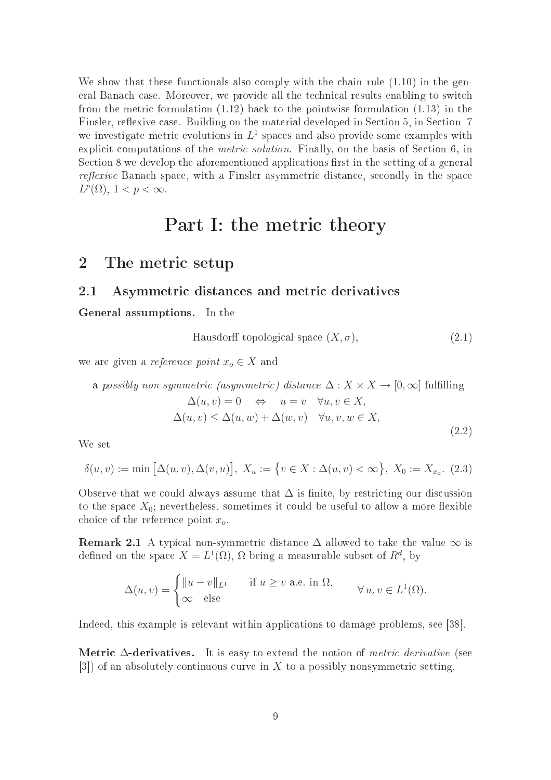We show that these functionals also comply with the chain rule  $(1.10)$  in the general Banach case. Moreover, we provide all the technical results enabling to switch from the metri formulation (1.12) ba
k to the pointwise formulation (1.13) in the Finsler, reflexive case. Building on the material developed in Section 5, in Section 7 we investigate metric evolutions in  $L^1$  spaces and also provide some examples with explicit computations of the *metric solution*. Finally, on the basis of Section 6, in Section 8 we develop the aforementioned applications first in the setting of a general reflexive Banach space, with a Finsler asymmetric distance, secondly in the space  $L^p(\Omega)$ ,  $1 < p < \infty$ .

# Part I: the metric theory

## 2 The metric setup

### 2.1 Asymmetri distan
es and metri derivatives

General assumptions. In the

Hausdorff topological space 
$$
(X, \sigma)
$$
,  $(2.1)$ 

we are given a *reference point*  $x_o \in X$  and

a possibly non symmetric (asymmetric) distance  $\Delta: X \times X \rightarrow [0, \infty]$  fulfilling

$$
\Delta(u, v) = 0 \Leftrightarrow u = v \quad \forall u, v \in X,
$$
  

$$
\Delta(u, v) \le \Delta(u, w) + \Delta(w, v) \quad \forall u, v, w \in X,
$$
  
(2.2)

We set

$$
\delta(u, v) := \min\left[\Delta(u, v), \Delta(v, u)\right], \ X_u := \left\{v \in X : \Delta(u, v) < \infty\right\}, \ X_0 := X_{x_0}.\tag{2.3}
$$

Observe that we could always assume that  $\Delta$  is finite, by restricting our discussion to the space  $X_0$ ; nevertheless, sometimes it could be useful to allow a more flexible choice of the reference point  $x_o$ .

**Remark 2.1** A typical non-symmetric distance  $\Delta$  allowed to take the value  $\infty$  is defined on the space  $X = L^1(\Omega)$ ,  $\Omega$  being a measurable subset of  $R^d$ , by

$$
\Delta(u, v) = \begin{cases} ||u - v||_{L^1} & \text{if } u \ge v \text{ a.e. in } \Omega, \\ \infty & \text{else} \end{cases} \forall u, v \in L^1(\Omega).
$$

Indeed, this example is relevant within applications to damage problems, see [38].

Metric  $\Delta$ -derivatives. It is easy to extend the notion of *metric derivative* (see  $[3]$  of an absolutely continuous curve in X to a possibly nonsymmetric setting.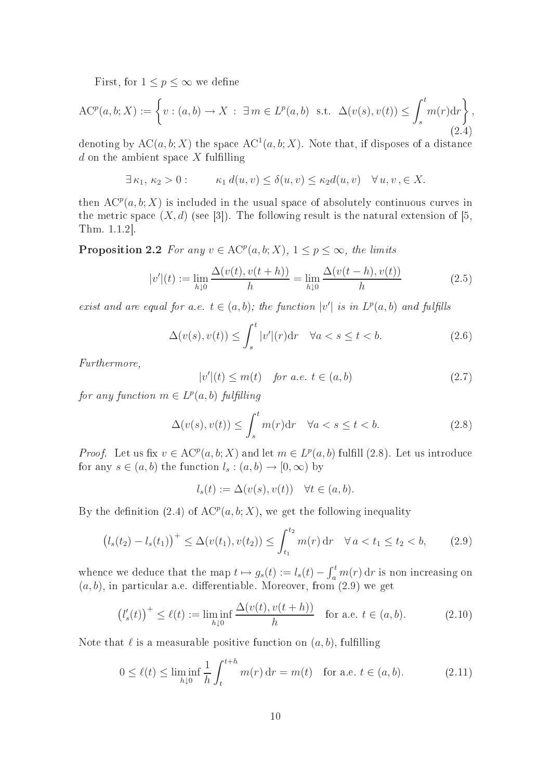First, for  $1 \leq p \leq \infty$  we define

$$
AC^{p}(a,b;X) := \left\{ v : (a,b) \to X : \exists m \in L^{p}(a,b) \text{ s.t. } \Delta(v(s),v(t)) \leq \int_{s}^{t} m(r) dr \right\},\tag{2.4}
$$

denoting by  $AC(a, b; X)$  the space  $AC<sup>1</sup>(a, b; X)$ . Note that, if disposes of a distance  $d$  on the ambient space  $X$  fulfilling

$$
\exists \kappa_1, \kappa_2 > 0: \qquad \kappa_1 d(u, v) \le \delta(u, v) \le \kappa_2 d(u, v) \quad \forall u, v, \in X.
$$

then  $\mathrm{AC}^p(a,b;X)$  is included in the usual space of absolutely continuous curves in the metric space  $(X, d)$  (see [3]). The following result is the natural extension of [5, Thm.  $1.1.2$ .

**Proposition 2.2** For any  $v \in \mathrm{AC}^p(a,b;X)$ ,  $1 \leq p \leq \infty$ , the limits

$$
|v'(t) := \lim_{h \downarrow 0} \frac{\Delta(v(t), v(t+h))}{h} = \lim_{h \downarrow 0} \frac{\Delta(v(t-h), v(t))}{h}
$$
 (2.5)

exist and are equal for a.e.  $t \in (a, b)$ ; the function  $|v'|$  is in  $L^p(a, b)$  and fulfills

$$
\Delta(v(s), v(t)) \le \int_s^t |v'| (r) dr \quad \forall a < s \le t < b.
$$
\n(2.6)

Furthermore,

$$
|v'|(t) \le m(t) \quad \text{for a.e. } t \in (a, b)
$$
\n
$$
(2.7)
$$

 $\cdot - \cdot$ 

for any function  $m \in L^p(a,b)$  fulfilling

$$
\Delta(v(s), v(t)) \le \int_{s}^{t} m(r) dr \quad \forall a < s \le t < b.
$$
 (2.8)

*Proof.* Let us fix  $v \in \mathrm{AC}^p(a, b; X)$  and let  $m \in L^p(a, b)$  fulfill (2.8). Let us introduce for any  $s \in (a, b)$  the function  $l_s : (a, b) \to [0, \infty)$  by

$$
l_s(t) := \Delta(v(s), v(t)) \quad \forall t \in (a, b).
$$

By the definition (2.4) of  $AC<sup>p</sup>(a, b; X)$ , we get the following inequality

$$
(l_s(t_2) - l_s(t_1))^{+} \le \Delta(v(t_1), v(t_2)) \le \int_{t_1}^{t_2} m(r) dr \quad \forall a < t_1 \le t_2 < b,
$$
 (2.9)

whence we deduce that the map  $t \mapsto g_s(t) := l_s(t) - \int_a^t m(r) dr$  is non increasing on  $(a, b)$ , in particular a.e. differentiable. Moreover, from  $(2.9)$  we get

$$
(l'_s(t))^+ \le \ell(t) := \liminf_{h \downarrow 0} \frac{\Delta(v(t), v(t+h))}{h} \quad \text{for a.e. } t \in (a, b). \tag{2.10}
$$

Note that  $\ell$  is a measurable positive function on  $(a, b)$ , fulfilling

$$
0 \le \ell(t) \le \liminf_{h \downarrow 0} \frac{1}{h} \int_{t}^{t+h} m(r) \, \mathrm{d}r = m(t) \quad \text{for a.e. } t \in (a, b). \tag{2.11}
$$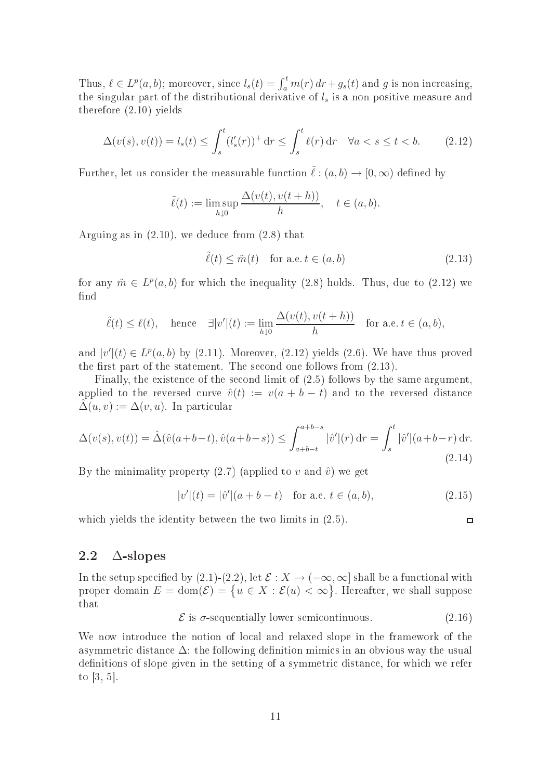Thus,  $\ell \in L^p(a, b)$ ; moreover, since  $l_s(t) = \int_a^t m(r) dr + g_s(t)$  and g is non increasing, the singular part of the distributional derivative of  $l_s$  is a non positive measure and therefore (2.10) yields

$$
\Delta(v(s), v(t)) = l_s(t) \le \int_s^t (l'_s(r))^+ dr \le \int_s^t \ell(r) dr \quad \forall a < s \le t < b. \tag{2.12}
$$

Further, let us consider the measurable function  $\tilde{\ell}: (a, b) \to [0, \infty)$  defined by

$$
\tilde{\ell}(t) := \limsup_{h \downarrow 0} \frac{\Delta(v(t), v(t+h))}{h}, \quad t \in (a, b).
$$

Arguing as in (2.10), we dedu
e from (2.8) that

$$
\tilde{\ell}(t) \le \tilde{m}(t) \quad \text{for a.e.} \ t \in (a, b)
$$
\n
$$
(2.13)
$$

for any  $\tilde{m} \in L^p(a, b)$  for which the inequality (2.8) holds. Thus, due to (2.12) we find

$$
\tilde{\ell}(t) \leq \ell(t)
$$
, hence  $\exists |v'|(t) := \lim_{h \downarrow 0} \frac{\Delta(v(t), v(t+h))}{h}$  for a.e.  $t \in (a, b)$ ,

and  $|v'(t) \in L^p(a, b)$  by (2.11). Moreover, (2.12) yields (2.6). We have thus proved the first part of the statement. The second one follows from  $(2.13)$ .

Finally, the existence of the second limit of  $(2.5)$  follows by the same argument, applied to the reversed curve  $\hat{v}(t) := v(a + b - t)$  and to the reversed distance  $\hat{\Delta}(u, v) := \Delta(v, u)$ . In particular

$$
\Delta(v(s), v(t)) = \hat{\Delta}(\hat{v}(a+b-t), \hat{v}(a+b-s)) \le \int_{a+b-t}^{a+b-s} |\hat{v}'|(r) dr = \int_{s}^{t} |\hat{v}'|(a+b-r) dr.
$$
\n(2.14)

By the minimality property (2.7) (applied to v and  $\hat{v}$ ) we get

$$
|v'|(t) = |\hat{v}'|(a+b-t) \text{ for a.e. } t \in (a,b), \tag{2.15}
$$

 $\Box$ 

which yields the identity between the two limits in  $(2.5)$ .

$$
2.2\quad\Delta\text{-slopes}
$$

In the setup specified by (2.1)-(2.2), let  $\mathcal{E}: X \to (-\infty, \infty]$  shall be a functional with proper domain  $E = \text{dom}(\mathcal{E}) = \{u \in X : \mathcal{E}(u) < \infty\}$ . Hereafter, we shall suppose that

 $\mathcal{E}$  is  $\sigma$ -sequentially lower semicontinuous. (2.16)

We now introduce the notion of local and relaxed slope in the framework of the asymmetric distance  $\Delta$ : the following definition mimics in an obvious way the usual definitions of slope given in the setting of a symmetric distance, for which we refer to  $[3, 5]$ .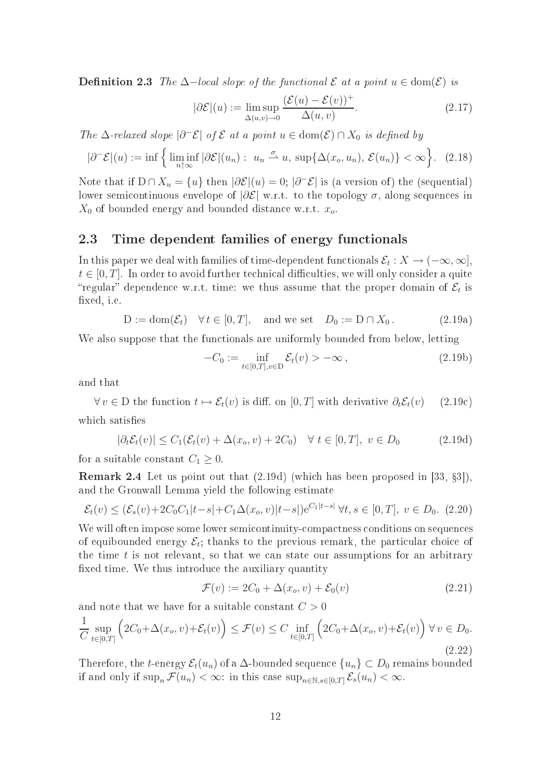**Definition 2.3** The  $\Delta$ -local slope of the functional  $\mathcal E$  at a point  $u \in \text{dom}(\mathcal E)$  is

$$
|\partial \mathcal{E}|(u) := \limsup_{\Delta(u,v)\to 0} \frac{(\mathcal{E}(u) - \mathcal{E}(v))^+}{\Delta(u,v)}.
$$
\n(2.17)

The  $\Delta$ -relaxed slope  $|\partial^-\mathcal{E}|$  of  $\mathcal E$  at a point  $u \in \text{dom}(\mathcal{E}) \cap X_0$  is defined by

$$
|\partial^{-} \mathcal{E}|(u) := \inf \left\{ \liminf_{n \uparrow \infty} |\partial \mathcal{E}|(u_n) : u_n \xrightarrow{\sigma} u, \sup \{ \Delta(x_o, u_n), \mathcal{E}(u_n) \} < \infty \right\}. \tag{2.18}
$$

Note that if  $D \cap X_u = \{u\}$  then  $|\partial \mathcal{E}|(u) = 0$ ;  $|\partial^-\mathcal{E}|$  is (a version of) the (sequential) lower semicontinuous envelope of  $|\partial \mathcal{E}|$  w.r.t. to the topology  $\sigma$ , along sequences in  $X_0$  of bounded energy and bounded distance w.r.t.  $x_o$ .

### 2.3 Time dependent families of energy functionals

In this paper we deal with families of time-dependent functionals  $\mathcal{E}_t: X \to (-\infty, \infty],$  $t \in [0, T]$ . In order to avoid further technical difficulties, we will only consider a quite "regular" dependence w.r.t. time: we thus assume that the proper domain of  $\mathcal{E}_t$  is xed, i.e.

$$
D := \text{dom}(\mathcal{E}_t) \quad \forall \, t \in [0, T], \quad \text{and we set} \quad D_0 := D \cap X_0. \tag{2.19a}
$$

We also suppose that the functionals are uniformly bounded from below, letting

$$
-C_0 := \inf_{t \in [0,T], v \in D} \mathcal{E}_t(v) > -\infty , \qquad (2.19b)
$$

and that

 $\forall v \in D$  the function  $t \mapsto \mathcal{E}_t(v)$  is diff. on [0, T] with derivative  $\partial_t \mathcal{E}_t(v)$  (2.19c) which satisfies

$$
|\partial_t \mathcal{E}_t(v)| \le C_1(\mathcal{E}_t(v) + \Delta(x_o, v) + 2C_0) \quad \forall \ t \in [0, T], \ v \in D_0 \tag{2.19d}
$$

for a suitable constant  $C_1 \geq 0$ 

**Remark 2.4** Let us point out that  $(2.19d)$  (which has been proposed in [33, §3]), and the Gronwall Lemma yield the following estimate

$$
\mathcal{E}_t(v) \le (\mathcal{E}_s(v) + 2C_0C_1|t - s| + C_1\Delta(x_o, v)|t - s|)e^{C_1|t - s|} \forall t, s \in [0, T], v \in D_0. \tag{2.20}
$$

We will often impose some lower semicontinuity-compactness conditions on sequences of equibounded energy  $\mathcal{E}_t$ ; thanks to the previous remark, the particular choice of the time  $t$  is not relevant, so that we can state our assumptions for an arbitrary xed time. We thus introdu
e the auxiliary quantity

$$
\mathcal{F}(v) := 2C_0 + \Delta(x_o, v) + \mathcal{E}_0(v) \tag{2.21}
$$

 $\sim$ 

and note that we have for a suitable constant  $C > 0$ 

$$
\frac{1}{C} \sup_{t \in [0,T]} \left( 2C_0 + \Delta(x_o, v) + \mathcal{E}_t(v) \right) \le \mathcal{F}(v) \le C \inf_{t \in [0,T]} \left( 2C_0 + \Delta(x_o, v) + \mathcal{E}_t(v) \right) \forall v \in D_0.
$$
\n(2.22)

Therefore, the t-energy  $\mathcal{E}_t(u_n)$  of a  $\Delta$ -bounded sequence  $\{u_n\} \subset D_0$  remains bounded if and only if  $\sup_n \mathcal{F}(u_n) < \infty$ : in this case  $\sup_{n \in \mathbb{N}} \mathcal{E}_s(u_n) < \infty$ .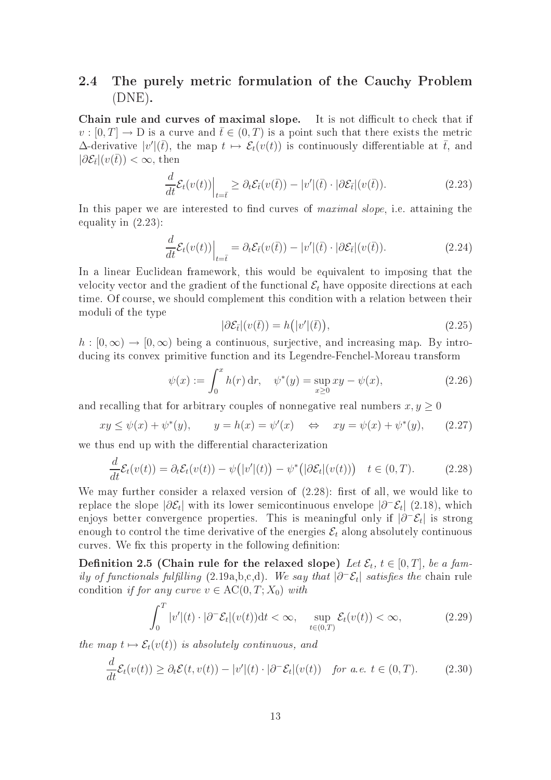## 2.4 The purely metric formulation of the Cauchy Problem (DNE).

Chain rule and curves of maximal slope. It is not difficult to check that if  $v: [0,T] \to D$  is a curve and  $\bar{t} \in (0,T)$  is a point such that there exists the metric  $\Delta$ -derivative  $|v'|\overline{t}$ , the map  $t \mapsto \mathcal{E}_t(v(t))$  is continuously differentiable at  $\overline{t}$ , and  $|\partial \mathcal{E}_{\bar{t}}|(v(\bar{t}))| < \infty$ , then

$$
\frac{d}{dt}\mathcal{E}_t(v(t))\Big|_{t=\bar{t}} \geq \partial_t \mathcal{E}_{\bar{t}}(v(\bar{t})) - |v'|(\bar{t}) \cdot |\partial \mathcal{E}_{\bar{t}}|(v(\bar{t})).\tag{2.23}
$$

In this paper we are interested to find curves of *maximal slope*, i.e. attaining the equality in (2.23):

$$
\frac{d}{dt}\mathcal{E}_t(v(t))\Big|_{t=\bar{t}} = \partial_t \mathcal{E}_{\bar{t}}(v(\bar{t})) - |v'|(\bar{t}) \cdot |\partial \mathcal{E}_{\bar{t}}|(v(\bar{t})).\tag{2.24}
$$

In a linear Eu
lidean framework, this would be equivalent to imposing that the velocity vector and the gradient of the functional  $\mathcal{E}_t$  have opposite directions at each time. Of course, we should complement this condition with a relation between their moduli of the type

$$
|\partial \mathcal{E}_{\bar{t}}|(v(\bar{t})) = h(|v'||(\bar{t})), \qquad (2.25)
$$

 $h: [0, \infty) \to [0, \infty)$  being a continuous, surjective, and increasing map. By introducing its convex primitive function and its Legendre-Fenchel-Moreau transform

$$
\psi(x) := \int_0^x h(r) \, dr, \quad \psi^*(y) = \sup_{x \ge 0} xy - \psi(x), \tag{2.26}
$$

and recalling that for arbitrary couples of nonnegative real numbers  $x, y \geq 0$ 

$$
xy \le \psi(x) + \psi^*(y), \qquad y = h(x) = \psi'(x) \quad \Leftrightarrow \quad xy = \psi(x) + \psi^*(y), \tag{2.27}
$$

we thus end up with the differential characterization

$$
\frac{d}{dt}\mathcal{E}_t(v(t)) = \partial_t \mathcal{E}_t(v(t)) - \psi(|v'|(t)) - \psi^*(|\partial \mathcal{E}_t|(v(t))) \quad t \in (0, T). \tag{2.28}
$$

We may further consider a relaxed version of  $(2.28)$ : first of all, we would like to replace the slope  $|\partial \mathcal{E}_t|$  with its lower semicontinuous envelope  $|\partial^-\mathcal{E}_t|$  (2.18), which enjoys better convergence properties. This is meaningful only if  $|\partial^-\mathcal{E}_t|$  is strong enough to control the time derivative of the energies  $\mathcal{E}_t$  along absolutely continuous curves. We fix this property in the following definition:

Definition 2.5 (Chain rule for the relaxed slope) Let  $\mathcal{E}_t$ ,  $t\in[0,T]$ , be a family of functionals fulfilling (2.19a,b,c,d). We say that  $|\partial^-\mathcal{E}_t|$  satisfies the chain rule condition if for any curve  $v \in \mathrm{AC}(0,T;X_0)$  with

$$
\int_0^T |v'|(t) \cdot |\partial^- \mathcal{E}_t|(v(t)) \mathrm{d}t < \infty, \quad \sup_{t \in (0,T)} \mathcal{E}_t(v(t)) < \infty,\tag{2.29}
$$

the map  $t \mapsto \mathcal{E}_t(v(t))$  is absolutely continuous, and

$$
\frac{d}{dt}\mathcal{E}_t(v(t)) \geq \partial_t \mathcal{E}(t, v(t)) - |v'|(t) \cdot |\partial^- \mathcal{E}_t|(v(t)) \quad \text{for a.e. } t \in (0, T). \tag{2.30}
$$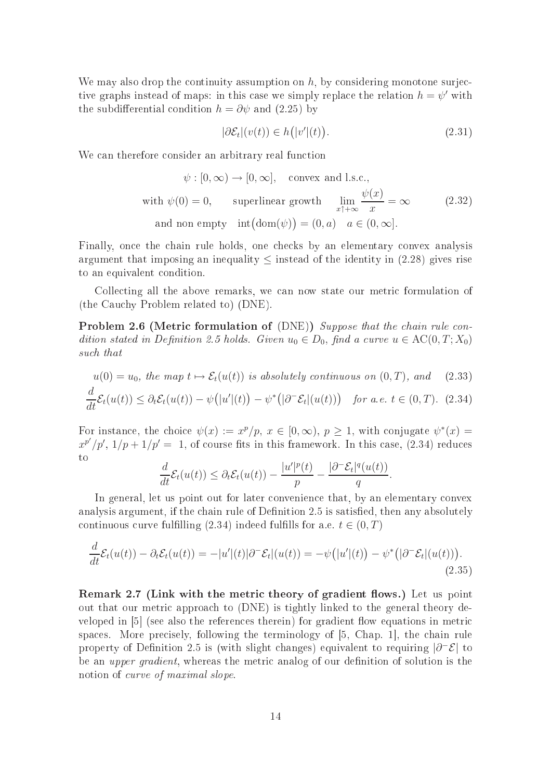We may also drop the continuity assumption on  $h$ , by considering monotone surjective graphs instead of maps: in this case we simply replace the relation  $h = \psi'$  with the subdifferential condition  $h = \partial \psi$  and (2.25) by

$$
|\partial \mathcal{E}_t|(v(t)) \in h(|v'|(t)).\tag{2.31}
$$

We can therefore consider an arbitrary real function

$$
\psi : [0, \infty) \to [0, \infty], \text{ convex and l.s.c.,}
$$
  
with  $\psi(0) = 0$ , superlinear growth  $\lim_{x \uparrow +\infty} \frac{\psi(x)}{x} = \infty$  (2.32)  
and non empty  $\text{int}(\text{dom}(\psi)) = (0, a) \quad a \in (0, \infty].$ 

Finally, once the chain rule holds, one checks by an elementary convex analysis argument that imposing an inequality  $\leq$  instead of the identity in (2.28) gives rise to an equivalent ondition.

Colle
ting all the above remarks, we an now state our metri formulation of (the Cau
hy Problem related to) (DNE).

**Problem 2.6 (Metric formulation of (DNE))** Suppose that the chain rule condition stated in Definition 2.5 holds. Given  $u_0 \in D_0$ , find a curve  $u \in AC(0, T; X_0)$ such that

$$
u(0) = u_0, \text{ the map } t \mapsto \mathcal{E}_t(u(t)) \text{ is absolutely continuous on } (0, T), \text{ and } (2.33)
$$
  

$$
\frac{d}{dt}\mathcal{E}_t(u(t)) \leq \partial_t \mathcal{E}_t(u(t)) - \psi(|u'|(t)) - \psi^*(|\partial^- \mathcal{E}_t|(u(t))) \text{ for a.e. } t \in (0, T). \tag{2.34}
$$

For instance, the choice  $\psi(x) := x^p/p, x \in [0, \infty), p \ge 1$ , with conjugate  $\psi^*(x) =$  $x^{p'}/p'$ ,  $1/p + 1/p' = 1$ , of course fits in this framework. In this case, (2.34) reduces

$$
\frac{d}{dt}\mathcal{E}_t(u(t)) \leq \partial_t \mathcal{E}_t(u(t)) - \frac{|u'|^p(t)}{p} - \frac{|\partial^- \mathcal{E}_t|^q(u(t))}{q}.
$$

In general, let us point out for later onvenien
e that, by an elementary onvex analysis argument, if the chain rule of Definition 2.5 is satisfied, then any absolutely continuous curve fulfilling (2.34) indeed fulfills for a.e.  $t \in (0, T)$ 

$$
\frac{d}{dt}\mathcal{E}_t(u(t)) - \partial_t \mathcal{E}_t(u(t)) = -|u'|(t)|\partial^- \mathcal{E}_t|(u(t)) = -\psi(|u'|(t)) - \psi^*(|\partial^- \mathcal{E}_t|(u(t))).
$$
\n(2.35)

Remark 2.7 (Link with the metric theory of gradient flows.) Let us point out that our metri approa
h to (DNE) is tightly linked to the general theory developed in  $[5]$  (see also the references therein) for gradient flow equations in metric spaces. More precisely, following the terminology of [5, Chap. 1], the chain rule property of Definition 2.5 is (with slight changes) equivalent to requiring  $|\partial^-\mathcal{E}|$  to be an *upper gradient*, whereas the metric analog of our definition of solution is the notion of *curve* of maximal slope.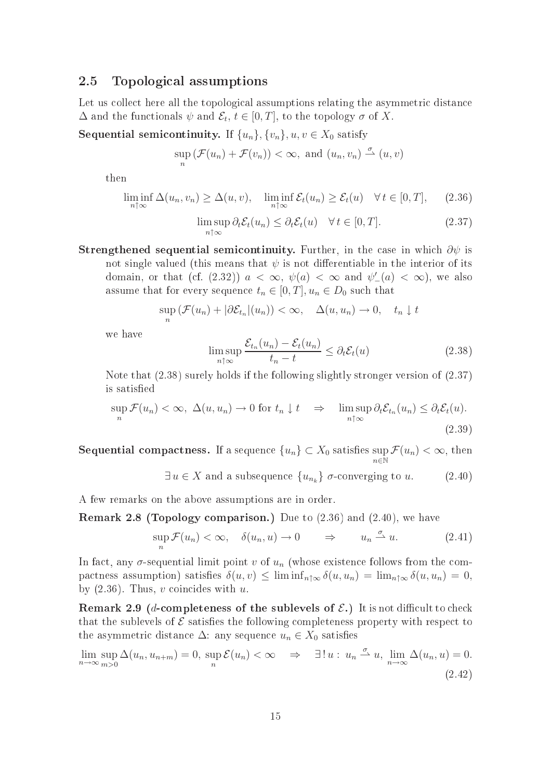### 2.5 Topologi
al assumptions

Let us collect here all the topological assumptions relating the asymmetric distance  $\Delta$  and the functionals  $\psi$  and  $\mathcal{E}_t$ ,  $t \in [0,T]$ , to the topology  $\sigma$  of X.

Sequential semicontinuity. If  $\{u_n\}$ ,  $\{v_n\}$ ,  $u, v \in X_0$  satisfy

$$
\sup_{n} \left( \mathcal{F}(u_n) + \mathcal{F}(v_n) \right) < \infty, \text{ and } (u_n, v_n) \stackrel{\sigma}{\rightharpoonup} (u, v)
$$

then

$$
\liminf_{n \uparrow \infty} \Delta(u_n, v_n) \ge \Delta(u, v), \quad \liminf_{n \uparrow \infty} \mathcal{E}_t(u_n) \ge \mathcal{E}_t(u) \quad \forall \, t \in [0, T], \tag{2.36}
$$

$$
\limsup_{n \uparrow \infty} \partial_t \mathcal{E}_t(u_n) \leq \partial_t \mathcal{E}_t(u) \quad \forall \, t \in [0, T]. \tag{2.37}
$$

Strengthened sequential semicontinuity. Further, in the case in which  $\partial \psi$  is not single valued (this means that  $\psi$  is not differentiable in the interior of its domain, or that (cf. (2.32))  $a < \infty$ ,  $\psi(a) < \infty$  and  $\psi'_{-}(a) < \infty$ ), we also assume that for every sequence  $t_n \in [0, T]$ ,  $u_n \in D_0$  such that

$$
\sup_n (\mathcal{F}(u_n) + |\partial \mathcal{E}_{t_n}|(u_n)) < \infty, \quad \Delta(u, u_n) \to 0, \quad t_n \downarrow t
$$

we have

$$
\limsup_{n \uparrow \infty} \frac{\mathcal{E}_{t_n}(u_n) - \mathcal{E}_t(u_n)}{t_n - t} \le \partial_t \mathcal{E}_t(u) \tag{2.38}
$$

Note that (2.38) surely holds if the following slightly stronger version of (2.37) is satisfied

$$
\sup_{n} \mathcal{F}(u_n) < \infty, \ \Delta(u, u_n) \to 0 \ \text{for} \ t_n \downarrow t \quad \Rightarrow \quad \limsup_{n \uparrow \infty} \partial_t \mathcal{E}_{t_n}(u_n) \leq \partial_t \mathcal{E}_t(u). \tag{2.39}
$$

Sequential compactness. If a sequence  $\{u_n\}\subset X_0$  satisfies sup  $n\bar{\in}\mathbb{\bar{N}}$  $\mathcal{F}(u_n)<\infty,$  then

$$
\exists u \in X \text{ and a subsequence } \{u_{n_k}\} \text{ } \sigma\text{-converging to } u. \tag{2.40}
$$

A few remarks on the above assumptions are in order.

**Remark 2.8 (Topology comparison.)** Due to  $(2.36)$  and  $(2.40)$ , we have

$$
\sup_{n} \mathcal{F}(u_n) < \infty, \quad \delta(u_n, u) \to 0 \qquad \Rightarrow \qquad u_n \stackrel{\sigma}{\rightharpoonup} u. \tag{2.41}
$$

In fact, any  $\sigma$ -sequential limit point v of  $u_n$  (whose existence follows from the compactness assumption) satisfies  $\delta(u, v) \leq \liminf_{n \uparrow \infty} \delta(u, u_n) = \lim_{n \uparrow \infty} \delta(u, u_n) = 0$ , by  $(2.36)$ . Thus, v coincides with u.

Remark 2.9 (*d*-completeness of the sublevels of  $\mathcal{E}$ .) It is not difficult to check that the sublevels of  $\mathcal E$  satisfies the following completeness property with respect to the asymmetric distance  $\Delta$ : any sequence  $u_n \in X_0$  satisfies

$$
\lim_{n \to \infty} \sup_{m>0} \Delta(u_n, u_{n+m}) = 0, \quad \sup_n \mathcal{E}(u_n) < \infty \quad \Rightarrow \quad \exists! \, u: \, u_n \xrightarrow{\sigma} u, \, \lim_{n \to \infty} \Delta(u_n, u) = 0. \tag{2.42}
$$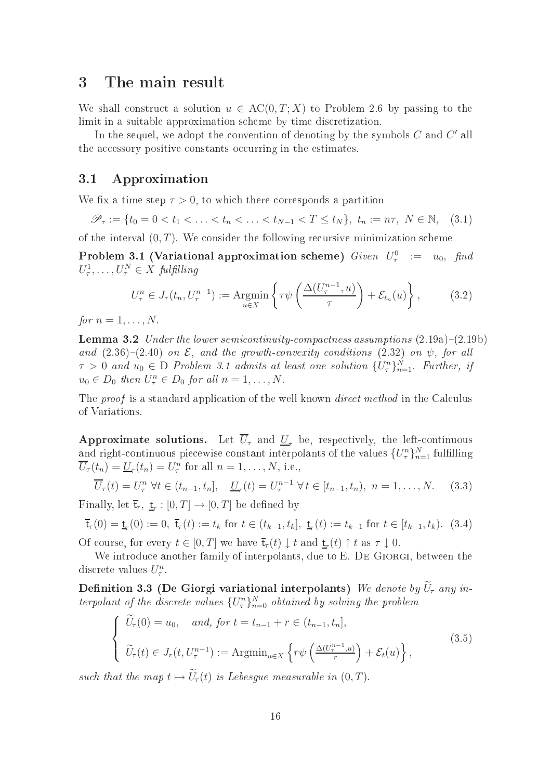## 3 The main result

We shall construct a solution  $u \in AC(0, T; X)$  to Problem 2.6 by passing to the limit in a suitable approximation scheme by time discretization.

In the sequel, we adopt the convention of denoting by the symbols  $C$  and  $C'$  all the accessory positive constants occurring in the estimates.

## 3.1 Approximation

We fix a time step  $\tau > 0$ , to which there corresponds a partition

$$
\mathscr{P}_{\tau} := \{ t_0 = 0 < t_1 < \ldots < t_n < \ldots < t_{N-1} < T \le t_N \}, \ t_n := n\tau, \ N \in \mathbb{N}, \tag{3.1}
$$

of the interval  $(0, T)$ . We consider the following recursive minimization scheme

 $\bf Problem\ 3.1\ (Variational approximation\ scheme)\ \ \mathit{Given}\ \ \mathit{U}_{\tau}^0\ \ :=\ \ u_0,\ \ \mathit{find}$  $U^1_\tau, \ldots, U^N_\tau \in X$  fulfilling

$$
U_{\tau}^{n} \in J_{\tau}(t_{n}, U_{\tau}^{n-1}) := \underset{u \in X}{\text{Argmin}} \left\{ \tau \psi \left( \frac{\Delta(U_{\tau}^{n-1}, u)}{\tau} \right) + \mathcal{E}_{t_{n}}(u) \right\},\tag{3.2}
$$

for  $n = 1, \ldots, N$ .

**Lemma 3.2** Under the lower semicontinuity-compactness assumptions  $(2.19a)-(2.19b)$ and  $(2.36)-(2.40)$  on  $\mathcal{E}$ , and the growth-convexity conditions  $(2.32)$  on  $\psi$ , for all  $\tau > 0$  and  $u_0 \in D$  Problem 3.1 admits at least one solution  $\{U_{\tau}^n\}_{n=1}^N$ . Further, if  $u_0 \in D_0$  then  $U_\tau^n \in D_0$  for all  $n = 1, \ldots, N$ .

The proof is a standard application of the well known *direct method* in the Calculus of Variations.

Approximate solutions. Let  $\overline{U}_{\tau}$  and  $\underline{U}_{\tau}$  be, respectively, the left-continuous and right-continuous piecewise constant interpolants of the values  $\{U^n_{\tau}\}_{n=1}^N$  fulfilling  $\overline{U}_{\tau}(t_n) = \underline{U}_{\tau}(t_n) = U_{\tau}^n$  for all  $n = 1, \ldots, N$ , i.e.,

$$
\overline{U}_{\tau}(t) = U_{\tau}^{n} \ \forall t \in (t_{n-1}, t_n], \quad \underline{U}_{\tau}(t) = U_{\tau}^{n-1} \ \forall t \in [t_{n-1}, t_n), \ n = 1, \dots, N. \tag{3.3}
$$

Finally, let  $\overline{\mathsf{t}}_r, \ \underline{\mathsf{t}}_r : [0, T] \to [0, T]$  be defined by

$$
\overline{\mathbf{t}}_r(0) = \underline{\mathbf{t}}_r(0) := 0, \ \overline{\mathbf{t}}_r(t) := t_k \text{ for } t \in (t_{k-1}, t_k], \ \underline{\mathbf{t}}_r(t) := t_{k-1} \text{ for } t \in [t_{k-1}, t_k). \tag{3.4}
$$

Of course, for every  $t \in [0, T]$  we have  $\overline{\mathsf{t}}_r(t) \downarrow t$  and  $\underline{\mathsf{t}}_r(t) \uparrow t$  as  $\tau \downarrow 0$ .

We introduce another family of interpolants, due to E. DE GIORGI, between the discrete values  $U_\tau^n$ .

Definition 3.3 (De Giorgi variational interpolants) We denote by  $\widetilde{U}_{\tau}$  any interpolant of the discrete values  $\{U_{\tau}^n\}_{n=0}^N$  obtained by solving the problem

$$
\begin{cases}\n\widetilde{U}_{\tau}(0) = u_0, \quad \text{and, for } t = t_{n-1} + r \in (t_{n-1}, t_n], \\
\widetilde{U}_{\tau}(t) \in J_r(t, U^{n-1}_{\tau}) := \operatorname{Argmin}_{u \in X} \left\{ r\psi\left(\frac{\Delta(U^{n-1}_{\tau}, u)}{r}\right) + \mathcal{E}_t(u) \right\},\n\end{cases} \tag{3.5}
$$

such that the map  $t \mapsto U_{\tau}(t)$  is Lebesgue measurable in  $(0, T)$ .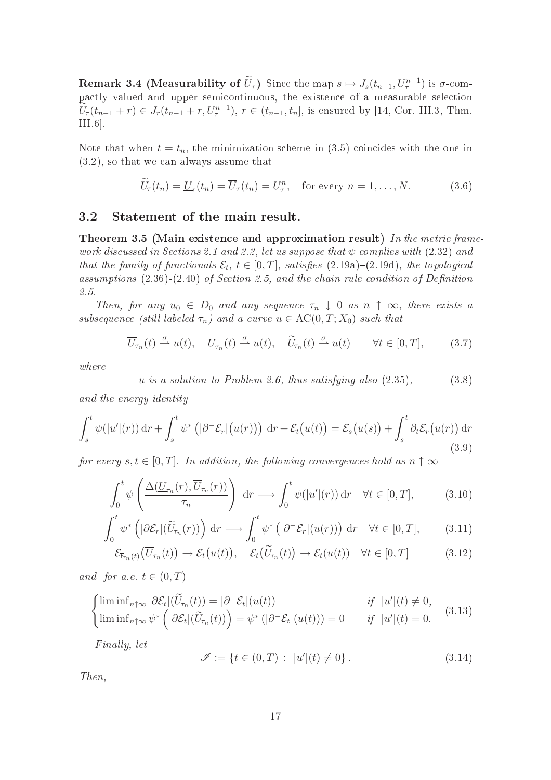**Remark 3.4 (Measurability of**  $\hat{U}_\tau$ ) Since the map  $s \mapsto J_s(t_{n-1}, U_\tau^{n-1})$  is  $\sigma$ -compa
tly valued and upper semi
ontinuous, the existen
e of a measurable sele
tion  $U_{\tau}(t_{n-1}+r) \in J_{r}(t_{n-1}+r, U_{\tau}^{n-1}), r \in (t_{n-1}, t_{n}],$  is ensured by [14, Cor. III.3, Thm.  $III.6$ .

Note that when  $t = t_n$ , the minimization scheme in (3.5) coincides with the one in  $(3.2)$ , so that we can always assume that

$$
\widetilde{U}_{\tau}(t_n) = \underline{U}_{\tau}(t_n) = \overline{U}_{\tau}(t_n) = U_{\tau}^n, \quad \text{for every } n = 1, \dots, N. \tag{3.6}
$$

## 3.2 Statement of the main result.

Theorem 3.5 (Main existence and approximation result) In the metric framework discussed in Sections 2.1 and 2.2, let us suppose that  $\psi$  complies with (2.32) and that the family of functionals  $\mathcal{E}_t$ ,  $t \in [0, T]$ , satisfies  $(2.19a)-(2.19d)$ , the topological assumptions  $(2.36)$ - $(2.40)$  of Section 2.5, and the chain rule condition of Definition 2.5.

Then, for any  $u_0 \in D_0$  and any sequence  $\tau_n \downarrow 0$  as  $n \uparrow \infty$ , there exists a subsequence (still labeled  $\tau_n$ ) and a curve  $u \in \mathrm{AC}(0,T;X_0)$  such that

$$
\overline{U}_{\tau_n}(t) \stackrel{\sigma}{\rightharpoonup} u(t), \quad \underline{U}_{\tau_n}(t) \stackrel{\sigma}{\rightharpoonup} u(t), \quad \widetilde{U}_{\tau_n}(t) \stackrel{\sigma}{\rightharpoonup} u(t) \qquad \forall t \in [0, T], \tag{3.7}
$$

where

$$
u \t{is a solution to Problem 2.6, thus satisfying also (2.35),} \t(3.8)
$$

and the energy identity

$$
\int_{s}^{t} \psi(|u'|(r)) dr + \int_{s}^{t} \psi^* \left( |\partial^{-} \mathcal{E}_r|(u(r)) \right) dr + \mathcal{E}_t(u(t)) = \mathcal{E}_s(u(s)) + \int_{s}^{t} \partial_t \mathcal{E}_r(u(r)) dr
$$
\n(3.9)

for every  $s, t \in [0, T]$ . In addition, the following convergences hold as  $n \uparrow \infty$ 

$$
\int_0^t \psi\left(\frac{\Delta(\underline{U}_{\tau_n}(r), \overline{U}_{\tau_n}(r))}{\tau_n}\right) dr \longrightarrow \int_0^t \psi(|u'|(r)) dr \quad \forall t \in [0, T],
$$
\n(3.10)

$$
\int_0^t \psi^* \left( |\partial \mathcal{E}_r|(\widetilde{U}_{\tau_n}(r)) \right) dr \longrightarrow \int_0^t \psi^* \left( |\partial^- \mathcal{E}_r| (u(r)) \right) dr \quad \forall t \in [0, T], \tag{3.11}
$$

$$
\mathcal{E}_{\bar{\mathbf{t}}_{\tau_n}(t)}(\overline{U}_{\tau_n}(t)) \to \mathcal{E}_t(u(t)), \quad \mathcal{E}_t(\widetilde{U}_{\tau_n}(t)) \to \mathcal{E}_t(u(t)) \quad \forall t \in [0, T]
$$
\n(3.12)

and for a.e.  $t \in (0, T)$ 

$$
\begin{cases}\n\liminf_{n \uparrow \infty} |\partial \mathcal{E}_t|(\widetilde{U}_{\tau_n}(t)) = |\partial^- \mathcal{E}_t|(u(t)) & \text{if } |u'|(t) \neq 0, \\
\liminf_{n \uparrow \infty} \psi^* \left( |\partial \mathcal{E}_t|(\widetilde{U}_{\tau_n}(t)) \right) = \psi^* \left( |\partial^- \mathcal{E}_t|(u(t)) \right) = 0 & \text{if } |u'|(t) = 0.\n\end{cases}
$$
\n(3.13)

Finally, let

$$
\mathcal{I} := \{ t \in (0, T) : |u'|(t) \neq 0 \}.
$$
\n(3.14)

Then,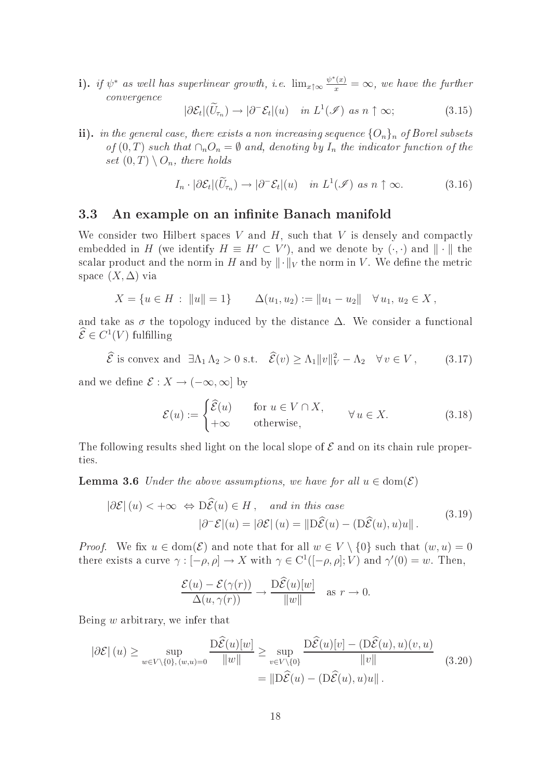i). if  $\psi^*$  as well has superlinear growth, i.e.  $\lim_{x \uparrow \infty} \frac{\psi^*(x)}{x} = \infty$ , we have the further onvergen
e

$$
|\partial \mathcal{E}_t|(\widetilde{U}_{\tau_n}) \to |\partial^- \mathcal{E}_t|(u) \quad in \ L^1(\mathcal{I}) \ as \ n \uparrow \infty; \tag{3.15}
$$

ii). in the general case, there exists a non increasing sequence  ${O_n}_n$  of Borel subsets of  $(0,T)$  such that  $\cap_n O_n = \emptyset$  and, denoting by  $I_n$  the indicator function of the set  $(0, T) \setminus O_n$ , there holds

$$
I_n \cdot |\partial \mathcal{E}_t|(\widetilde{U}_{\tau_n}) \to |\partial^- \mathcal{E}_t|(u) \quad in \ L^1(\mathcal{I}) \ \text{as} \ n \uparrow \infty. \tag{3.16}
$$

## 3.3 An example on an infinite Banach manifold

We consider two Hilbert spaces V and  $H$ , such that V is densely and compactly embedded in H (we identify  $H \equiv H' \subset V'$ ), and we denote by  $(\cdot, \cdot)$  and  $\|\cdot\|$  the scalar product and the norm in H and by  $\|\cdot\|_V$  the norm in V. We define the metric space  $(X, \Delta)$  via

$$
X = \{u \in H : ||u|| = 1\} \qquad \Delta(u_1, u_2) := ||u_1 - u_2|| \quad \forall u_1, u_2 \in X,
$$

and take as  $\sigma$  the topology induced by the distance  $\Delta$ . We consider a functional  $\mathcal{E} \in C^1(V)$  fulfilling

$$
\widehat{\mathcal{E}}
$$
 is convex and  $\exists \Lambda_1 \Lambda_2 > 0$  s.t.  $\widehat{\mathcal{E}}(v) \ge \Lambda_1 ||v||_V^2 - \Lambda_2 \quad \forall v \in V$ , (3.17)

and we define  $\mathcal{E}: X \to (-\infty, \infty]$  by

$$
\mathcal{E}(u) := \begin{cases} \widehat{\mathcal{E}}(u) & \text{for } u \in V \cap X, \\ +\infty & \text{otherwise,} \end{cases} \forall u \in X. \tag{3.18}
$$

The following results shed light on the local slope of  $\mathcal E$  and on its chain rule properties.

**Lemma 3.6** Under the above assumptions, we have for all  $u \in \text{dom}(\mathcal{E})$ 

$$
|\partial \mathcal{E}|(u) < +\infty \Leftrightarrow D\widehat{\mathcal{E}}(u) \in H, \text{ and in this case}
$$

$$
|\partial^{\top} \mathcal{E}|(u) = |\partial \mathcal{E}|(u) = ||D\widehat{\mathcal{E}}(u) - (D\widehat{\mathcal{E}}(u), u)u||.
$$
(3.19)

*Proof.* We fix  $u \in \text{dom}(\mathcal{E})$  and note that for all  $w \in V \setminus \{0\}$  such that  $(w, u) = 0$ there exists a curve  $\gamma: [-\rho, \rho] \to X$  with  $\gamma \in C^1([-\rho, \rho]; V)$  and  $\gamma'(0) = w$ . Then,

$$
\frac{\mathcal{E}(u) - \mathcal{E}(\gamma(r))}{\Delta(u, \gamma(r))} \to \frac{\mathrm{D}\widehat{\mathcal{E}}(u)[w]}{\|w\|} \quad \text{as } r \to 0.
$$

Being  $w$  arbitrary, we infer that

$$
|\partial \mathcal{E}|(u) \ge \sup_{w \in V \setminus \{0\}, (w,u) = 0} \frac{\mathrm{D}\widehat{\mathcal{E}}(u)[w]}{\|w\|} \ge \sup_{v \in V \setminus \{0\}} \frac{\mathrm{D}\widehat{\mathcal{E}}(u)[v] - (\mathrm{D}\widehat{\mathcal{E}}(u), u)(v, u)}{\|v\|} \tag{3.20}
$$

$$
= \|\mathrm{D}\widehat{\mathcal{E}}(u) - (\mathrm{D}\widehat{\mathcal{E}}(u), u)u\|.
$$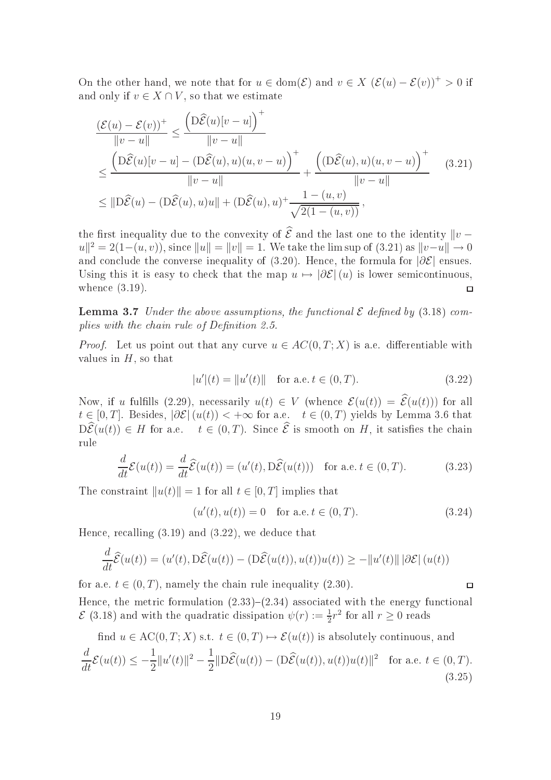On the other hand, we note that for  $u \in \text{dom}(\mathcal{E})$  and  $v \in X$   $(\mathcal{E}(u) - \mathcal{E}(v))^+ > 0$  if and only if  $v \in X \cap V$ , so that we estimate

$$
\frac{(\mathcal{E}(u) - \mathcal{E}(v))^+}{\|v - u\|} \le \frac{\left(D\widehat{\mathcal{E}}(u)[v - u]\right)^+}{\|v - u\|}
$$
\n
$$
\le \frac{\left(D\widehat{\mathcal{E}}(u)[v - u] - (D\widehat{\mathcal{E}}(u), u)(u, v - u)\right)^+}{\|v - u\|} + \frac{\left((D\widehat{\mathcal{E}}(u), u)(u, v - u)\right)^+}{\|v - u\|} \quad (3.21)
$$
\n
$$
\le \|\widehat{D}\widehat{\mathcal{E}}(u) - (D\widehat{\mathcal{E}}(u), u)u\| + (D\widehat{\mathcal{E}}(u), u)^+ \frac{1 - (u, v)}{\sqrt{2(1 - (u, v))}},
$$

the first inequality due to the convexity of  $\hat{\mathcal{E}}$  and the last one to the identity  $\|v |u\|^2 = 2(1-(u,v))$ , since  $||u|| = ||v|| = 1$ . We take the lim sup of (3.21) as  $||v-u|| \to 0$ and conclude the converse inequality of (3.20). Hence, the formula for  $|\partial \mathcal{E}|$  ensues. Using this it is easy to check that the map  $u \mapsto |\partial \mathcal{E}|(u)$  is lower semicontinuous, whence  $(3.19)$ .  $\Box$ 

**Lemma 3.7** Under the above assumptions, the functional  $\mathcal E$  defined by (3.18) complies with the chain rule of Definition 2.5.

*Proof.* Let us point out that any curve  $u \in AC(0,T;X)$  is a.e. differentiable with values in  $H$ , so that

$$
|u'(t) = ||u'(t)|| \quad \text{for a.e. } t \in (0, T). \tag{3.22}
$$

Now, if u fulfills (2.29), necessarily  $u(t) \in V$  (whence  $\mathcal{E}(u(t)) = \hat{\mathcal{E}}(u(t))$ ) for all  $t \in [0, T]$ . Besides,  $|\partial \mathcal{E}|(u(t)) < +\infty$  for a.e.  $t \in (0, T)$  yields by Lemma 3.6 that  $D\widehat{\mathcal{E}}(u(t)) \in H$  for a.e.  $t \in (0,T)$ . Since  $\widehat{\mathcal{E}}$  is smooth on H, it satisfies the chain rule

$$
\frac{d}{dt}\mathcal{E}(u(t)) = \frac{d}{dt}\widehat{\mathcal{E}}(u(t)) = (u'(t), \widehat{D}\widehat{\mathcal{E}}(u(t))) \text{ for a.e. } t \in (0, T). \tag{3.23}
$$

The constraint  $||u(t)|| = 1$  for all  $t \in [0, T]$  implies that

$$
(u'(t), u(t)) = 0 \quad \text{for a.e. } t \in (0, T). \tag{3.24}
$$

 $\Box$ 

Hence, recalling  $(3.19)$  and  $(3.22)$ , we deduce that

$$
\frac{d}{dt}\widehat{\mathcal{E}}(u(t)) = (u'(t), D\widehat{\mathcal{E}}(u(t)) - (D\widehat{\mathcal{E}}(u(t)), u(t))u(t)) \ge -||u'(t)|| |\partial \mathcal{E}| (u(t))
$$

for a.e.  $t \in (0, T)$ , namely the chain rule inequality (2.30).

Hence, the metric formulation  $(2.33)$ – $(2.34)$  associated with the energy functional  $\mathcal{E}(3.18)$  and with the quadratic dissipation  $\psi(r) := \frac{1}{2}r^2$  for all  $r \ge 0$  reads

find  $u \in \mathrm{AC}(0,T;X)$  s.t.  $t \in (0,T) \mapsto \mathcal{E}(u(t))$  is absolutely continuous, and

$$
\frac{d}{dt}\mathcal{E}(u(t)) \le -\frac{1}{2}||u'(t)||^2 - \frac{1}{2}||D\widehat{\mathcal{E}}(u(t)) - (D\widehat{\mathcal{E}}(u(t)), u(t))u(t)||^2 \quad \text{for a.e. } t \in (0, T). \tag{3.25}
$$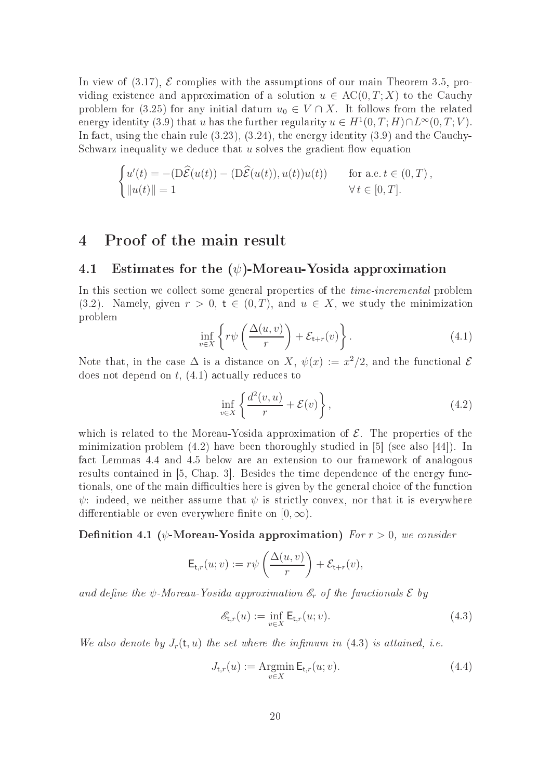In view of  $(3.17)$ ,  $\mathcal E$  complies with the assumptions of our main Theorem 3.5, providing existence and approximation of a solution  $u \in AC(0,T;X)$  to the Cauchy problem for (3.25) for any initial datum  $u_0 \in V \cap X$ . It follows from the related energy identity (3.9) that u has the further regularity  $u \in H^1(0,T;H) \cap L^\infty(0,T;V)$ . In fact, using the chain rule  $(3.23)$ ,  $(3.24)$ , the energy identity  $(3.9)$  and the Cauchy-Schwarz inequality we deduce that  $u$  solves the gradient flow equation

$$
\begin{cases}\nu'(t) = -\left(\mathbf{D}\widehat{\mathcal{E}}(u(t)) - \left(\mathbf{D}\widehat{\mathcal{E}}(u(t)), u(t)\right)u(t)\right) & \text{for a.e. } t \in (0, T), \\
||u(t)|| = 1 & \forall t \in [0, T].\n\end{cases}
$$

## 4 Proof of the main result

## 4.1 Estimates for the  $(\psi)$ -Moreau-Yosida approximation

In this section we collect some general properties of the *time-incremental* problem (3.2). Namely, given  $r > 0$ ,  $t \in (0, T)$ , and  $u \in X$ , we study the minimization problem

$$
\inf_{v \in X} \left\{ r\psi\left(\frac{\Delta(u,v)}{r}\right) + \mathcal{E}_{t+r}(v) \right\}.
$$
\n(4.1)

Note that, in the case  $\Delta$  is a distance on X,  $\psi(x) := x^2/2$ , and the functional  $\mathcal E$ does not depend on  $t$ ,  $(4.1)$  actually reduces to

$$
\inf_{v \in X} \left\{ \frac{d^2(v, u)}{r} + \mathcal{E}(v) \right\},\tag{4.2}
$$

which is related to the Moreau-Yosida approximation of  $\mathcal{E}$ . The properties of the minimization problem  $(4.2)$  have been thoroughly studied in [5] (see also [44]). In fa
t Lemmas 4.4 and 4.5 below are an extension to our framework of analogous results contained in  $[5, Chap. 3]$ . Besides the time dependence of the energy functionals, one of the main difficulties here is given by the general choice of the function  $\psi$ : indeed, we neither assume that  $\psi$  is strictly convex, nor that it is everywhere differentiable or even everywhere finite on  $[0, \infty)$ .

**Definition 4.1** ( $\psi$ -Moreau-Yosida approximation) For  $r > 0$ , we consider

$$
\mathsf{E}_{\mathsf{t},r}(u;v) := r\psi\left(\frac{\Delta(u,v)}{r}\right) + \mathcal{E}_{\mathsf{t}+r}(v),
$$

and define the  $\psi$ -Moreau-Yosida approximation  $\mathscr{E}_r$  of the functionals  $\mathscr{E}$  by

$$
\mathcal{E}_{\mathsf{t},r}(u) := \inf_{v \in X} \mathsf{E}_{\mathsf{t},r}(u;v). \tag{4.3}
$$

We also denote by  $J_r(t, u)$  the set where the infimum in (4.3) is attained, i.e.

$$
J_{\mathsf{t},r}(u) := \underset{v \in X}{\text{Argmin}} \, \mathsf{E}_{\mathsf{t},r}(u;v). \tag{4.4}
$$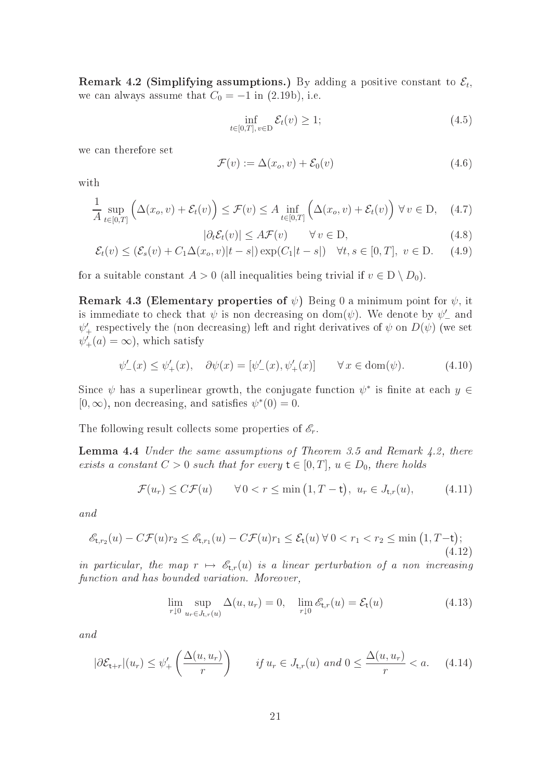Remark 4.2 (Simplifying assumptions.) By adding a positive constant to  $\mathcal{E}_t$ , we can always assume that  $C_0 = -1$  in (2.19b), i.e.

$$
\inf_{t \in [0,T], v \in D} \mathcal{E}_t(v) \ge 1; \tag{4.5}
$$

we an therefore set

$$
\mathcal{F}(v) := \Delta(x_o, v) + \mathcal{E}_0(v) \tag{4.6}
$$

with

$$
\frac{1}{A} \sup_{t \in [0,T]} \left( \Delta(x_o, v) + \mathcal{E}_t(v) \right) \le \mathcal{F}(v) \le A \inf_{t \in [0,T]} \left( \Delta(x_o, v) + \mathcal{E}_t(v) \right) \forall v \in D, \quad (4.7)
$$

$$
|\partial_t \mathcal{E}_t(v)| \le A \mathcal{F}(v) \qquad \forall v \in \mathcal{D}, \tag{4.8}
$$

$$
\mathcal{E}_t(v) \leq (\mathcal{E}_s(v) + C_1 \Delta(x_o, v) |t - s|) \exp(C_1 |t - s|) \quad \forall t, s \in [0, T], \ v \in D.
$$
 (4.9)

for a suitable constant  $A > 0$  (all inequalities being trivial if  $v \in D \setminus D_0$ ).

**Remark 4.3 (Elementary properties of**  $\psi$ ) Being 0 a minimum point for  $\psi$ , it is immediate to check that  $\psi$  is non decreasing on dom( $\psi$ ). We denote by  $\psi'_{-}$  and  $\psi_+^\prime$  respectively the (non decreasing) left and right derivatives of  $\psi$  on  $D(\psi)$  (we set  $\psi'_{+}(a) = \infty$ , which satisfy

$$
\psi'_{-}(x) \le \psi'_{+}(x), \quad \partial \psi(x) = [\psi'_{-}(x), \psi'_{+}(x)] \qquad \forall x \in \text{dom}(\psi). \tag{4.10}
$$

Since  $\psi$  has a superlinear growth, the conjugate function  $\psi^*$  is finite at each  $y \in$  $[0, \infty)$ , non decreasing, and satisfies  $\psi^*(0) = 0$ .

The following result collects some properties of  $\mathscr{E}_r$ .

**Lemma 4.4** Under the same assumptions of Theorem 3.5 and Remark 4.2, there exists a constant  $C > 0$  such that for every  $t \in [0, T]$ ,  $u \in D_0$ , there holds

$$
\mathcal{F}(u_r) \le C \mathcal{F}(u) \qquad \forall \, 0 < r \le \min\left(1, T - \mathsf{t}\right), \ u_r \in J_{\mathsf{t},r}(u),\tag{4.11}
$$

and

$$
\mathcal{E}_{t,r_2}(u) - C\mathcal{F}(u)r_2 \le \mathcal{E}_{t,r_1}(u) - C\mathcal{F}(u)r_1 \le \mathcal{E}_t(u) \,\forall\, 0 < r_1 < r_2 \le \min\left(1, T - t\right); \tag{4.12}
$$

in particular, the map  $r \mapsto \mathscr{E}_{t,r}(u)$  is a linear perturbation of a non increasing function and has bounded variation. Moreover,

$$
\lim_{r \downarrow 0} \sup_{u_r \in J_{\mathsf{t},r}(u)} \Delta(u, u_r) = 0, \quad \lim_{r \downarrow 0} \mathcal{E}_{\mathsf{t},r}(u) = \mathcal{E}_{\mathsf{t}}(u) \tag{4.13}
$$

and

$$
|\partial \mathcal{E}_{t+r}|(u_r) \le \psi'_+ \left(\frac{\Delta(u, u_r)}{r}\right) \qquad \text{if } u_r \in J_{t,r}(u) \text{ and } 0 \le \frac{\Delta(u, u_r)}{r} < a. \tag{4.14}
$$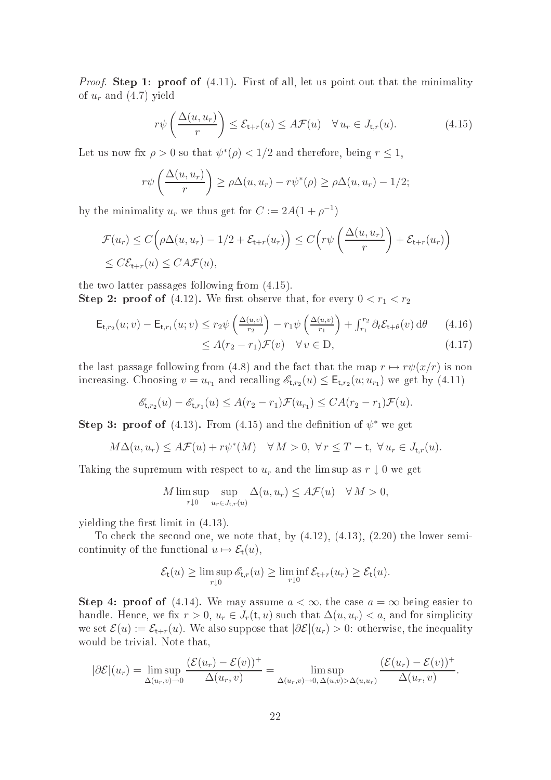*Proof.* Step 1: proof of  $(4.11)$ . First of all, let us point out that the minimality of  $u_r$  and  $(4.7)$  yield

$$
r\psi\left(\frac{\Delta(u,u_r)}{r}\right) \leq \mathcal{E}_{t+r}(u) \leq A\mathcal{F}(u) \quad \forall u_r \in J_{t,r}(u). \tag{4.15}
$$

Let us now fix  $\rho > 0$  so that  $\psi^*(\rho) < 1/2$  and therefore, being  $r \leq 1$ ,

$$
r\psi\left(\frac{\Delta(u, u_r)}{r}\right) \ge \rho \Delta(u, u_r) - r\psi^*(\rho) \ge \rho \Delta(u, u_r) - 1/2;
$$

by the minimality  $u_r$  we thus get for  $C := 2A(1 + \rho^{-1})$ 

$$
\mathcal{F}(u_r) \le C\left(\rho\Delta(u, u_r) - 1/2 + \mathcal{E}_{t+r}(u_r)\right) \le C\left(r\psi\left(\frac{\Delta(u, u_r)}{r}\right) + \mathcal{E}_{t+r}(u_r)\right)
$$
  

$$
\le C\mathcal{E}_{t+r}(u) \le C A \mathcal{F}(u),
$$

the two latter passages following from (4.15). **Step 2: proof of** (4.12). We first observe that, for every  $0 < r_1 < r_2$ 

$$
\mathsf{E}_{\mathsf{t},r_2}(u;v) - \mathsf{E}_{\mathsf{t},r_1}(u;v) \le r_2 \psi \left(\frac{\Delta(u,v)}{r_2}\right) - r_1 \psi \left(\frac{\Delta(u,v)}{r_1}\right) + \int_{r_1}^{r_2} \partial_t \mathcal{E}_{\mathsf{t}+\theta}(v) \,d\theta \qquad (4.16)
$$

$$
\le A(r_2 - r_1)\mathcal{F}(v) \quad \forall \, v \in \mathcal{D}, \tag{4.17}
$$

the last passage following from (4.8) and the fact that the map  $r \mapsto r\psi(x/r)$  is non increasing. Choosing  $v = u_{r_1}$  and recalling  $\mathscr{E}_{t,r_2}(u) \leq \mathsf{E}_{t,r_2}(u; u_{r_1})$  we get by (4.11)

$$
\mathscr{E}_{\mathsf{t},r_2}(u) - \mathscr{E}_{\mathsf{t},r_1}(u) \leq A(r_2 - r_1)\mathcal{F}(u_{r_1}) \leq CA(r_2 - r_1)\mathcal{F}(u).
$$

Step 3: proof of (4.13). From (4.15) and the definition of  $\psi^*$  we get

$$
M\Delta(u, u_r) \leq A\mathcal{F}(u) + r\psi^*(M) \quad \forall M > 0, \ \forall r \leq T - t, \ \forall u_r \in J_{t,r}(u).
$$

Taking the supremum with respect to  $u_r$  and the lim sup as  $r \downarrow 0$  we get

$$
M \limsup_{r \downarrow 0} \sup_{u_r \in J_{t,r}(u)} \Delta(u, u_r) \leq A \mathcal{F}(u) \quad \forall M > 0,
$$

yielding the first limit in  $(4.13)$ .

To check the second one, we note that, by  $(4.12)$ ,  $(4.13)$ ,  $(2.20)$  the lower semicontinuity of the functional  $u \mapsto \mathcal{E}_{t}(u)$ ,

$$
\mathcal{E}_{\mathsf{t}}(u) \geq \limsup_{r \downarrow 0} \mathscr{E}_{\mathsf{t},r}(u) \geq \liminf_{r \downarrow 0} \mathcal{E}_{\mathsf{t}+r}(u_r) \geq \mathcal{E}_{\mathsf{t}}(u).
$$

**Step 4: proof of** (4.14). We may assume  $a < \infty$ , the case  $a = \infty$  being easier to handle. Hence, we fix  $r > 0$ ,  $u_r \in J_r(\mathsf{t}, u)$  such that  $\Delta(u, u_r) < a$ , and for simplicity we set  $\mathcal{E}(u) := \mathcal{E}_{t+r}(u)$ . We also suppose that  $|\partial \mathcal{E}|(u_r) > 0$ : otherwise, the inequality would be trivial. Note that,

$$
|\partial \mathcal{E}|(u_r) = \limsup_{\Delta(u_r,v)\to 0} \frac{(\mathcal{E}(u_r) - \mathcal{E}(v))^+}{\Delta(u_r,v)} = \limsup_{\Delta(u_r,v)\to 0, \Delta(u,v) > \Delta(u,u_r)} \frac{(\mathcal{E}(u_r) - \mathcal{E}(v))^+}{\Delta(u_r,v)}.
$$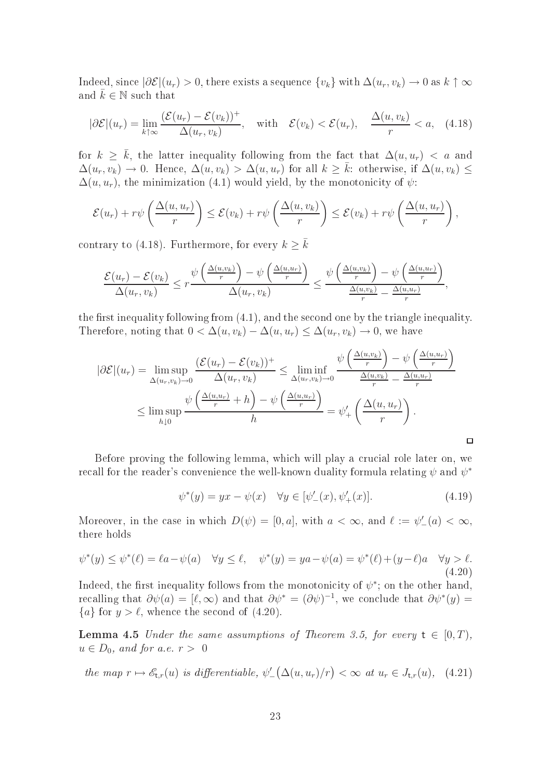Indeed, since  $|\partial \mathcal{E}|(u_r) > 0$ , there exists a sequence  $\{v_k\}$  with  $\Delta(u_r, v_k) \to 0$  as  $k \uparrow \infty$ and  $k \in \mathbb{N}$  such that

$$
|\partial \mathcal{E}|(u_r) = \lim_{k \uparrow \infty} \frac{(\mathcal{E}(u_r) - \mathcal{E}(v_k))^+}{\Delta(u_r, v_k)}, \quad \text{with} \quad \mathcal{E}(v_k) < \mathcal{E}(u_r), \quad \frac{\Delta(u, v_k)}{r} < a, \quad (4.18)
$$

for  $k \geq \bar{k}$ , the latter inequality following from the fact that  $\Delta(u, u_r) < a$  and  $\Delta(u_r, v_k) \to 0$ . Hence,  $\Delta(u, v_k) > \Delta(u, u_r)$  for all  $k \geq \overline{k}$ : otherwise, if  $\Delta(u, v_k) \leq$  $\Delta(u, u_r)$ , the minimization (4.1) would yield, by the monotonicity of  $\psi$ :

$$
\mathcal{E}(u_r) + r\psi\left(\frac{\Delta(u, u_r)}{r}\right) \le \mathcal{E}(v_k) + r\psi\left(\frac{\Delta(u, v_k)}{r}\right) \le \mathcal{E}(v_k) + r\psi\left(\frac{\Delta(u, u_r)}{r}\right),
$$

contrary to (4.18). Furthermore, for every  $k \geq \overline{k}$ 

$$
\frac{\mathcal{E}(u_r) - \mathcal{E}(v_k)}{\Delta(u_r, v_k)} \leq r \frac{\psi\left(\frac{\Delta(u, v_k)}{r}\right) - \psi\left(\frac{\Delta(u, u_r)}{r}\right)}{\Delta(u_r, v_k)} \leq \frac{\psi\left(\frac{\Delta(u, v_k)}{r}\right) - \psi\left(\frac{\Delta(u, u_r)}{r}\right)}{\frac{\Delta(u, v_k)}{r} - \frac{\Delta(u, u_r)}{r}},
$$

the first inequality following from  $(4.1)$ , and the second one by the triangle inequality. Therefore, noting that  $0 < \Delta(u, v_k) - \Delta(u, u_r) \leq \Delta(u_r, v_k) \to 0$ , we have

$$
|\partial \mathcal{E}|(u_r) = \limsup_{\Delta(u_r, v_k) \to 0} \frac{(\mathcal{E}(u_r) - \mathcal{E}(v_k))^+}{\Delta(u_r, v_k)} \le \liminf_{\Delta(u_r, v_k) \to 0} \frac{\psi\left(\frac{\Delta(u, v_k)}{r}\right) - \psi\left(\frac{\Delta(u, u_r)}{r}\right)}{\frac{\Delta(u, v_k)}{r} - \frac{\Delta(u, u_r)}{r}}
$$
  

$$
\le \limsup_{h \downarrow 0} \frac{\psi\left(\frac{\Delta(u, u_r)}{r} + h\right) - \psi\left(\frac{\Delta(u, u_r)}{r}\right)}{h} = \psi'_+ \left(\frac{\Delta(u, u_r)}{r}\right).
$$

Before proving the following lemma, which will play a crucial role later on, we recall for the reader's convenience the well-known duality formula relating  $\psi$  and  $\psi^*$ 

$$
\psi^*(y) = yx - \psi(x) \quad \forall y \in [\psi'_{-}(x), \psi'_{+}(x)]. \tag{4.19}
$$

 $\Box$ 

Moreover, in the case in which  $D(\psi) = [0, a]$ , with  $a < \infty$ , and  $\ell := \psi'_{-}(a) < \infty$ , there holds

$$
\psi^*(y) \le \psi^*(\ell) = \ell a - \psi(a) \quad \forall y \le \ell, \quad \psi^*(y) = ya - \psi(a) = \psi^*(\ell) + (y - \ell)a \quad \forall y > \ell.
$$
\n(4.20)

Indeed, the first inequality follows from the monotonicity of  $\psi^*$ ; on the other hand, recalling that  $\partial \psi(a) = [\ell, \infty)$  and that  $\partial \psi^* = (\partial \psi)^{-1}$ , we conclude that  $\partial \psi^*(y) =$  ${a}$  for  $y > l$ , whence the second of (4.20).

**Lemma 4.5** Under the same assumptions of Theorem 3.5, for every  $t \in [0, T)$ ,  $u \in D_0$ , and for a.e.  $r > 0$ 

the map 
$$
r \mapsto \mathscr{E}_{t,r}(u)
$$
 is differentiable,  $\psi'_{-}(\Delta(u, u_r)/r) < \infty$  at  $u_r \in J_{t,r}(u)$ , (4.21)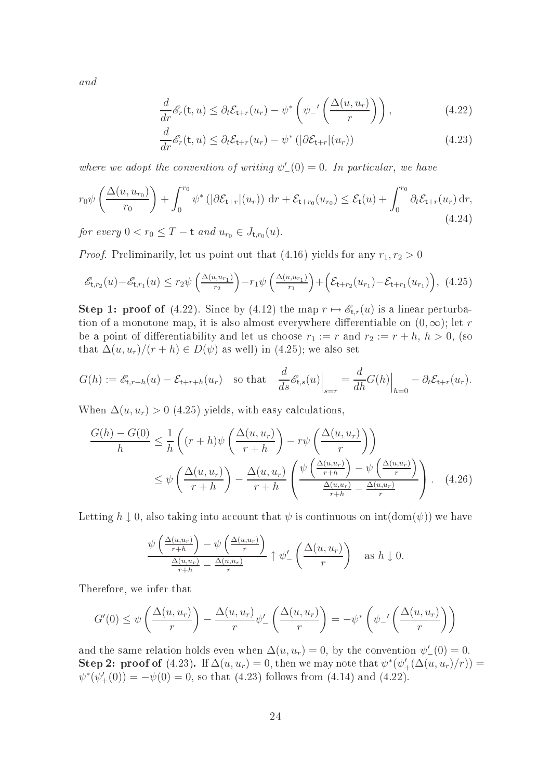and

$$
\frac{d}{dr}\mathcal{E}_r(\mathsf{t},u) \leq \partial_t \mathcal{E}_{\mathsf{t}+r}(u_r) - \psi^* \left(\psi_-' \left(\frac{\Delta(u,u_r)}{r}\right)\right),\tag{4.22}
$$

$$
\frac{d}{dr}\mathcal{E}_r(\mathsf{t},u) \leq \partial_t \mathcal{E}_{\mathsf{t}+r}(u_r) - \psi^* \left( |\partial \mathcal{E}_{\mathsf{t}+r}|(u_r) \right) \tag{4.23}
$$

where we adopt the convention of writing  $\psi'_{-}(0) = 0$ . In particular, we have

$$
r_0\psi\left(\frac{\Delta(u, u_{r_0})}{r_0}\right) + \int_0^{r_0} \psi^*\left(|\partial \mathcal{E}_{t+r}|(u_r)\right) dr + \mathcal{E}_{t+r_0}(u_{r_0}) \leq \mathcal{E}_t(u) + \int_0^{r_0} \partial_t \mathcal{E}_{t+r}(u_r) dr,
$$
\n(4.24)

for every  $0 < r_0 \leq T - t$  and  $u_{r_0} \in J_{t,r_0}(u)$ .

*Proof.* Preliminarily, let us point out that (4.16) yields for any  $r_1, r_2 > 0$ 

$$
\mathcal{E}_{t,r_2}(u) - \mathcal{E}_{t,r_1}(u) \le r_2 \psi \left( \frac{\Delta(u, u_{r_1})}{r_2} \right) - r_1 \psi \left( \frac{\Delta(u, u_{r_1})}{r_1} \right) + \left( \mathcal{E}_{t+r_2}(u_{r_1}) - \mathcal{E}_{t+r_1}(u_{r_1}) \right), (4.25)
$$

**Step 1: proof of** (4.22). Since by (4.12) the map  $r \mapsto \mathscr{E}_{tr}(u)$  is a linear perturbation of a monotone map, it is also almost everywhere differentiable on  $(0, \infty)$ ; let r be a point of differentiability and let us choose  $r_1 := r$  and  $r_2 := r + h$ ,  $h > 0$ , (so that  $\Delta(u, u_r)/(r + h) \in D(\psi)$  as well) in (4.25); we also set

$$
G(h) := \mathcal{E}_{\mathsf{t},r+h}(u) - \mathcal{E}_{\mathsf{t}+r+h}(u_r) \quad \text{so that} \quad \frac{d}{ds} \mathcal{E}_{\mathsf{t},s}(u) \Big|_{s=r} = \frac{d}{dh} G(h) \Big|_{h=0} - \partial_t \mathcal{E}_{\mathsf{t}+r}(u_r).
$$

When  $\Delta(u, u_r) > 0$  (4.25) yields, with easy calculations,

$$
\frac{G(h) - G(0)}{h} \le \frac{1}{h} \left( (r+h)\psi\left(\frac{\Delta(u, u_r)}{r+h}\right) - r\psi\left(\frac{\Delta(u, u_r)}{r}\right) \right)
$$
  

$$
\le \psi\left(\frac{\Delta(u, u_r)}{r+h}\right) - \frac{\Delta(u, u_r)}{r+h} \left(\frac{\psi\left(\frac{\Delta(u, u_r)}{r+h}\right) - \psi\left(\frac{\Delta(u, u_r)}{r}\right)}{\frac{\Delta(u, u_r)}{r+h} - \frac{\Delta(u, u_r)}{r}}\right). \quad (4.26)
$$

Letting  $h \downarrow 0$ , also taking into account that  $\psi$  is continuous on  $\text{int}(\text{dom}(\psi))$  we have

$$
\frac{\psi\left(\frac{\Delta(u,u_r)}{r+h}\right) - \psi\left(\frac{\Delta(u,u_r)}{r}\right)}{\frac{\Delta(u,u_r)}{r+h} - \frac{\Delta(u,u_r)}{r}} \uparrow \psi'_-\left(\frac{\Delta(u,u_r)}{r}\right) \text{ as } h \downarrow 0.
$$

Therefore, we infer that

$$
G'(0) \le \psi\left(\frac{\Delta(u, u_r)}{r}\right) - \frac{\Delta(u, u_r)}{r} \psi'_-\left(\frac{\Delta(u, u_r)}{r}\right) = -\psi^* \left(\psi_-' \left(\frac{\Delta(u, u_r)}{r}\right)\right)
$$

and the same relation holds even when  $\Delta(u, u_r) = 0$ , by the convention  $\psi'_{-}(0) = 0$ . Step 2: proof of (4.23). If  $\Delta(u, u_r) = 0$ , then we may note that  $\psi^*(\psi'_+(\Delta(u, u_r)/r)) =$  $\psi^*(\psi'_+(0)) = -\psi(0) = 0$ , so that (4.23) follows from (4.14) and (4.22).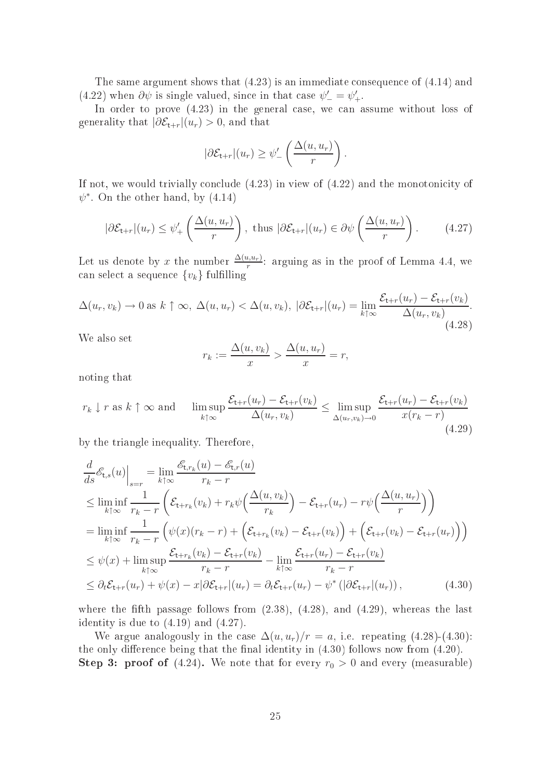The same argument shows that  $(4.23)$  is an immediate consequence of  $(4.14)$  and (4.22) when  $\partial \psi$  is single valued, since in that case  $\psi' = \psi'_{+}$ .

In order to prove  $(4.23)$  in the general case, we can assume without loss of generality that  $|\partial \mathcal{E}_{t+r}|(u_r) > 0$ , and that

$$
|\partial \mathcal{E}_{t+r}|(u_r) \geq \psi'_{-}\left(\frac{\Delta(u, u_r)}{r}\right).
$$

If not, we would trivially conclude  $(4.23)$  in view of  $(4.22)$  and the monotonicity of  $\psi^*$ . On the other hand, by  $(4.14)$ 

$$
|\partial \mathcal{E}_{t+r}|(u_r) \le \psi'_+ \left(\frac{\Delta(u, u_r)}{r}\right), \text{ thus } |\partial \mathcal{E}_{t+r}|(u_r) \in \partial \psi \left(\frac{\Delta(u, u_r)}{r}\right). \tag{4.27}
$$

Let us denote by x the number  $\frac{\Delta(u, u_r)}{r}$ : arguing as in the proof of Lemma 4.4, we can select a sequence  $\{v_k\}$  fulfilling

$$
\Delta(u_r, v_k) \to 0 \text{ as } k \uparrow \infty, \ \Delta(u, u_r) < \Delta(u, v_k), \ |\partial \mathcal{E}_{t+r}|(u_r) = \lim_{k \uparrow \infty} \frac{\mathcal{E}_{t+r}(u_r) - \mathcal{E}_{t+r}(v_k)}{\Delta(u_r, v_k)}.
$$
\n
$$
(4.28)
$$

We also set

$$
r_k := \frac{\Delta(u, v_k)}{x} > \frac{\Delta(u, u_r)}{x} = r,
$$

noting that

$$
r_k \downarrow r \text{ as } k \uparrow \infty \text{ and } \limsup_{k \uparrow \infty} \frac{\mathcal{E}_{\mathsf{t}+r}(u_r) - \mathcal{E}_{\mathsf{t}+r}(v_k)}{\Delta(u_r, v_k)} \le \limsup_{\Delta(u_r, v_k) \to 0} \frac{\mathcal{E}_{\mathsf{t}+r}(u_r) - \mathcal{E}_{\mathsf{t}+r}(v_k)}{x(r_k - r)} \tag{4.29}
$$

by the triangle inequality. Therefore,

$$
\frac{d}{ds}\mathcal{E}_{t,s}(u)\Big|_{s=r} = \lim_{k\uparrow\infty}\frac{\mathcal{E}_{t,r_k}(u) - \mathcal{E}_{t,r}(u)}{r_k - r}
$$
\n
$$
\leq \liminf_{k\uparrow\infty}\frac{1}{r_k - r}\left(\mathcal{E}_{t+r_k}(v_k) + r_k\psi\left(\frac{\Delta(u,v_k)}{r_k}\right) - \mathcal{E}_{t+r}(u_r) - r\psi\left(\frac{\Delta(u,u_r)}{r}\right)\right)
$$
\n
$$
= \liminf_{k\uparrow\infty}\frac{1}{r_k - r}\left(\psi(x)(r_k - r) + \left(\mathcal{E}_{t+r_k}(v_k) - \mathcal{E}_{t+r}(v_k)\right) + \left(\mathcal{E}_{t+r}(v_k) - \mathcal{E}_{t+r}(u_r)\right)\right)
$$
\n
$$
\leq \psi(x) + \limsup_{k\uparrow\infty}\frac{\mathcal{E}_{t+r_k}(v_k) - \mathcal{E}_{t+r}(v_k)}{r_k - r} - \lim_{k\uparrow\infty}\frac{\mathcal{E}_{t+r}(u_r) - \mathcal{E}_{t+r}(v_k)}{r_k - r}
$$
\n
$$
\leq \partial_t\mathcal{E}_{t+r}(u_r) + \psi(x) - x|\partial\mathcal{E}_{t+r}(u_r) = \partial_t\mathcal{E}_{t+r}(u_r) - \psi^*(|\partial\mathcal{E}_{t+r}(u_r))\,,\tag{4.30}
$$

where the fifth passage follows from  $(2.38)$ ,  $(4.28)$ , and  $(4.29)$ , whereas the last identity is due to (4.19) and (4.27).

We argue analogously in the case  $\Delta(u, u_r)/r = a$ , i.e. repeating (4.28)-(4.30): the only difference being that the final identity in  $(4.30)$  follows now from  $(4.20)$ . **Step 3: proof of** (4.24). We note that for every  $r_0 > 0$  and every (measurable)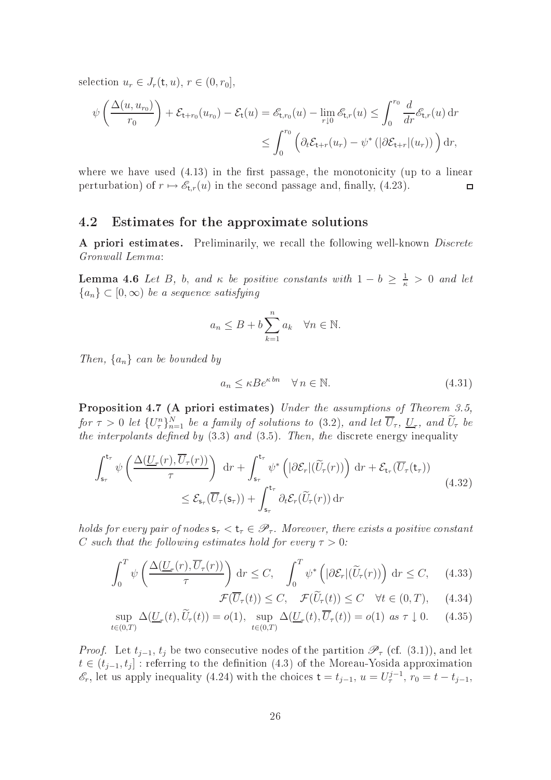selection  $u_r \in J_r(\mathsf{t}, u)$ ,  $r \in (0, r_0]$ ,

$$
\psi\left(\frac{\Delta(u, u_{r_0})}{r_0}\right) + \mathcal{E}_{\mathsf{t}+r_0}(u_{r_0}) - \mathcal{E}_{\mathsf{t}}(u) = \mathscr{E}_{\mathsf{t},r_0}(u) - \lim_{r \downarrow 0} \mathscr{E}_{\mathsf{t},r}(u) \le \int_0^{r_0} \frac{d}{dr} \mathscr{E}_{\mathsf{t},r}(u) dr
$$

$$
\le \int_0^{r_0} \left(\partial_t \mathcal{E}_{\mathsf{t}+r}(u_r) - \psi^* \left(|\partial \mathcal{E}_{\mathsf{t}+r}|(u_r)\right)\right) dr,
$$

where we have used  $(4.13)$  in the first passage, the monotonicity (up to a linear perturbation) of  $r \mapsto \mathscr{E}_{t,r}(u)$  in the second passage and, finally, (4.23).  $\Box$ 

## 4.2 Estimates for the approximate solutions

A priori estimates. Preliminarily, we recall the following well-known *Discrete* Gronwall Lemma:

**Lemma 4.6** Let B, b, and  $\kappa$  be positive constants with  $1-b \geq \frac{1}{\kappa} > 0$  and let  ${a_n} \subset [0, \infty)$  be a sequence satisfying

$$
a_n \le B + b \sum_{k=1}^n a_k \quad \forall n \in \mathbb{N}.
$$

Then,  $\{a_n\}$  can be bounded by

$$
a_n \le \kappa B e^{\kappa b n} \quad \forall n \in \mathbb{N}.\tag{4.31}
$$

Proposition 4.7 (A priori estimates) Under the assumptions of Theorem 3.5, for  $\tau > 0$  let  $\{U_{\tau}^n\}_{n=1}^N$  be a family of solutions to (3.2), and let  $\overline{U}_{\tau},\,\underline{U}_{\tau},$  and  $\overline{U}_{\tau}$  be the interpolants defined by  $(3.3)$  and  $(3.5)$ . Then, the discrete energy inequality

$$
\int_{\mathsf{s}_{\tau}}^{\mathsf{t}_{\tau}} \psi \left( \frac{\Delta(\underline{U}_{\tau}(r), \overline{U}_{\tau}(r))}{\tau} \right) dr + \int_{\mathsf{s}_{\tau}}^{\mathsf{t}_{\tau}} \psi^* \left( |\partial \mathcal{E}_r| (\widetilde{U}_{\tau}(r)) \right) dr + \mathcal{E}_{\mathsf{t}_{\tau}}(\overline{U}_{\tau}(\mathsf{t}_{\tau}))
$$
\n
$$
\leq \mathcal{E}_{\mathsf{s}_{\tau}}(\overline{U}_{\tau}(\mathsf{s}_{\tau})) + \int_{\mathsf{s}_{\tau}}^{\mathsf{t}_{\tau}} \partial_t \mathcal{E}_r(\widetilde{U}_{\tau}(r)) dr \tag{4.32}
$$

holds for every pair of nodes  $s_{\tau} < t_{\tau} \in \mathscr{P}_{\tau}$ . Moreover, there exists a positive constant C such that the following estimates hold for every  $\tau > 0$ :

$$
\int_0^T \psi\left(\frac{\Delta(\underline{U}_\tau(r), \overline{U}_\tau(r))}{\tau}\right) \, \mathrm{d}r \le C, \quad \int_0^T \psi^*\left(|\partial \mathcal{E}_r|(\widetilde{U}_\tau(r))\right) \, \mathrm{d}r \le C, \quad (4.33)
$$

$$
\mathcal{F}(\overline{U}_{\tau}(t)) \leq C, \quad \mathcal{F}(\widetilde{U}_{\tau}(t)) \leq C \quad \forall t \in (0, T), \quad (4.34)
$$

$$
\sup_{t \in (0,T)} \Delta(\underline{U}_{\tau}(t), \widetilde{U}_{\tau}(t)) = o(1), \sup_{t \in (0,T)} \Delta(\underline{U}_{\tau}(t), \overline{U}_{\tau}(t)) = o(1) \text{ as } \tau \downarrow 0. \tag{4.35}
$$

*Proof.* Let  $t_{i-1}$ ,  $t_i$  be two consecutive nodes of the partition  $\mathscr{P}_{\tau}$  (cf. (3.1)), and let  $t \in (t_{j-1}, t_j]$  : referring to the definition (4.3) of the Moreau-Yosida approximation  $\mathscr{E}_r$ , let us apply inequality (4.24) with the choices  $t = t_{j-1}$ ,  $u = U^{j-1}_\tau$ ,  $r_0 = t - t_{j-1}$ ,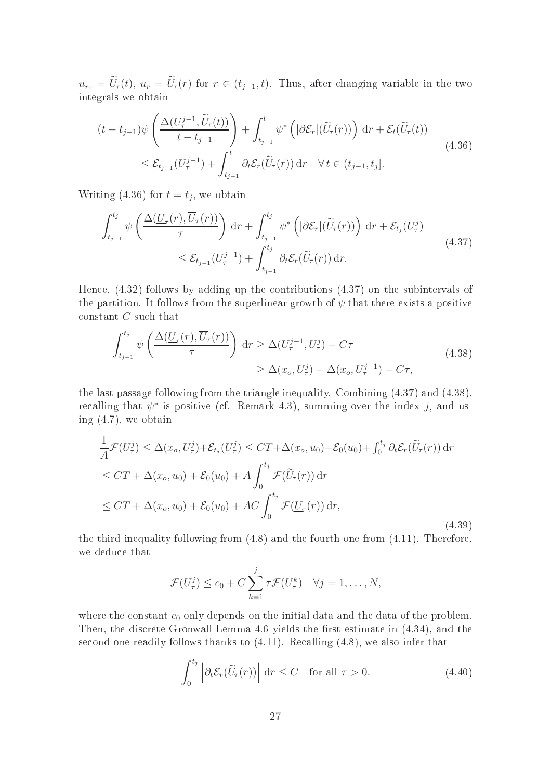$u_{r_0} = \widetilde{U}_r(t)$ ,  $u_r = \widetilde{U}_r(r)$  for  $r \in (t_{j-1}, t)$ . Thus, after changing variable in the two integrals we obtain

$$
(t - t_{j-1})\psi\left(\frac{\Delta(U_{\tau}^{j-1}, \widetilde{U}_{\tau}(t))}{t - t_{j-1}}\right) + \int_{t_{j-1}}^{t} \psi^*\left(|\partial \mathcal{E}_r|(\widetilde{U}_{\tau}(r))\right) dr + \mathcal{E}_t(\widetilde{U}_{\tau}(t))
$$
  

$$
\leq \mathcal{E}_{t_{j-1}}(U_{\tau}^{j-1}) + \int_{t_{j-1}}^{t} \partial_t \mathcal{E}_r(\widetilde{U}_{\tau}(r)) dr \quad \forall t \in (t_{j-1}, t_j].
$$
\n(4.36)

Writing (4.36) for  $t = t_j$ , we obtain

$$
\int_{t_{j-1}}^{t_j} \psi\left(\frac{\Delta(\underline{U}_{\tau}(r), \overline{U}_{\tau}(r))}{\tau}\right) dr + \int_{t_{j-1}}^{t_j} \psi^*\left(|\partial \mathcal{E}_r|(\widetilde{U}_{\tau}(r))\right) dr + \mathcal{E}_{t_j}(U_{\tau}^j)
$$
\n
$$
\leq \mathcal{E}_{t_{j-1}}(U_{\tau}^{j-1}) + \int_{t_{j-1}}^{t_j} \partial_t \mathcal{E}_r(\widetilde{U}_{\tau}(r)) dr.
$$
\n(4.37)

Hen
e, (4.32) follows by adding up the ontributions (4.37) on the subintervals of the partition. It follows from the superlinear growth of  $\psi$  that there exists a positive constant C such that

$$
\int_{t_{j-1}}^{t_j} \psi\left(\frac{\Delta(\underline{U}_{\tau}(r), \overline{U}_{\tau}(r))}{\tau}\right) dr \geq \Delta(U_{\tau}^{j-1}, U_{\tau}^j) - C\tau
$$
\n
$$
\geq \Delta(x_o, U_{\tau}^j) - \Delta(x_o, U_{\tau}^{j-1}) - C\tau,
$$
\n(4.38)

the last passage following from the triangle inequality. Combining (4.37) and (4.38), recalling that  $\psi^*$  is positive (cf. Remark 4.3), summing over the index j, and using (4.7), we obtain

$$
\frac{1}{A}\mathcal{F}(U_{\tau}^{j}) \leq \Delta(x_{o}, U_{\tau}^{j}) + \mathcal{E}_{t_{j}}(U_{\tau}^{j}) \leq CT + \Delta(x_{o}, u_{0}) + \mathcal{E}_{0}(u_{0}) + \int_{0}^{t_{j}} \partial_{t} \mathcal{E}_{r}(\widetilde{U}_{\tau}(r)) dr
$$
\n
$$
\leq CT + \Delta(x_{o}, u_{0}) + \mathcal{E}_{0}(u_{0}) + A \int_{0}^{t_{j}} \mathcal{F}(\widetilde{U}_{\tau}(r)) dr
$$
\n
$$
\leq CT + \Delta(x_{o}, u_{0}) + \mathcal{E}_{0}(u_{0}) + AC \int_{0}^{t_{j}} \mathcal{F}(\underline{U}_{\tau}(r)) dr,
$$
\n(4.39)

the third inequality following from (4.8) and the fourth one from (4.11). Therefore, we dedu
e that

$$
\mathcal{F}(U_{\tau}^j) \le c_0 + C \sum_{k=1}^j \tau \mathcal{F}(U_{\tau}^k) \quad \forall j = 1, \ldots, N,
$$

where the constant  $c_0$  only depends on the initial data and the data of the problem. Then, the discrete Gronwall Lemma 4.6 yields the first estimate in  $(4.34)$ , and the second one readily follows thanks to  $(4.11)$ . Recalling  $(4.8)$ , we also infer that

$$
\int_0^{t_j} \left| \partial_t \mathcal{E}_r(\widetilde{U}_r(r)) \right| \, \mathrm{d}r \le C \quad \text{for all } \tau > 0. \tag{4.40}
$$

 $\sqrt{1}$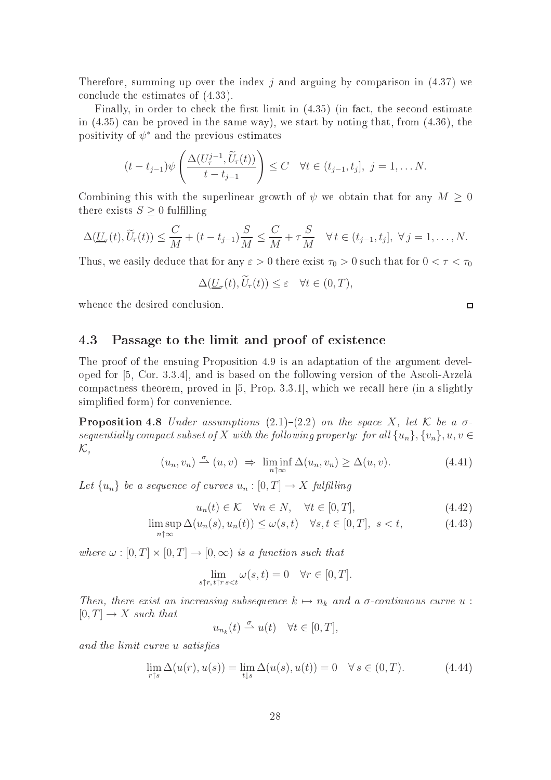Therefore, summing up over the index  $j$  and arguing by comparison in (4.37) we on
lude the estimates of (4.33).

Finally, in order to check the first limit in  $(4.35)$  (in fact, the second estimate in  $(4.35)$  can be proved in the same way), we start by noting that, from  $(4.36)$ , the positivity of  $\psi^*$  and the previous estimates

$$
(t-t_{j-1})\psi\left(\frac{\Delta(U_{\tau}^{j-1},\widetilde{U}_{\tau}(t))}{t-t_{j-1}}\right)\leq C \quad \forall t\in(t_{j-1},t_j],\ j=1,\ldots N.
$$

Combining this with the superlinear growth of  $\psi$  we obtain that for any  $M \geq 0$ there exists  $S \geq 0$  fulfilling

$$
\Delta(\underline{U}_{\tau}(t),\widetilde{U}_{\tau}(t))\leq \frac{C}{M}+(t-t_{j-1})\frac{S}{M}\leq \frac{C}{M}+\tau\frac{S}{M}\quad \forall t\in(t_{j-1},t_j],\ \forall j=1,\ldots,N.
$$

Thus, we easily deduce that for any  $\varepsilon > 0$  there exist  $\tau_0 > 0$  such that for  $0 < \tau < \tau_0$ 

$$
\Delta(\underline{U}_{\tau}(t), U_{\tau}(t)) \leq \varepsilon \quad \forall t \in (0, T),
$$

whence the desired conclusion.

#### 4.3 Passage to the limit and proof of existence

The proof of the ensuing Proposition 4.9 is an adaptation of the argument developed for  $[5, Cor. 3.3.4]$ , and is based on the following version of the Ascoli-Arzelà compactness theorem, proved in  $[5, Prop. 3.3.1]$ , which we recall here (in a slightly simplified form) for convenience.

**Proposition 4.8** Under assumptions  $(2.1)-(2.2)$  on the space X, let K be a  $\sigma$ sequentially compact subset of X with the following property: for all  $\{u_n\}, \{v_n\}, u, v \in$  ${\cal K}$  ,

$$
(u_n, v_n) \stackrel{\sigma}{\rightharpoonup} (u, v) \Rightarrow \liminf_{n \uparrow \infty} \Delta(u_n, v_n) \ge \Delta(u, v). \tag{4.41}
$$

Let  $\{u_n\}$  be a sequence of curves  $u_n : [0, T] \to X$  fulfilling

$$
u_n(t) \in \mathcal{K} \quad \forall n \in N, \quad \forall t \in [0, T], \tag{4.42}
$$

$$
\limsup_{n \uparrow \infty} \Delta(u_n(s), u_n(t)) \le \omega(s, t) \quad \forall s, t \in [0, T], \ s < t,\tag{4.43}
$$

where  $\omega : [0, T] \times [0, T] \rightarrow [0, \infty)$  is a function such that

$$
\lim_{s \uparrow r, t \uparrow r s < t} \omega(s, t) = 0 \quad \forall r \in [0, T].
$$

Then, there exist an increasing subsequence  $k \mapsto n_k$  and a  $\sigma$ -continuous curve  $u$ :  $[0, T] \rightarrow X$  such that

$$
u_{n_k}(t) \stackrel{\sigma}{\rightharpoonup} u(t) \quad \forall t \in [0, T],
$$

and the limit curve u satisfies

$$
\lim_{r \uparrow s} \Delta(u(r), u(s)) = \lim_{t \downarrow s} \Delta(u(s), u(t)) = 0 \quad \forall s \in (0, T). \tag{4.44}
$$

 $\Box$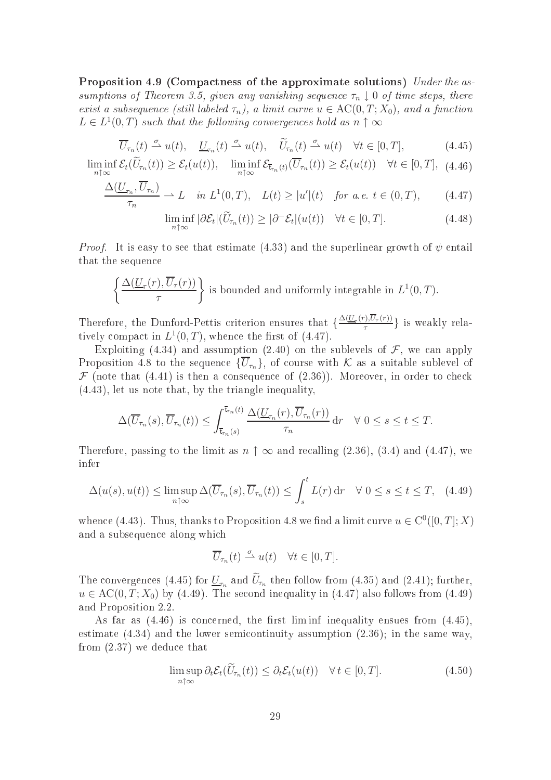Proposition 4.9 (Compactness of the approximate solutions) Under the assumptions of Theorem 3.5, given any vanishing sequence  $\tau_n \downarrow 0$  of time steps, there exist a subsequence (still labeled  $\tau_n$ ), a limit curve  $u \in \mathrm{AC}(0,T;X_0)$ , and a function  $L \in L^1(0,T)$  such that the following convergences hold as  $n \uparrow \infty$ 

$$
\overline{U}_{\tau_n}(t) \stackrel{\sigma}{\rightharpoonup} u(t), \quad \underline{U}_{\tau_n}(t) \stackrel{\sigma}{\rightharpoonup} u(t), \quad \widetilde{U}_{\tau_n}(t) \stackrel{\sigma}{\rightharpoonup} u(t) \quad \forall t \in [0, T], \tag{4.45}
$$

$$
\liminf_{n \uparrow \infty} \mathcal{E}_t(\bar{U}_{\tau_n}(t)) \ge \mathcal{E}_t(u(t)), \quad \liminf_{n \uparrow \infty} \mathcal{E}_{\bar{\tau}_{\tau_n}(t)}(\overline{U}_{\tau_n}(t)) \ge \mathcal{E}_t(u(t)) \quad \forall t \in [0, T], \tag{4.46}
$$

$$
\frac{\Delta(\underline{U}_{\tau_n}, U_{\tau_n})}{\tau_n} \rightharpoonup L \quad \text{in } L^1(0, T), \quad L(t) \ge |u'|(t) \quad \text{for a.e. } t \in (0, T), \tag{4.47}
$$

$$
\liminf_{n \uparrow \infty} |\partial \mathcal{E}_t|(\widetilde{U}_{\tau_n}(t)) \ge |\partial^- \mathcal{E}_t|(u(t)) \quad \forall t \in [0, T]. \tag{4.48}
$$

*Proof.* It is easy to see that estimate (4.33) and the superlinear growth of  $\psi$  entail that the sequen
e

$$
\left\{\frac{\Delta(\underline{U}_{\tau}(r),\overline{U}_{\tau}(r))}{\tau}\right\}
$$
 is bounded and uniformly integrable in  $L^1(0,T)$ .

Therefore, the Dunford-Pettis criterion ensures that  $\frac{\Delta(U_{\tau}(r),U_{\tau}(r))}{\tau}$  $\left\{\frac{\partial}{\partial \tau} \left( \frac{r}{r} \right) \right\}$  is weakly relatively compact in  $L^1(0,T)$ , whence the first of (4.47).

Exploiting (4.34) and assumption (2.40) on the sublevels of  $\mathcal F$ , we can apply Proposition 4.8 to the sequence  $\{\overline{U}_{\tau_n}\}\,$  of course with K as a suitable sublevel of  $\mathcal F$  (note that (4.41) is then a consequence of (2.36)). Moreover, in order to check (4.43), let us note that, by the triangle inequality,

$$
\Delta(\overline{U}_{\tau_n}(s),\overline{U}_{\tau_n}(t))\leq \int_{\overline{\mathbf{t}}_{\tau_n}(s)}^{\overline{\mathbf{t}}_{\tau_n}(t)}\frac{\Delta(\underline{U}_{\tau_n}(r),\overline{U}_{\tau_n}(r))}{\tau_n}\,\mathrm{d} r\quad\forall\;0\leq s\leq t\leq T.
$$

Therefore, passing to the limit as  $n \uparrow \infty$  and recalling (2.36), (3.4) and (4.47), we infer

$$
\Delta(u(s), u(t)) \le \limsup_{n \uparrow \infty} \Delta(\overline{U}_{\tau_n}(s), \overline{U}_{\tau_n}(t)) \le \int_s^t L(r) \, \mathrm{d}r \quad \forall \ 0 \le s \le t \le T, \quad (4.49)
$$

whence (4.43). Thus, thanks to Proposition 4.8 we find a limit curve  $u \in C^0([0,T];X)$ and a subsequen
e along whi
h

$$
\overline{U}_{\tau_n}(t) \stackrel{\sigma}{\rightharpoonup} u(t) \quad \forall t \in [0, T].
$$

The convergences (4.45) for  $\underline{U}_{\tau_n}$  and  $U_{\tau_n}$  then follow from (4.35) and (2.41); further,  $u \in AC(0, T; X_0)$  by (4.49). The second inequality in (4.47) also follows from (4.49) and Proposition 2.2.

As far as  $(4.46)$  is concerned, the first liminf inequality ensues from  $(4.45)$ , estimate  $(4.34)$  and the lower semicontinuity assumption  $(2.36)$ ; in the same way, from (2.37) we dedu
e that

$$
\limsup_{n \uparrow \infty} \partial_t \mathcal{E}_t(\widetilde{U}_{\tau_n}(t)) \leq \partial_t \mathcal{E}_t(u(t)) \quad \forall \, t \in [0, T]. \tag{4.50}
$$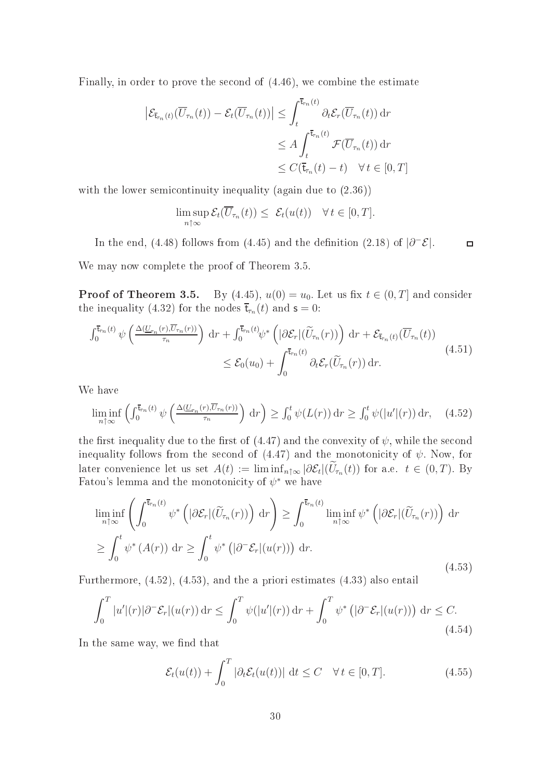Finally, in order to prove the second of  $(4.46)$ , we combine the estimate

$$
\left| \mathcal{E}_{\overline{\mathbf{t}}_{\tau_n}(t)}(\overline{U}_{\tau_n}(t)) - \mathcal{E}_t(\overline{U}_{\tau_n}(t)) \right| \leq \int_t^{\overline{\mathbf{t}}_{\tau_n}(t)} \partial_t \mathcal{E}_r(\overline{U}_{\tau_n}(t)) dr
$$
  

$$
\leq A \int_t^{\overline{\mathbf{t}}_{\tau_n}(t)} \mathcal{F}(\overline{U}_{\tau_n}(t)) dr
$$
  

$$
\leq C(\overline{\mathbf{t}}_{\tau_n}(t) - t) \quad \forall t \in [0, T]
$$

with the lower semicontinuity inequality (again due to  $(2.36)$ )

$$
\limsup_{n \uparrow \infty} \mathcal{E}_t(\overline{U}_{\tau_n}(t)) \leq \mathcal{E}_t(u(t)) \quad \forall \, t \in [0, T].
$$

In the end, (4.48) follows from (4.45) and the definition (2.18) of  $|\partial^-\mathcal{E}|$ .  $\Box$ 

We may now omplete the proof of Theorem 3.5.

**Proof of Theorem 3.5.** By (4.45),  $u(0) = u_0$ . Let us fix  $t \in (0, T]$  and consider the inequality (4.32) for the nodes  $\bar{\mathbf{t}}_{\tau_n}(t)$  and  $\mathbf{s} = 0$ :

$$
\int_0^{\overline{t}_r_n(t)} \psi\left(\frac{\Delta(\underline{U}_{\tau_n}(r), \overline{U}_{\tau_n}(r))}{\tau_n}\right) dr + \int_0^{\overline{t}_r_n(t)} \psi^*\left(|\partial \mathcal{E}_r|(\widetilde{U}_{\tau_n}(r))\right) dr + \mathcal{E}_{\overline{t}_r_n(t)}(\overline{U}_{\tau_n}(t))
$$
\n
$$
\leq \mathcal{E}_0(u_0) + \int_0^{\overline{t}_{\tau_n}(t)} \partial_t \mathcal{E}_r(\widetilde{U}_{\tau_n}(r)) dr. \tag{4.51}
$$

We have

$$
\liminf_{n \uparrow \infty} \left( \int_0^{\overline{\mathbf{t}}_{r_n}(t)} \psi\left( \frac{\Delta(U_{r_n}(r), \overline{U}_{r_n}(r))}{\tau_n} \right) \, \mathrm{d}r \right) \ge \int_0^t \psi(L(r)) \, \mathrm{d}r \ge \int_0^t \psi(|u'|(r)) \, \mathrm{d}r, \tag{4.52}
$$

the first inequality due to the first of  $(4.47)$  and the convexity of  $\psi$ , while the second inequality follows from the second of  $(4.47)$  and the monotonicity of  $\psi$ . Now, for later convenience let us set  $A(t) := \liminf_{n \uparrow \infty} |\partial \mathcal{E}_t| (U_{\tau_n}(t))$  for a.e.  $t \in (0, T)$ . By Fatou's lemma and the monotonicity of  $\psi^*$  we have

$$
\liminf_{n \uparrow \infty} \left( \int_0^{\overline{\mathbf{t}}_{\tau_n}(t)} \psi^* \left( |\partial \mathcal{E}_r|(\widetilde{U}_{\tau_n}(r)) \right) dr \right) \ge \int_0^{\overline{\mathbf{t}}_{\tau_n}(t)} \liminf_{n \uparrow \infty} \psi^* \left( |\partial \mathcal{E}_r|(\widetilde{U}_{\tau_n}(r)) \right) dr
$$
\n
$$
\ge \int_0^t \psi^* \left( A(r) \right) dr \ge \int_0^t \psi^* \left( |\partial^{\mathcal{E}} \mathcal{E}_r| (u(r)) \right) dr.
$$
\n(4.53)

Furthermore, (4.52), (4.53), and the a priori estimates (4.33) also entail

$$
\int_0^T |u'|(r)|\partial^-\mathcal{E}_r|(u(r))\,\mathrm{d}r \le \int_0^T \psi(|u'|(r))\,\mathrm{d}r + \int_0^T \psi^* \left(|\partial^-\mathcal{E}_r|(u(r))\right)\,\mathrm{d}r \le C. \tag{4.54}
$$

In the same way, we find that

$$
\mathcal{E}_t(u(t)) + \int_0^T |\partial_t \mathcal{E}_t(u(t))| \, \mathrm{d}t \le C \quad \forall \, t \in [0, T]. \tag{4.55}
$$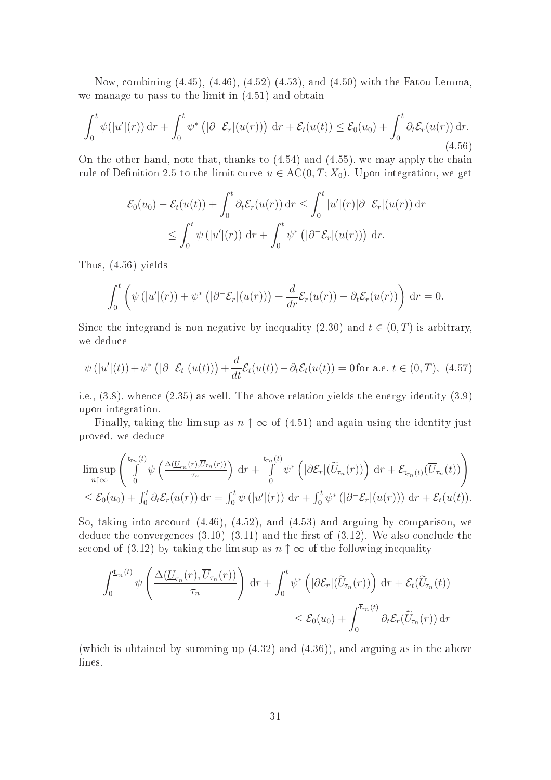Now, ombining (4.45), (4.46), (4.52)-(4.53), and (4.50) with the Fatou Lemma, we manage to pass to the limit in (4.51) and obtain

$$
\int_0^t \psi(|u'|(r)) dr + \int_0^t \psi^* \left( |\partial^- \mathcal{E}_r|(u(r)) \right) dr + \mathcal{E}_t(u(t)) \leq \mathcal{E}_0(u_0) + \int_0^t \partial_t \mathcal{E}_r(u(r)) dr.
$$
\n(4.56)

On the other hand, note that, thanks to  $(4.54)$  and  $(4.55)$ , we may apply the chain rule of Definition 2.5 to the limit curve  $u \in AC(0, T; X_0)$ . Upon integration, we get

$$
\mathcal{E}_0(u_0) - \mathcal{E}_t(u(t)) + \int_0^t \partial_t \mathcal{E}_r(u(r)) dr \le \int_0^t |u'(r)| \partial^-\mathcal{E}_r|(u(r)) dr
$$
  

$$
\le \int_0^t \psi(|u'(r)| dr + \int_0^t \psi^* (|\partial^-\mathcal{E}_r|(u(r))) dr.
$$

Thus, (4.56) yields

$$
\int_0^t \left( \psi\left(|u'(r)| + \psi^*\left(|\partial^-\mathcal{E}_r|(u(r))\right) + \frac{d}{dr}\mathcal{E}_r(u(r)) - \partial_t \mathcal{E}_r(u(r)) \right) dr = 0.
$$

Since the integrand is non negative by inequality (2.30) and  $t \in (0, T)$  is arbitrary, we dedu
e

$$
\psi\left(|u'|(t)\right) + \psi^*\left(|\partial^-\mathcal{E}_t|(u(t))\right) + \frac{d}{dt}\mathcal{E}_t(u(t)) - \partial_t\mathcal{E}_t(u(t)) = 0 \text{ for a.e. } t \in (0, T), \tag{4.57}
$$

i.e., (3.8), when
e (2.35) as well. The above relation yields the energy identity (3.9) upon integration.

Finally, taking the lim sup as  $n \uparrow \infty$  of (4.51) and again using the identity just proved, we dedu
e

$$
\limsup_{n\uparrow\infty}\left(\int_{0}^{\overline{\mathsf{t}}_{r_n}(t)}\psi\left(\frac{\Delta(\underline{U}_{r_n}(r),\overline{U}_{r_n}(r))}{\tau_n}\right)\,\mathrm{d}r+\int_{0}^{\overline{\mathsf{t}}_{r_n}(t)}\psi^*\left(|\partial\mathcal{E}_r|(\widetilde{U}_{r_n}(r))\right)\,\mathrm{d}r+\mathcal{E}_{\overline{\mathsf{t}}_{r_n}(t)}(\overline{U}_{r_n}(t))\right)\\ \leq \mathcal{E}_0(u_0)+\int_0^t\partial_t\mathcal{E}_r(u(r))\,\mathrm{d}r=\int_0^t\psi\left(|u'|(r)\right)\,\mathrm{d}r+\int_0^t\psi^*\left(|\partial^-\mathcal{E}_r|(u(r))\right)\,\mathrm{d}r+\mathcal{E}_t(u(t)).
$$

So, taking into account  $(4.46)$ ,  $(4.52)$ , and  $(4.53)$  and arguing by comparison, we deduce the convergences  $(3.10)$ – $(3.11)$  and the first of  $(3.12)$ . We also conclude the second of (3.12) by taking the lim sup as  $n \uparrow \infty$  of the following inequality

$$
\int_0^{\underbar{\mathsf{L}}_n(t)} \psi\left(\frac{\Delta(\underline{U}_{\tau_n}(r), \overline{U}_{\tau_n}(r))}{\tau_n}\right) dr + \int_0^t \psi^* \left(|\partial \mathcal{E}_r|(\widetilde{U}_{\tau_n}(r))\right) dr + \mathcal{E}_t(\widetilde{U}_{\tau_n}(t))
$$
  

$$
\leq \mathcal{E}_0(u_0) + \int_0^{\overline{\mathsf{L}}_{\tau_n}(t)} \partial_t \mathcal{E}_r(\widetilde{U}_{\tau_n}(r)) dr
$$

(whi
h is obtained by summing up (4.32) and (4.36)), and arguing as in the above lines.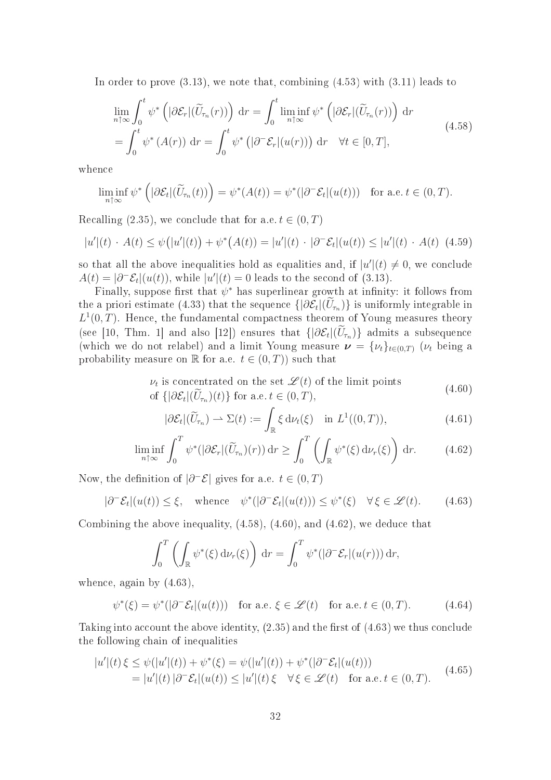In order to prove  $(3.13)$ , we note that, combining  $(4.53)$  with  $(3.11)$  leads to

$$
\lim_{n \uparrow \infty} \int_0^t \psi^* \left( |\partial \mathcal{E}_r| (\widetilde{U}_{\tau_n}(r)) \right) dr = \int_0^t \liminf_{n \uparrow \infty} \psi^* \left( |\partial \mathcal{E}_r| (\widetilde{U}_{\tau_n}(r)) \right) dr
$$
\n
$$
= \int_0^t \psi^* \left( A(r) \right) dr = \int_0^t \psi^* \left( |\partial^- \mathcal{E}_r| (u(r)) \right) dr \quad \forall t \in [0, T],
$$
\n(4.58)

when
e

$$
\liminf_{n \uparrow \infty} \psi^* \left( |\partial \mathcal{E}_t|(\widetilde{U}_{\tau_n}(t)) \right) = \psi^*(A(t)) = \psi^*(|\partial^- \mathcal{E}_t|(u(t))) \text{ for a.e. } t \in (0, T).
$$

Recalling (2.35), we conclude that for a.e.  $t \in (0, T)$ 

$$
|u'|(t) \cdot A(t) \le \psi(|u'|(t)) + \psi^*(A(t)) = |u'|(t) \cdot |\partial^- \mathcal{E}_t|(u(t)) \le |u'|(t) \cdot A(t) \tag{4.59}
$$

so that all the above inequalities hold as equalities and, if  $|u'(t) \neq 0$ , we conclude  $A(t) = |\partial^-\mathcal{E}_t|(u(t))$ , while  $|u'|(t) = 0$  leads to the second of (3.13).

Finally, suppose first that  $\psi^*$  has superlinear growth at infinity: it follows from the a priori estimate (4.33) that the sequence  $\{|\partial \mathcal{E}_t|(U_{\tau_n})\}$  is uniformly integrable in  $L^1(0,T)$ . Hence, the fundamental compactness theorem of Young measures theory (see [10, Thm. 1] and also [12]) ensures that  $\{\vert \partial \mathcal{E}_t \vert (U_{\tau_n})\}$  admits a subsequence (which we do not relabel) and a limit Young measure  $\mathbf{v} = \{v_t\}_{t \in (0,T)}$  ( $v_t$  being a probability measure on  $\mathbb R$  for a.e.  $t \in (0,T)$  such that

$$
\nu_t \text{ is concentrated on the set } \mathcal{L}(t) \text{ of the limit points}
$$
  
of  $\{|\partial \mathcal{E}_t|(\widetilde{U}_{\tau_n})(t)\}\text{ for a.e. } t \in (0, T),$  (4.60)

$$
|\partial \mathcal{E}_t|(\widetilde{U}_{\tau_n}) \rightharpoonup \Sigma(t) := \int_{\mathbb{R}} \xi \, d\nu_t(\xi) \quad \text{in } L^1((0,T)), \tag{4.61}
$$

$$
\liminf_{n \uparrow \infty} \int_0^T \psi^*(|\partial \mathcal{E}_r|(\widetilde{U}_{\tau_n})(r)) dr \ge \int_0^T \left( \int_{\mathbb{R}} \psi^*(\xi) d\nu_r(\xi) \right) dr. \tag{4.62}
$$

Now, the definition of  $|\partial^-\mathcal{E}|$  gives for a.e.  $t \in (0,T)$ 

$$
|\partial^{-} \mathcal{E}_t|(u(t)) \leq \xi, \quad \text{whence} \quad \psi^*(|\partial^{-} \mathcal{E}_t|(u(t))) \leq \psi^*(\xi) \quad \forall \xi \in \mathcal{L}(t). \tag{4.63}
$$

Combining the above inequality,  $(4.58)$ ,  $(4.60)$ , and  $(4.62)$ , we deduce that

$$
\int_0^T \left( \int_{\mathbb{R}} \psi^*(\xi) d\nu_r(\xi) \right) dr = \int_0^T \psi^*(|\partial^- \mathcal{E}_r|(u(r))) dr,
$$

when
e, again by (4.63),

$$
\psi^*(\xi) = \psi^*(|\partial^-\mathcal{E}_t|(u(t))) \quad \text{for a.e. } \xi \in \mathcal{L}(t) \quad \text{for a.e. } t \in (0, T). \tag{4.64}
$$

Taking into account the above identity,  $(2.35)$  and the first of  $(4.63)$  we thus conclude the following hain of inequalities

$$
|u'|(t)\xi \leq \psi(|u'|(t)) + \psi^*(\xi) = \psi(|u'|(t)) + \psi^*(|\partial^-\mathcal{E}_t|(u(t)))
$$
  
= |u'|(t) |\partial^-\mathcal{E}\_t|(u(t)) \leq |u'|(t) \xi \quad \forall \xi \in \mathcal{L}(t) \quad \text{for a.e. } t \in (0, T). \tag{4.65}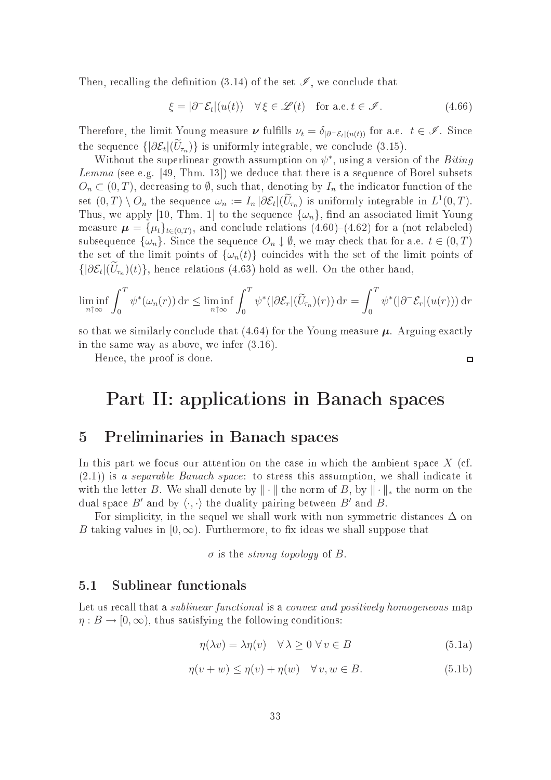Then, recalling the definition (3.14) of the set  $\mathscr{I}$ , we conclude that

$$
\xi = |\partial^- \mathcal{E}_t|(u(t)) \quad \forall \xi \in \mathcal{L}(t) \quad \text{for a.e. } t \in \mathcal{I}. \tag{4.66}
$$

Therefore, the limit Young measure  $\nu$  fulfills  $\nu_t = \delta_{|\partial^- \mathcal{E}_t|(u(t))}$  for a.e.  $t \in \mathcal{I}$ . Since the sequence  $\{|\partial \mathcal{E}_t|(U_{\tau_n})\}$  is uniformly integrable, we conclude (3.15).

Without the superlinear growth assumption on  $\psi^*$ , using a version of the Biting Lemma (see e.g. [49, Thm. 13]) we deduce that there is a sequence of Borel subsets  $O_n \subset (0,T)$ , decreasing to  $\emptyset$ , such that, denoting by  $I_n$  the indicator function of the set  $(0,T) \setminus O_n$  the sequence  $\omega_n := I_n |\partial \mathcal{E}_t|(\overline{U}_{\tau_n})$  is uniformly integrable in  $L^1(0,T)$ . Thus, we apply [10, Thm. 1] to the sequence  $\{\omega_n\}$ , find an associated limit Young measure  $\boldsymbol{\mu} = {\{\mu_t\}_{t \in (0,T)}},$  and conclude relations  $(4.60)$ – $(4.62)$  for a (not relabeled) subsequence  $\{\omega_n\}$ . Since the sequence  $O_n \downarrow \emptyset$ , we may check that for a.e.  $t \in (0, T)$ the set of the limit points of  $\{\omega_n(t)\}$  coincides with the set of the limit points of  $\{|\partial \mathcal{E}_t|(U_{\tau_n})(t)\},\$ hence relations (4.63) hold as well. On the other hand,

$$
\liminf_{n \uparrow \infty} \int_0^T \psi^*(\omega_n(r)) dr \le \liminf_{n \uparrow \infty} \int_0^T \psi^*(|\partial \mathcal{E}_r|(\widetilde{U}_{\tau_n})(r)) dr = \int_0^T \psi^*(|\partial^-\mathcal{E}_r|(u(r))) dr
$$

so that we similarly conclude that  $(4.64)$  for the Young measure  $\mu$ . Arguing exactly in the same way as above, we infer (3.16).

Hen
e, the proof is done.

 $\Box$ 

# Part II: applications in Banach spaces

## 5 Preliminaries in Bana
h spa
es

In this part we focus our attention on the case in which the ambient space  $X$  (cf.  $(2.1)$ ) is a separable Banach space: to stress this assumption, we shall indicate it with the letter B. We shall denote by  $\|\cdot\|$  the norm of B, by  $\|\cdot\|_*$  the norm on the dual space B' and by  $\langle \cdot, \cdot \rangle$  the duality pairing between B' and B.

For simplicity, in the sequel we shall work with non symmetric distances  $\Delta$  on B taking values in  $[0, \infty)$ . Furthermore, to fix ideas we shall suppose that

 $\sigma$  is the *strong topology* of B.

#### $5.1$ Sublinear functionals

Let us recall that a *sublinear functional* is a *convex and positively homogeneous* map  $\eta: B \to [0, \infty)$ , thus satisfying the following conditions:

$$
\eta(\lambda v) = \lambda \eta(v) \quad \forall \lambda \ge 0 \,\forall v \in B \tag{5.1a}
$$

$$
\eta(v+w) \le \eta(v) + \eta(w) \quad \forall v, w \in B.
$$
\n(5.1b)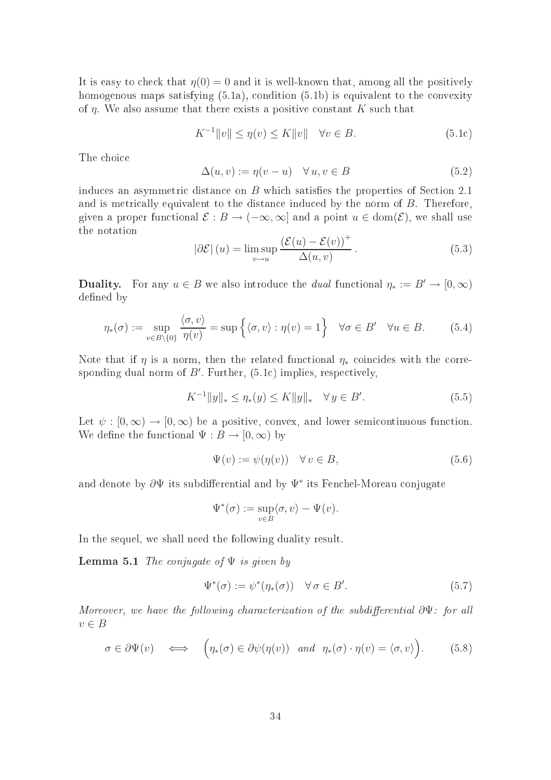It is easy to check that  $\eta(0) = 0$  and it is well-known that, among all the positively homogenous maps satisfying  $(5.1a)$ , condition  $(5.1b)$  is equivalent to the convexity of  $\eta$ . We also assume that there exists a positive constant K such that

$$
K^{-1}||v|| \le \eta(v) \le K||v|| \quad \forall v \in B. \tag{5.1c}
$$

The choice

$$
\Delta(u, v) := \eta(v - u) \quad \forall u, v \in B \tag{5.2}
$$

induces an asymmetric distance on  $B$  which satisfies the properties of Section 2.1 and is metrically equivalent to the distance induced by the norm of  $B$ . Therefore given a proper functional  $\mathcal{E}: B \to (-\infty, \infty]$  and a point  $u \in \text{dom}(\mathcal{E})$ , we shall use the notation

$$
|\partial \mathcal{E}|(u) = \limsup_{v \to u} \frac{(\mathcal{E}(u) - \mathcal{E}(v))^+}{\Delta(u, v)}.
$$
\n(5.3)

**Duality.** For any  $u \in B$  we also introduce the *dual* functional  $\eta_* := B' \to [0, \infty)$ defined by

$$
\eta_*(\sigma) := \sup_{v \in B \setminus \{0\}} \frac{\langle \sigma, v \rangle}{\eta(v)} = \sup \left\{ \langle \sigma, v \rangle : \eta(v) = 1 \right\} \quad \forall \sigma \in B' \quad \forall u \in B. \tag{5.4}
$$

Note that if  $\eta$  is a norm, then the related functional  $\eta_*$  coincides with the corresponding dual norm of  $B'$ . Further,  $(5.1c)$  implies, respectively,

$$
K^{-1}||y||_* \le \eta_*(y) \le K||y||_* \quad \forall \, y \in B'. \tag{5.5}
$$

Let  $\psi : [0, \infty) \to [0, \infty)$  be a positive, convex, and lower semicontinuous function. We define the functional  $\Psi : B \to [0, \infty)$  by

$$
\Psi(v) := \psi(\eta(v)) \quad \forall \, v \in B,\tag{5.6}
$$

and denote by  $\partial \Psi$  its subdifferential and by  $\Psi^*$  its Fenchel-Moreau conjugate

$$
\Psi^*(\sigma) := \sup_{v \in B} \langle \sigma, v \rangle - \Psi(v).
$$

In the sequel, we shall need the following duality result.

**Lemma 5.1** The conjugate of  $\Psi$  is given by

$$
\Psi^*(\sigma) := \psi^*(\eta_*(\sigma)) \quad \forall \,\sigma \in B'. \tag{5.7}
$$

Moreover, we have the following characterization of the subdifferential  $\partial \Psi$ : for all  $v \in B$ 

$$
\sigma \in \partial \Psi(v) \quad \Longleftrightarrow \quad \left(\eta_*(\sigma) \in \partial \psi(\eta(v)) \quad \text{and} \quad \eta_*(\sigma) \cdot \eta(v) = \langle \sigma, v \rangle\right). \tag{5.8}
$$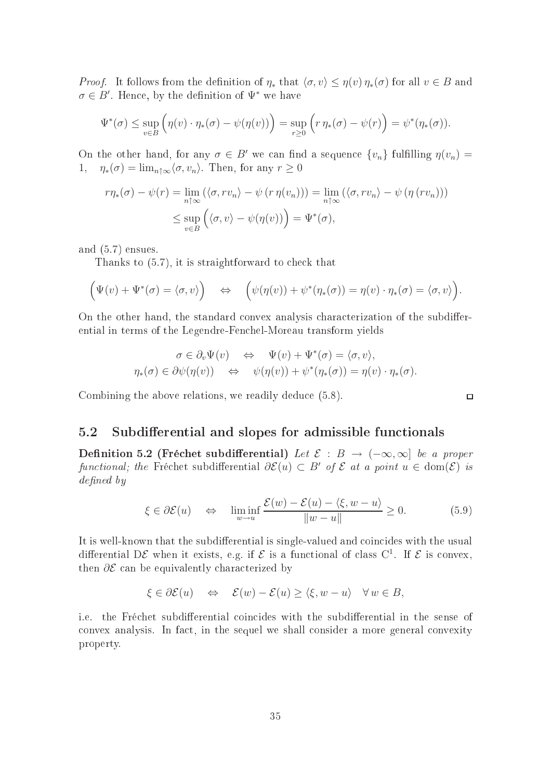*Proof.* It follows from the definition of  $\eta_*$  that  $\langle \sigma, v \rangle \leq \eta(v) \eta_*(\sigma)$  for all  $v \in B$  and  $\sigma \in B'$ . Hence, by the definition of  $\Psi^*$  we have

$$
\Psi^*(\sigma) \le \sup_{v \in B} \left( \eta(v) \cdot \eta_*(\sigma) - \psi(\eta(v)) \right) = \sup_{r \ge 0} \left( r \eta_*(\sigma) - \psi(r) \right) = \psi^*(\eta_*(\sigma)).
$$

On the other hand, for any  $\sigma \in B'$  we can find a sequence  $\{v_n\}$  fulfilling  $\eta(v_n)$ 1,  $\eta_*(\sigma) = \lim_{n \uparrow \infty} \langle \sigma, v_n \rangle$ . Then, for any  $r \geq 0$ 

$$
r\eta_*(\sigma) - \psi(r) = \lim_{n \uparrow \infty} (\langle \sigma, r v_n \rangle - \psi(r \eta(v_n))) = \lim_{n \uparrow \infty} (\langle \sigma, r v_n \rangle - \psi(\eta(r v_n)))
$$
  

$$
\leq \sup_{v \in B} (\langle \sigma, v \rangle - \psi(\eta(v))) = \Psi^*(\sigma),
$$

and (5.7) ensues.

Thanks to  $(5.7)$ , it is straightforward to check that

$$
(\Psi(v) + \Psi^*(\sigma) = \langle \sigma, v \rangle) \quad \Leftrightarrow \quad (\psi(\eta(v)) + \psi^*(\eta_*(\sigma)) = \eta(v) \cdot \eta_*(\sigma) = \langle \sigma, v \rangle).
$$

On the other hand, the standard convex analysis characterization of the subdifferential in terms of the Legendre-Fen
hel-Moreau transform yields

$$
\sigma \in \partial_v \Psi(v) \iff \Psi(v) + \Psi^*(\sigma) = \langle \sigma, v \rangle,
$$
  

$$
\eta_*(\sigma) \in \partial \psi(\eta(v)) \iff \psi(\eta(v)) + \psi^*(\eta_*(\sigma)) = \eta(v) \cdot \eta_*(\sigma).
$$

Combining the above relations, we readily deduce  $(5.8)$ .

### 5.2 Subdifferential and slopes for admissible functionals

Definition 5.2 (Fréchet subdifferential) Let  $\mathcal{E}: B \to (-\infty, \infty]$  be a proper functional; the Fréchet subdifferential  $\partial \mathcal{E}(u) \subset B'$  of  $\mathcal E$  at a point  $u \in \text{dom}(\mathcal{E})$  is  $defined\ by$ 

$$
\xi \in \partial \mathcal{E}(u) \quad \Leftrightarrow \quad \liminf_{w \to u} \frac{\mathcal{E}(w) - \mathcal{E}(u) - \langle \xi, w - u \rangle}{\|w - u\|} \ge 0. \tag{5.9}
$$

 $\Box$ 

It is well-known that the subdifferential is single-valued and coincides with the usual differential DE when it exists, e.g. if  $\mathcal E$  is a functional of class C<sup>1</sup>. If  $\mathcal E$  is convex, then  $\partial \mathcal{E}$  can be equivalently characterized by

$$
\xi \in \partial \mathcal{E}(u) \quad \Leftrightarrow \quad \mathcal{E}(w) - \mathcal{E}(u) \ge \langle \xi, w - u \rangle \quad \forall w \in B,
$$

i.e. the Fréchet subdifferential coincides with the subdifferential in the sense of onvex analysis. In fa
t, in the sequel we shall onsider a more general onvexity property.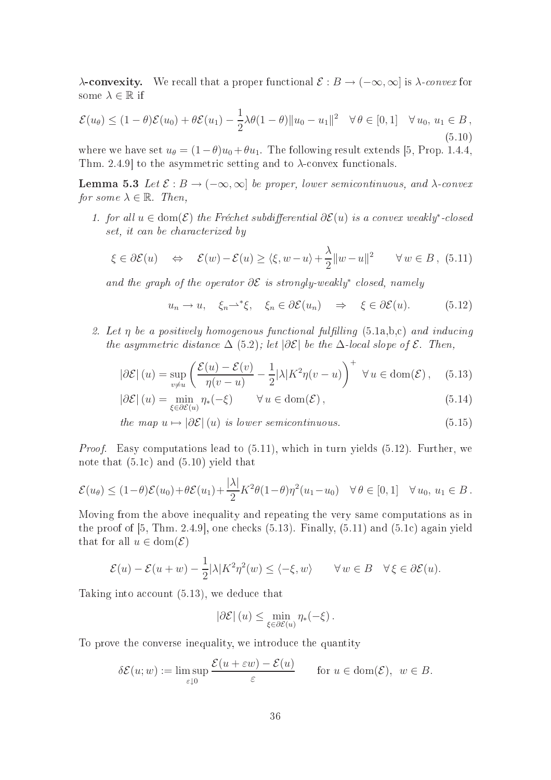λ**-convexity.** We recall that a proper functional  $\mathcal{E}: B → (-∞, ∞]$  is  $\lambda$ -convex for some  $\lambda \in \mathbb{R}$  if

$$
\mathcal{E}(u_{\theta}) \le (1-\theta)\mathcal{E}(u_0) + \theta \mathcal{E}(u_1) - \frac{1}{2}\lambda\theta(1-\theta)\|u_0 - u_1\|^2 \quad \forall \theta \in [0,1] \quad \forall u_0, u_1 \in B,
$$
\n(5.10)

where we have set  $u_{\theta} = (1 - \theta)u_0 + \theta u_1$ . The following result extends [5, Prop. 1.4.4, Thm. 2.4.9 to the asymmetric setting and to  $\lambda$ -convex functionals.

**Lemma 5.3** Let  $\mathcal{E}: B \to (-\infty, \infty]$  be proper, lower semicontinuous, and  $\lambda$ -convex for some  $\lambda \in \mathbb{R}$ . Then,

1. for all  $u \in \text{dom}(\mathcal{E})$  the Fréchet subdifferential  $\partial \mathcal{E}(u)$  is a convex weakly<sup>\*</sup>-closed set, it can be characterized by

$$
\xi \in \partial \mathcal{E}(u) \quad \Leftrightarrow \quad \mathcal{E}(w) - \mathcal{E}(u) \ge \langle \xi, w - u \rangle + \frac{\lambda}{2} ||w - u||^2 \qquad \forall w \in B, \tag{5.11}
$$

and the graph of the operator  $\partial \mathcal{E}$  is strongly-weakly<sup>\*</sup> closed, namely

$$
u_n \to u, \quad \xi_n \rightharpoonup^* \xi, \quad \xi_n \in \partial \mathcal{E}(u_n) \quad \Rightarrow \quad \xi \in \partial \mathcal{E}(u). \tag{5.12}
$$

2. Let  $\eta$  be a positively homogenous functional fulfilling  $(5.1a,b,c)$  and inducing the asymmetric distance  $\Delta$  (5.2); let  $|\partial \mathcal{E}|$  be the  $\Delta$ -local slope of  $\mathcal{E}$ . Then,

$$
|\partial \mathcal{E}|(u) = \sup_{v \neq u} \left( \frac{\mathcal{E}(u) - \mathcal{E}(v)}{\eta(v - u)} - \frac{1}{2} |\lambda| K^2 \eta(v - u) \right)^+ \ \forall u \in \text{dom}(\mathcal{E}), \quad (5.13)
$$

$$
|\partial \mathcal{E}|(u) = \min_{\xi \in \partial \mathcal{E}(u)} \eta_*(-\xi) \qquad \forall u \in \text{dom}(\mathcal{E}), \qquad (5.14)
$$

the map  $u \mapsto |\partial \mathcal{E}|(u)$  is lower semicontinuous. (5.15)

Proof. Easy computations lead to  $(5.11)$ , which in turn yields  $(5.12)$ . Further, we note that (5.1
) and (5.10) yield that

$$
\mathcal{E}(u_{\theta}) \le (1-\theta)\mathcal{E}(u_0) + \theta \mathcal{E}(u_1) + \frac{|\lambda|}{2} K^2 \theta (1-\theta) \eta^2 (u_1 - u_0) \quad \forall \, \theta \in [0,1] \quad \forall \, u_0, \, u_1 \in B.
$$

Moving from the above inequality and repeating the very same omputations as in the proof of  $[5, Thm. 2.4.9]$ , one checks  $(5.13)$ . Finally,  $(5.11)$  and  $(5.1c)$  again yield that for all  $u \in \text{dom}(\mathcal{E})$ 

$$
\mathcal{E}(u) - \mathcal{E}(u+w) - \frac{1}{2}|\lambda|K^2\eta^2(w) \le \langle -\xi, w \rangle \qquad \forall w \in B \quad \forall \xi \in \partial \mathcal{E}(u).
$$

Taking into account  $(5.13)$ , we deduce that

$$
\left|\partial \mathcal{E}\right|(u) \leq \min_{\xi \in \partial \mathcal{E}(u)} \eta_*(-\xi).
$$

To prove the onverse inequality, we introdu
e the quantity

$$
\delta \mathcal{E}(u; w) := \limsup_{\varepsilon \downarrow 0} \frac{\mathcal{E}(u + \varepsilon w) - \mathcal{E}(u)}{\varepsilon} \quad \text{for } u \in \text{dom}(\mathcal{E}), \ w \in B.
$$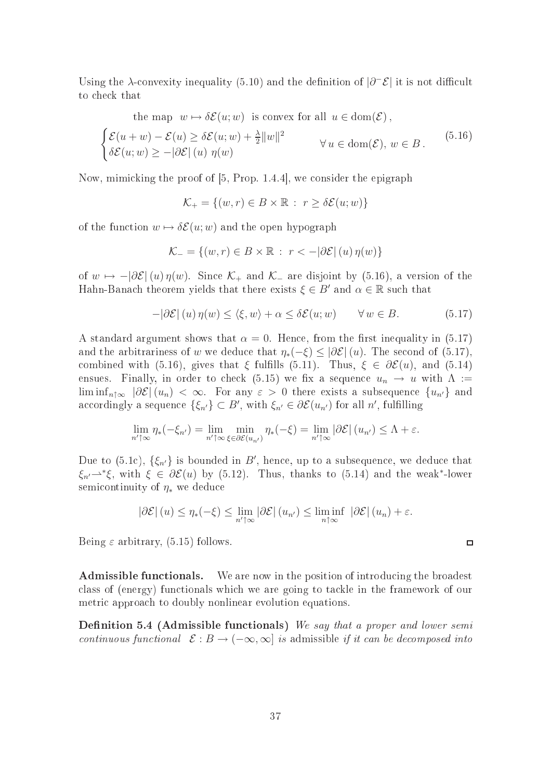Using the  $\lambda$ -convexity inequality (5.10) and the definition of  $|\partial^-\mathcal{E}|$  it is not difficult to check that

the map 
$$
w \mapsto \delta \mathcal{E}(u; w)
$$
 is convex for all  $u \in \text{dom}(\mathcal{E})$ ,  
\n
$$
\begin{cases}\n\mathcal{E}(u+w) - \mathcal{E}(u) \ge \delta \mathcal{E}(u; w) + \frac{\lambda}{2} ||w||^2 \\
\delta \mathcal{E}(u; w) \ge -|\partial \mathcal{E}| (u) \eta(w)\n\end{cases} \forall u \in \text{dom}(\mathcal{E}), w \in B.
$$
\n(5.16)

Now, mimicking the proof of  $[5, Prop. 1.4.4]$ , we consider the epigraph

$$
\mathcal{K}_+ = \{(w, r) \in B \times \mathbb{R} : r \ge \delta \mathcal{E}(u; w)\}
$$

of the function  $w \mapsto \delta \mathcal{E}(u; w)$  and the open hypograph

$$
\mathcal{K}_{-} = \{(w, r) \in B \times \mathbb{R} : r < -|\partial \mathcal{E}| (u) \eta(w)\}
$$

of  $w \mapsto -|\partial \mathcal{E}|(u)\eta(w)$ . Since  $\mathcal{K}_+$  and  $\mathcal{K}_-$  are disjoint by (5.16), a version of the Hahn-Banach theorem yields that there exists  $\xi \in B'$  and  $\alpha \in \mathbb{R}$  such that

$$
-|\partial \mathcal{E}|(u)\eta(w) \le \langle \xi, w \rangle + \alpha \le \delta \mathcal{E}(u; w) \qquad \forall w \in B. \tag{5.17}
$$

A standard argument shows that  $\alpha = 0$ . Hence, from the first inequality in (5.17) and the arbitrariness of w we deduce that  $\eta_*(-\xi) \leq |\partial \mathcal{E}|(u)$ . The second of (5.17), combined with (5.16), gives that  $\xi$  fulfills (5.11). Thus,  $\xi \in \partial \mathcal{E}(u)$ , and (5.14) ensues. Finally, in order to check (5.15) we fix a sequence  $u_n \to u$  with  $\Lambda :=$  $\liminf_{n\uparrow\infty} |\partial \mathcal{E}|(u_n) < \infty$ . For any  $\varepsilon > 0$  there exists a subsequence  $\{u_{n'}\}$  and accordingly a sequence  $\{\xi_{n'}\} \subset B'$ , with  $\xi_{n'} \in \partial \mathcal{E}(u_{n'})$  for all n', fulfilling

$$
\lim_{n'\uparrow\infty}\eta_*(-\xi_{n'})=\lim_{n'\uparrow\infty}\min_{\xi\in\partial\mathcal{E}(u_{n'})}\eta_*(-\xi)=\lim_{n'\uparrow\infty}|\partial\mathcal{E}|\left(u_{n'}\right)\leq\Lambda+\varepsilon.
$$

Due to  $(5.1c)$ ,  $\{\xi_{n'}\}$  is bounded in B', hence, up to a subsequence, we deduce that  $\xi_{n'} \rightarrow^* \xi$ , with  $\xi \in \partial \mathcal{E}(u)$  by (5.12). Thus, thanks to (5.14) and the weak<sup>\*</sup>-lower semicontinuity of  $\eta_*$  we deduce

$$
|\partial \mathcal{E}| (u) \leq \eta_*(-\xi) \leq \lim_{n' \uparrow \infty} |\partial \mathcal{E}| (u_{n'}) \leq \liminf_{n \uparrow \infty} |\partial \mathcal{E}| (u_n) + \varepsilon.
$$

 $\Box$ 

Being  $\varepsilon$  arbitrary, (5.15) follows.

Admissible functionals. We are now in the position of introducing the broadest class of (energy) functionals which we are going to tackle in the framework of our metri approa
h to doubly nonlinear evolution equations.

**Definition 5.4 (Admissible functionals)** We say that a proper and lower semicontinuous functional  $\mathcal{E}: B \to (-\infty, \infty]$  is admissible if it can be decomposed into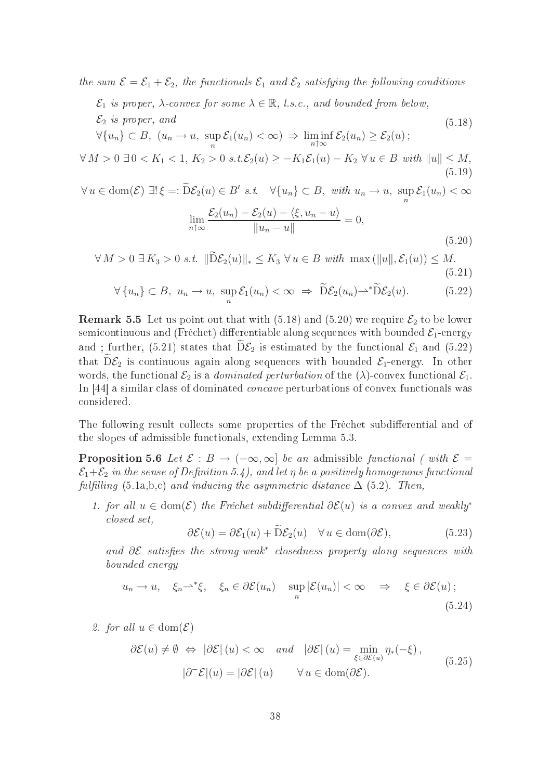the sum  $\mathcal{E} = \mathcal{E}_1 + \mathcal{E}_2$ , the functionals  $\mathcal{E}_1$  and  $\mathcal{E}_2$  satisfying the following conditions

 $\mathcal{E}_1$  is proper,  $\lambda$ -convex for some  $\lambda \in \mathbb{R}$ , *l.s.c.*, and bounded from below,

 $\mathcal{E}_2$  is proper, and  $\forall \{u_n\} \subset B, \ (u_n \to u, \ \sup_n \mathcal{E}_1(u_n) < \infty) \Rightarrow \liminf_{n \uparrow \infty} \mathcal{E}_2(u_n) \geq \mathcal{E}_2(u)$ ; (5.18)

$$
\forall M > 0 \ \exists 0 < K_1 < 1, \ K_2 > 0 \ s.t. \mathcal{E}_2(u) \ge -K_1 \mathcal{E}_1(u) - K_2 \ \forall u \in B \ with \ \|u\| \le M,\tag{5.19}
$$

$$
\forall u \in \text{dom}(\mathcal{E}) \; \exists! \; \xi =: \widetilde{D}\mathcal{E}_2(u) \in B' \; s.t. \quad \forall \{u_n\} \subset B, \; with \; u_n \to u, \; \sup_n \mathcal{E}_1(u_n) < \infty
$$
\n
$$
\mathcal{E}_2(u) = \mathcal{E}_2(u) = \mathcal{E}_2(u) = \langle \xi, u \rangle = \langle u, u \rangle
$$

$$
\lim_{n \uparrow \infty} \frac{\mathcal{E}_2(u_n) - \mathcal{E}_2(u) - \langle \xi, u_n - u \rangle}{\|u_n - u\|} = 0,
$$
\n(5.20)

$$
\forall M > 0 \ \exists K_3 > 0 \ s.t. \ \|\widetilde{\mathbf{D}} \mathcal{E}_2(u)\|_* \le K_3 \ \forall u \in B \ with \ \max\left(\|u\|, \mathcal{E}_1(u)\right) \le M. \tag{5.21}
$$

$$
\forall \{u_n\} \subset B, \ u_n \to u, \ \sup_n \mathcal{E}_1(u_n) < \infty \ \Rightarrow \ \widetilde{\mathcal{D}}\mathcal{E}_2(u_n) \to \widetilde{\mathcal{D}}\mathcal{E}_2(u). \tag{5.22}
$$

**Remark 5.5** Let us point out that with (5.18) and (5.20) we require  $\mathcal{E}_2$  to be lower semicontinuous and (Fréchet) differentiable along sequences with bounded  $\mathcal{E}_1$ -energy and ; further, (5.21) states that  $D\mathcal{E}_2$  is estimated by the functional  $\mathcal{E}_1$  and (5.22) that  $\tilde{D}\mathcal{E}_2$  is continuous again along sequences with bounded  $\mathcal{E}_1$ -energy. In other words, the functional  $\mathcal{E}_2$  is a *dominated perturbation* of the  $(\lambda)$ -convex functional  $\mathcal{E}_1$ . In [44] a similar class of dominated *concave* perturbations of convex functionals was onsidered.

The following result collects some properties of the Fréchet subdifferential and of the slopes of admissible fun
tionals, extending Lemma 5.3.

**Proposition 5.6** Let  $\mathcal{E}: B \to (-\infty, \infty]$  be an admissible functional (with  $\mathcal{E} =$  $\mathcal{E}_1+\mathcal{E}_2$  in the sense of Definition 5.4), and let  $\eta$  be a positively homogenous functional  $fulfilling (5.1a,b,c)$  and inducing the asymmetric distance  $\Delta$  (5.2). Then,

1. for all  $u \in \text{dom}(\mathcal{E})$  the Fréchet subdifferential  $\partial \mathcal{E}(u)$  is a convex and weakly<sup>\*</sup> losed set,

$$
\partial \mathcal{E}(u) = \partial \mathcal{E}_1(u) + \widetilde{\mathcal{D}} \mathcal{E}_2(u) \quad \forall u \in \text{dom}(\partial \mathcal{E}), \tag{5.23}
$$

and  $\partial \mathcal{E}$  satisfies the strong-weak<sup>\*</sup> closedness property along sequences with bounded energy

$$
u_n \to u, \quad \xi_n \rightharpoonup^* \xi, \quad \xi_n \in \partial \mathcal{E}(u_n) \quad \sup_n |\mathcal{E}(u_n)| < \infty \quad \Rightarrow \quad \xi \in \partial \mathcal{E}(u) \tag{5.24}
$$

2. for all  $u \in \text{dom}(\mathcal{E})$ 

$$
\partial \mathcal{E}(u) \neq \emptyset \Leftrightarrow |\partial \mathcal{E}| (u) < \infty \quad and \quad |\partial \mathcal{E}| (u) = \min_{\xi \in \partial \mathcal{E}(u)} \eta_*(-\xi),
$$
  

$$
|\partial^- \mathcal{E}| (u) = |\partial \mathcal{E}| (u) \qquad \forall u \in \text{dom}(\partial \mathcal{E}). \tag{5.25}
$$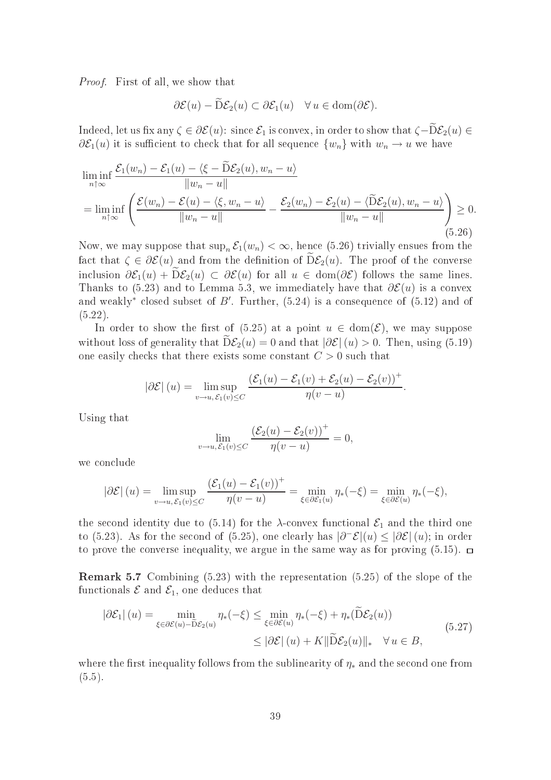Proof. First of all, we show that

$$
\partial \mathcal{E}(u) - \widetilde{D} \mathcal{E}_2(u) \subset \partial \mathcal{E}_1(u) \quad \forall u \in \text{dom}(\partial \mathcal{E}).
$$

Indeed, let us fix any  $\zeta \in \partial \mathcal{E}(u)$ : since  $\mathcal{E}_1$  is convex, in order to show that  $\zeta - \overline{D}\mathcal{E}_2(u) \in$  $\partial \mathcal{E}_1(u)$  it is sufficient to check that for all sequence  $\{w_n\}$  with  $w_n \to u$  we have

$$
\liminf_{n \uparrow \infty} \frac{\mathcal{E}_1(w_n) - \mathcal{E}_1(u) - \langle \xi - \widetilde{D} \mathcal{E}_2(u), w_n - u \rangle}{\|w_n - u\|} \n= \liminf_{n \uparrow \infty} \left( \frac{\mathcal{E}(w_n) - \mathcal{E}(u) - \langle \xi, w_n - u \rangle}{\|w_n - u\|} - \frac{\mathcal{E}_2(w_n) - \mathcal{E}_2(u) - \langle \widetilde{D} \mathcal{E}_2(u), w_n - u \rangle}{\|w_n - u\|} \right) \ge 0.
$$
\n(5.26)

 $\sim$   $\sim$   $\sim$   $\sim$ 

Now, we may suppose that  $\sup_n \mathcal{E}_1(w_n) < \infty$ , hence (5.26) trivially ensues from the fact that  $\zeta \in \partial \mathcal{E}(u)$  and from the definition of  $D\mathcal{E}_2(u)$ . The proof of the converse inclusion  $\partial \mathcal{E}_1(u) + \overline{\mathrm{D}} \mathcal{E}_2(u) \subset \partial \mathcal{E}(u)$  for all  $u \in \mathrm{dom}(\partial \mathcal{E})$  follows the same lines. Thanks to (5.23) and to Lemma 5.3, we immediately have that  $\partial \mathcal{E}(u)$  is a convex and weakly<sup>\*</sup> closed subset of  $B'$ . Further,  $(5.24)$  is a consequence of  $(5.12)$  and of (5.22).

In order to show the first of (5.25) at a point  $u \in \text{dom}(\mathcal{E})$ , we may suppose without loss of generality that  $\widetilde{D}\mathcal{E}_2(u) = 0$  and that  $|\partial \mathcal{E}|(u) > 0$ . Then, using (5.19) one easily checks that there exists some constant  $C > 0$  such that

$$
|\partial \mathcal{E}|(u) = \limsup_{v \to u, \mathcal{E}_1(v) \le C} \frac{(\mathcal{E}_1(u) - \mathcal{E}_1(v) + \mathcal{E}_2(u) - \mathcal{E}_2(v))^+}{\eta(v - u)}.
$$

Using that

$$
\lim_{v \to u, \mathcal{E}_1(v) \le C} \frac{(\mathcal{E}_2(u) - \mathcal{E}_2(v))^+}{\eta(v - u)} = 0,
$$

we conclude

$$
\left|\partial \mathcal{E}\right|(u) = \limsup_{v \to u, \, \mathcal{E}_1(v) \le C} \frac{\left(\mathcal{E}_1(u) - \mathcal{E}_1(v)\right)^+}{\eta(v - u)} = \min_{\xi \in \partial \mathcal{E}_1(u)} \eta_*(-\xi) = \min_{\xi \in \partial \mathcal{E}(u)} \eta_*(-\xi),
$$

the second identity due to (5.14) for the  $\lambda$ -convex functional  $\mathcal{E}_1$  and the third one to (5.23). As for the second of (5.25), one clearly has  $|\partial^-\mathcal{E}|(u) \leq |\partial \mathcal{E}|(u)$ ; in order to prove the converse inequality, we argue in the same way as for proving  $(5.15)$ .  $\Box$ 

Remark 5.7 Combining (5.23) with the representation (5.25) of the slope of the functionals  $\mathcal E$  and  $\mathcal E_1$ , one deduces that

$$
|\partial \mathcal{E}_1| (u) = \min_{\xi \in \partial \mathcal{E}(u) - \widetilde{D}\mathcal{E}_2(u)} \eta_*(-\xi) \le \min_{\xi \in \partial \mathcal{E}(u)} \eta_*(-\xi) + \eta_*(\widetilde{D}\mathcal{E}_2(u))
$$
  
 
$$
\le |\partial \mathcal{E}| (u) + K \|\widetilde{D}\mathcal{E}_2(u)\|_* \quad \forall u \in B,
$$
 (5.27)

where the first inequality follows from the sublinearity of  $\eta_*$  and the second one from  $(5.5).$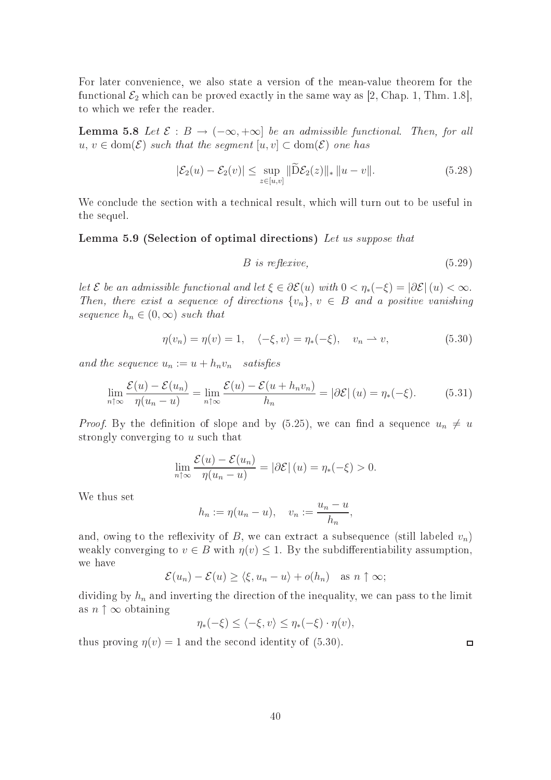For later onvenien
e, we also state a version of the mean-value theorem for the functional  $\mathcal{E}_2$  which can be proved exactly in the same way as [2, Chap. 1, Thm. 1.8], to whi
h we refer the reader.

**Lemma 5.8** Let  $\mathcal{E}: B \to (-\infty, +\infty]$  be an admissible functional. Then, for all  $u, v \in \text{dom}(\mathcal{E})$  such that the segment  $[u, v] \subset \text{dom}(\mathcal{E})$  one has

$$
|\mathcal{E}_2(u) - \mathcal{E}_2(v)| \le \sup_{z \in [u,v]} \|\widetilde{\mathcal{D}}\mathcal{E}_2(z)\|_* \|u - v\|.
$$
 (5.28)

We conclude the section with a technical result, which will turn out to be useful in the sequel.

### Lemma 5.9 (Selection of optimal directions) Let us suppose that

$$
B \t is \t reflexive, \t(5.29)
$$

let  $\mathcal E$  be an admissible functional and let  $\xi \in \partial \mathcal E(u)$  with  $0 < \eta_*(-\xi) = |\partial \mathcal E|(u) < \infty$ . Then, there exist a sequence of directions  $\{v_n\}$ ,  $v \in B$  and a positive vanishing sequence  $h_n \in (0,\infty)$  such that

$$
\eta(v_n) = \eta(v) = 1, \quad \langle -\xi, v \rangle = \eta_*(-\xi), \quad v_n \rightharpoonup v,
$$
\n(5.30)

and the sequence  $u_n := u + h_n v_n$  satisfies

$$
\lim_{n \uparrow \infty} \frac{\mathcal{E}(u) - \mathcal{E}(u_n)}{\eta(u_n - u)} = \lim_{n \uparrow \infty} \frac{\mathcal{E}(u) - \mathcal{E}(u + h_n v_n)}{h_n} = |\partial \mathcal{E}|(u) = \eta_*(-\xi). \tag{5.31}
$$

*Proof.* By the definition of slope and by (5.25), we can find a sequence  $u_n \neq u$ strongly converging to u such that

$$
\lim_{n \uparrow \infty} \frac{\mathcal{E}(u) - \mathcal{E}(u_n)}{\eta(u_n - u)} = |\partial \mathcal{E}|(u) = \eta_*(-\xi) > 0.
$$

We thus set

$$
h_n := \eta(u_n - u), \quad v_n := \frac{u_n - u}{h_n},
$$

and, owing to the reflexivity of B, we can extract a subsequence (still labeled  $v_n$ ) weakly converging to  $v \in B$  with  $\eta(v) \leq 1$ . By the subdifferentiability assumption, we have

$$
\mathcal{E}(u_n) - \mathcal{E}(u) \ge \langle \xi, u_n - u \rangle + o(h_n) \quad \text{as } n \uparrow \infty;
$$

dividing by  $h_n$  and inverting the direction of the inequality, we can pass to the limit as  $n \uparrow \infty$  obtaining

$$
\eta_*(-\xi) \le \langle -\xi, v \rangle \le \eta_*(-\xi) \cdot \eta(v),
$$

thus proving  $\eta(v) = 1$  and the second identity of (5.30).

 $\Box$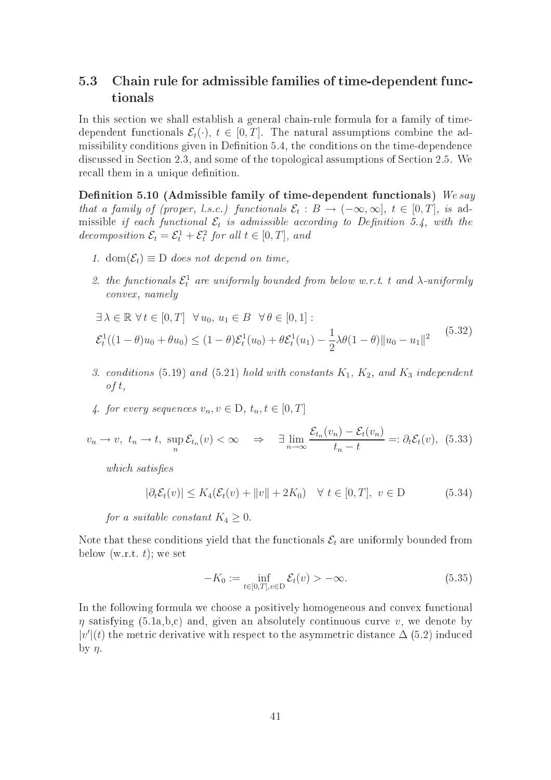## 5.3 Chain rule for admissible families of time-dependent fun
 tionals

In this section we shall establish a general chain-rule formula for a family of timedependent functionals  $\mathcal{E}_t(\cdot)$ ,  $t \in [0,T]$ . The natural assumptions combine the admissibility conditions given in Definition 5.4, the conditions on the time-dependence discussed in Section 2.3, and some of the topological assumptions of Section 2.5. We recall them in a unique definition.

Definition 5.10 (Admissible family of time-dependent functionals) We say that a family of (proper, l.s.c.) functionals  $\mathcal{E}_t : B \to (-\infty, \infty]$ ,  $t \in [0, T]$ , is admissible if each functional  $\mathcal{E}_t$  is admissible according to Definition 5.4, with the decomposition  $\mathcal{E}_t = \mathcal{E}_t^1 + \mathcal{E}_t^2$  for all  $t \in [0, T]$ , and

- 1. dom $(\mathcal{E}_t) \equiv D$  does not depend on time,
- 2. the functionals  $\mathcal{E}_t^1$  are uniformly bounded from below w.r.t. t and  $\lambda$ -uniformly onvex, namely

$$
\exists \lambda \in \mathbb{R} \,\forall t \in [0, T] \,\forall u_0, u_1 \in B \,\forall \theta \in [0, 1]:
$$
  

$$
\mathcal{E}_t^1((1 - \theta)u_0 + \theta u_0) \le (1 - \theta)\mathcal{E}_t^1(u_0) + \theta \mathcal{E}_t^1(u_1) - \frac{1}{2}\lambda\theta(1 - \theta) \|u_0 - u_1\|^2
$$
(5.32)

- 3. conditions (5.19) and (5.21) hold with constants  $K_1$ ,  $K_2$ , and  $K_3$  independent  $of t$ ,
- 4. for every sequences  $v_n, v \in D$ ,  $t_n, t \in [0, T]$

$$
v_n \to v, \ t_n \to t, \ \sup_n \mathcal{E}_{t_n}(v) < \infty \quad \Rightarrow \quad \exists \lim_{n \to \infty} \frac{\mathcal{E}_{t_n}(v_n) - \mathcal{E}_t(v_n)}{t_n - t} =: \partial_t \mathcal{E}_t(v), \tag{5.33}
$$

which satisfies

$$
|\partial_t \mathcal{E}_t(v)| \le K_4(\mathcal{E}_t(v) + ||v|| + 2K_0) \quad \forall \ t \in [0, T], \ v \in D \tag{5.34}
$$

for a suitable constant  $K_4 \geq 0$ .

Note that these conditions yield that the functionals  $\mathcal{E}_t$  are uniformly bounded from below  $(w.r.t. t)$ ; we set

$$
-K_0 := \inf_{t \in [0,T], v \in D} \mathcal{E}_t(v) > -\infty.
$$
\n
$$
(5.35)
$$

In the following formula we choose a positively homogeneous and convex functional  $\eta$  satisfying (5.1a,b,c) and, given an absolutely continuous curve v, we denote by  $|v'(t)|$  the metric derivative with respect to the asymmetric distance  $\Delta$  (5.2) induced by  $\eta$ .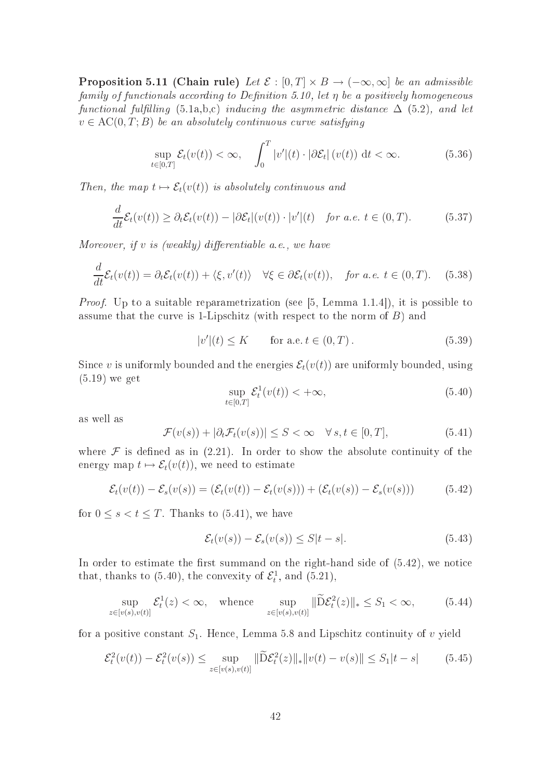**Proposition 5.11 (Chain rule)** Let  $\mathcal{E} : [0, T] \times B \to (-\infty, \infty]$  be an admissible family of functionals according to Definition 5.10, let  $\eta$  be a positively homogeneous functional fulfilling (5.1a,b,c) inducing the asymmetric distance  $\Delta$  (5.2), and let  $v \in \mathrm{AC}(0,T;B)$  be an absolutely continuous curve satisfying

$$
\sup_{t\in[0,T]}\mathcal{E}_t(v(t)) < \infty, \quad \int_0^T |v'|(t) \cdot |\partial \mathcal{E}_t| \left(v(t)\right) \, \mathrm{d}t < \infty. \tag{5.36}
$$

Then, the map  $t \mapsto \mathcal{E}_t(v(t))$  is absolutely continuous and

$$
\frac{d}{dt}\mathcal{E}_t(v(t)) \geq \partial_t \mathcal{E}_t(v(t)) - |\partial \mathcal{E}_t|(v(t)) \cdot |v'|(t) \quad \text{for a.e. } t \in (0, T). \tag{5.37}
$$

Moreover, if v is (weakly) differentiable a.e., we have

$$
\frac{d}{dt}\mathcal{E}_t(v(t)) = \partial_t \mathcal{E}_t(v(t)) + \langle \xi, v'(t) \rangle \quad \forall \xi \in \partial \mathcal{E}_t(v(t)), \quad \text{for a.e. } t \in (0, T). \tag{5.38}
$$

*Proof.* Up to a suitable reparametrization (see [5, Lemma 1.1.4]), it is possible to assume that the curve is 1-Lipschitz (with respect to the norm of  $B$ ) and

$$
|v'|(t) \le K \qquad \text{for a.e. } t \in (0, T). \tag{5.39}
$$

Since v is uniformly bounded and the energies  $\mathcal{E}_t(v(t))$  are uniformly bounded, using (5.19) we get

$$
\sup_{t \in [0,T]} \mathcal{E}_t^1(v(t)) < +\infty,\tag{5.40}
$$

as well as

$$
\mathcal{F}(v(s)) + |\partial_t \mathcal{F}_t(v(s))| \le S < \infty \quad \forall s, t \in [0, T],
$$
\n(5.41)

where  $\mathcal F$  is defined as in (2.21). In order to show the absolute continuity of the energy map  $t \mapsto \mathcal{E}_t(v(t))$ , we need to estimate

$$
\mathcal{E}_t(v(t)) - \mathcal{E}_s(v(s)) = (\mathcal{E}_t(v(t)) - \mathcal{E}_t(v(s))) + (\mathcal{E}_t(v(s)) - \mathcal{E}_s(v(s)))
$$
\n(5.42)

for  $0 \leq s < t \leq T$ . Thanks to (5.41), we have

$$
\mathcal{E}_t(v(s)) - \mathcal{E}_s(v(s)) \le S|t - s|.
$$
\n(5.43)

In order to estimate the first summand on the right-hand side of  $(5.42)$ , we notice that, thanks to (5.40), the convexity of  $\mathcal{E}_t^1$ , and (5.21),

$$
\sup_{z \in [v(s), v(t)]} \mathcal{E}_t^1(z) < \infty, \quad \text{whence} \quad \sup_{z \in [v(s), v(t)]} \|\widetilde{\mathcal{D}}\mathcal{E}_t^2(z)\|_{*} \le S_1 < \infty,\tag{5.44}
$$

for a positive constant  $S_1$ . Hence, Lemma 5.8 and Lipschitz continuity of v yield

$$
\mathcal{E}_t^2(v(t)) - \mathcal{E}_t^2(v(s)) \le \sup_{z \in [v(s), v(t)]} \|\widetilde{\mathbf{D}} \mathcal{E}_t^2(z)\|_* \|v(t) - v(s)\| \le S_1 |t - s| \tag{5.45}
$$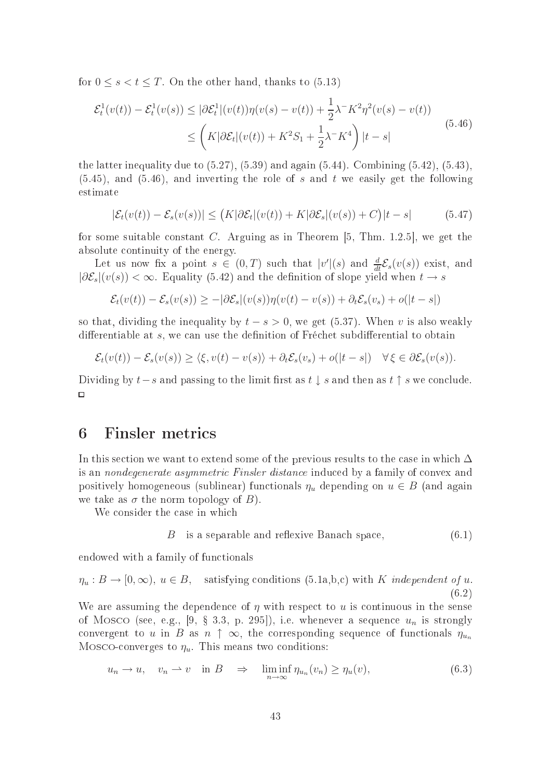for  $0 \leq s < t \leq T$ . On the other hand, thanks to (5.13)

$$
\mathcal{E}_t^1(v(t)) - \mathcal{E}_t^1(v(s)) \le |\partial \mathcal{E}_t^1|(v(t))\eta(v(s) - v(t)) + \frac{1}{2}\lambda^{-1}K^2\eta^2(v(s) - v(t))
$$
\n
$$
\le \left(K|\partial \mathcal{E}_t|(v(t)) + K^2S_1 + \frac{1}{2}\lambda^{-1}K^4\right)|t - s|
$$
\n(5.46)

the latter inequality due to  $(5.27)$ ,  $(5.39)$  and again  $(5.44)$ . Combining  $(5.42)$ ,  $(5.43)$ ,  $(5.45)$ , and  $(5.46)$ , and inverting the role of s and t we easily get the following estimate

$$
|\mathcal{E}_t(v(t)) - \mathcal{E}_s(v(s))| \le (K|\partial \mathcal{E}_t|(v(t)) + K|\partial \mathcal{E}_s|(v(s)) + C)|t - s|
$$
 (5.47)

for some suitable constant C. Arguing as in Theorem  $[5, Thm. 1.2.5]$ , we get the absolute ontinuity of the energy.

Let us now fix a point  $s \in (0,T)$  such that  $|v'(s)|$  and  $\frac{d}{dt} \mathcal{E}_s(v(s))$  exist, and  $|\partial \mathcal{E}_s|(v(s)) < \infty$ . Equality (5.42) and the definition of slope yield when  $t \to s$ 

$$
\mathcal{E}_t(v(t)) - \mathcal{E}_s(v(s)) \ge -|\partial \mathcal{E}_s|(v(s))\eta(v(t) - v(s)) + \partial_t \mathcal{E}_s(v_s) + o(|t - s|)
$$

so that, dividing the inequality by  $t - s > 0$ , we get (5.37). When v is also weakly differentiable at  $s$ , we can use the definition of Fréchet subdifferential to obtain

$$
\mathcal{E}_t(v(t)) - \mathcal{E}_s(v(s)) \ge \langle \xi, v(t) - v(s) \rangle + \partial_t \mathcal{E}_s(v_s) + o(|t - s|) \quad \forall \, \xi \in \partial \mathcal{E}_s(v(s)).
$$

Dividing by  $t-s$  and passing to the limit first as  $t \downarrow s$  and then as  $t \uparrow s$  we conclude.  $\Box$ 

## 6 Finsler metri
s

In this section we want to extend some of the previous results to the case in which  $\Delta$ is an *nondegenerate asymmetric Finsler distance* induced by a family of convex and positively homogeneous (sublinear) functionals  $\eta_u$  depending on  $u \in B$  (and again we take as  $\sigma$  the norm topology of B).

We consider the case in which

$$
B \t is a separable and reflexive Banach space,
$$
\n
$$
(6.1)
$$

endowed with a family of fun
tionals

$$
\eta_u : B \to [0, \infty), \ u \in B, \quad \text{satisfying conditions (5.1a,b,c) with } K \text{ independent of } u. \tag{6.2}
$$

We are assuming the dependence of  $\eta$  with respect to u is continuous in the sense of Mosco (see, e.g., [9, § 3.3, p. 295]), i.e. whenever a sequence  $u_n$  is strongly convergent to u in B as  $n \uparrow \infty$ , the corresponding sequence of functionals  $\eta_{u_n}$ Mosco-converges to  $\eta_u$ . This means two conditions:

$$
u_n \to u, \quad v_n \to v \quad \text{in } B \quad \Rightarrow \quad \liminf_{n \to \infty} \eta_{u_n}(v_n) \ge \eta_u(v), \tag{6.3}
$$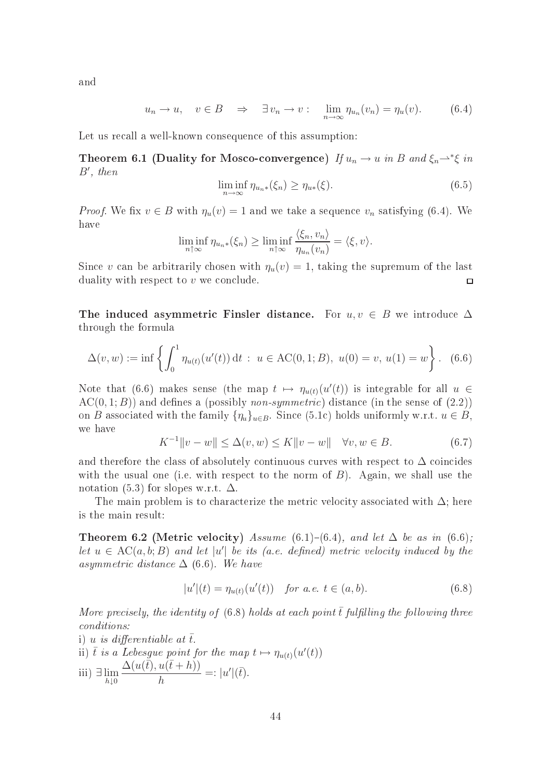and

$$
u_n \to u, \quad v \in B \quad \Rightarrow \quad \exists v_n \to v: \quad \lim_{n \to \infty} \eta_{u_n}(v_n) = \eta_u(v). \tag{6.4}
$$

Let us recall a well-known consequence of this assumption:

Theorem 6.1 (Duality for Mosco-convergence) If  $u_n \to u$  in B and  $\xi_n \to^* \xi$  in B′ , then

$$
\liminf_{n \to \infty} \eta_{u_n*}(\xi_n) \ge \eta_{u*}(\xi).
$$
\n(6.5)

*Proof.* We fix  $v \in B$  with  $\eta_u(v) = 1$  and we take a sequence  $v_n$  satisfying (6.4). We have

$$
\liminf_{n \uparrow \infty} \eta_{u_n * }(\xi_n) \ge \liminf_{n \uparrow \infty} \frac{\langle \xi_n, v_n \rangle}{\eta_{u_n}(v_n)} = \langle \xi, v \rangle.
$$

Since v can be arbitrarily chosen with  $\eta_u(v) = 1$ , taking the supremum of the last duality with respect to  $v$  we conclude.  $\Box$ 

The induced asymmetric Finsler distance. For  $u, v \in B$  we introduce  $\Delta$ through the formula

$$
\Delta(v, w) := \inf \left\{ \int_0^1 \eta_{u(t)}(u'(t)) dt : u \in \text{AC}(0, 1; B), \ u(0) = v, \ u(1) = w \right\}. \tag{6.6}
$$

Note that (6.6) makes sense (the map  $t \mapsto \eta_{u(t)}(u'(t))$  is integrable for all  $u \in$  $AC(0,1;B)$  and defines a (possibly *non-symmetric*) distance (in the sense of  $(2.2)$ ) on B associated with the family  $\{\eta_u\}_{u \in B}$ . Since (5.1c) holds uniformly w.r.t.  $u \in B$ , we have

$$
K^{-1} \|v - w\| \le \Delta(v, w) \le K \|v - w\| \quad \forall v, w \in B.
$$
\n(6.7)

and therefore the class of absolutely continuous curves with respect to  $\Delta$  coincides with the usual one (i.e. with respect to the norm of  $B$ ). Again, we shall use the notation (5.3) for slopes w.r.t.  $\Delta$ .

The main problem is to characterize the metric velocity associated with  $\Delta$ ; here is the main result:

**Theorem 6.2 (Metric velocity)** Assume (6.1)–(6.4), and let  $\Delta$  be as in (6.6); let  $u \in AC(a, b; B)$  and let |u'| be its (a.e. defined) metric velocity induced by the asymmetric distance  $\Delta$  (6.6). We have

$$
|u'|(t) = \eta_{u(t)}(u'(t)) \quad \text{for a.e. } t \in (a, b). \tag{6.8}
$$

More precisely, the identity of  $(6.8)$  holds at each point  $\bar{t}$  fulfilling the following three onditions:

i) u is differentiable at  $\bar{t}$ . ii)  $\bar{t}$  is a Lebesgue point for the map  $t \mapsto \eta_{u(t)}(u'(t))$ iii) ∃ lim h↓0  $\Delta(u(\bar{t}), u(\bar{t}+h))$ h  $=:\vert u' \vert (\bar{t}).$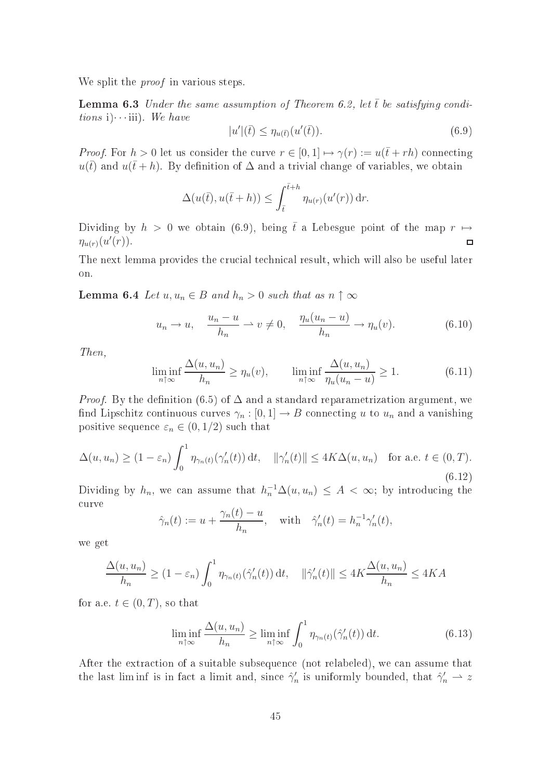We split the *proof* in various steps.

**Lemma 6.3** Under the same assumption of Theorem 6.2, let  $\bar{t}$  be satisfying conditions i) $\cdots$ iii). We have

$$
|u'|\left(\bar{t}\right) \leq \eta_{u(\bar{t})}(u'(\bar{t})).\tag{6.9}
$$

*Proof.* For  $h > 0$  let us consider the curve  $r \in [0, 1] \mapsto \gamma(r) := u(\bar{t} + rh)$  connecting  $u(\bar{t})$  and  $u(\bar{t}+h)$ . By definition of  $\Delta$  and a trivial change of variables, we obtain

$$
\Delta(u(\bar{t}), u(\bar{t}+h)) \leq \int_{\bar{t}}^{\bar{t}+h} \eta_{u(r)}(u'(r)) dr.
$$

Dividing by  $h > 0$  we obtain (6.9), being  $\bar{t}$  a Lebesgue point of the map  $r \mapsto$  $\eta_{u(r)}(u'(r)).$  $\Box$ 

The next lemma provides the crucial technical result, which will also be useful later on.

**Lemma 6.4** Let  $u, u_n \in B$  and  $h_n > 0$  such that as  $n \uparrow \infty$ 

$$
u_n \to u, \quad \frac{u_n - u}{h_n} \to v \neq 0, \quad \frac{\eta_u(u_n - u)}{h_n} \to \eta_u(v). \tag{6.10}
$$

Then,

$$
\liminf_{n \uparrow \infty} \frac{\Delta(u, u_n)}{h_n} \ge \eta_u(v), \qquad \liminf_{n \uparrow \infty} \frac{\Delta(u, u_n)}{\eta_u(u_n - u)} \ge 1. \tag{6.11}
$$

*Proof.* By the definition (6.5) of  $\Delta$  and a standard reparametrization argument, we find Lipschitz continuous curves  $\gamma_n : [0,1] \to B$  connecting u to  $u_n$  and a vanishing positive sequence  $\varepsilon_n \in (0,1/2)$  such that

$$
\Delta(u, u_n) \ge (1 - \varepsilon_n) \int_0^1 \eta_{\gamma_n(t)}(\gamma_n'(t)) dt, \quad \|\gamma_n'(t)\| \le 4K\Delta(u, u_n) \quad \text{for a.e. } t \in (0, T). \tag{6.12}
$$

Dividing by  $h_n$ , we can assume that  $h_n^{-1}\Delta(u, u_n) \leq A < \infty$ ; by introducing the urve

$$
\hat{\gamma}_n(t) := u + \frac{\gamma_n(t) - u}{h_n}, \quad \text{with} \quad \hat{\gamma}'_n(t) = h_n^{-1} \gamma'_n(t),
$$

we get

$$
\frac{\Delta(u, u_n)}{h_n} \ge (1 - \varepsilon_n) \int_0^1 \eta_{\gamma_n(t)}(\hat{\gamma}_n'(t)) dt, \quad \|\hat{\gamma}_n'(t)\| \le 4K \frac{\Delta(u, u_n)}{h_n} \le 4KA
$$

for a.e.  $t \in (0, T)$ , so that

$$
\liminf_{n \uparrow \infty} \frac{\Delta(u, u_n)}{h_n} \ge \liminf_{n \uparrow \infty} \int_0^1 \eta_{\gamma_n(t)}(\hat{\gamma}'_n(t)) dt.
$$
\n(6.13)

After the extraction of a suitable subsequence (not relabeled), we can assume that the last liminf is in fact a limit and, since  $\hat{\gamma}'_n$  is uniformly bounded, that  $\hat{\gamma}'_n \to z$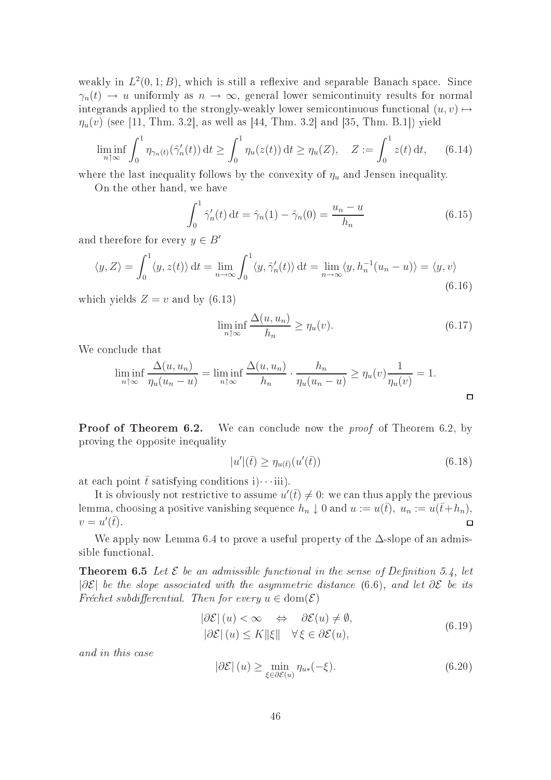weakly in  $L^2(0,1;B)$ , which is still a reflexive and separable Banach space. Since  $\gamma_n(t) \to u$  uniformly as  $n \to \infty$ , general lower semicontinuity results for normal integrands applied to the strongly-weakly lower semicontinuous functional  $(u, v) \mapsto$  $\eta_u(v)$  (see [11, Thm. 3.2], as well as [44, Thm. 3.2] and [35, Thm. B.1]) yield

$$
\liminf_{n \uparrow \infty} \int_0^1 \eta_{\gamma_n(t)}(\hat{\gamma}_n'(t)) dt \ge \int_0^1 \eta_u(z(t)) dt \ge \eta_u(Z), \quad Z := \int_0^1 z(t) dt, \quad (6.14)
$$

where the last inequality follows by the convexity of  $\eta_u$  and Jensen inequality.

On the other hand, we have

$$
\int_0^1 \hat{\gamma}'_n(t) dt = \hat{\gamma}_n(1) - \hat{\gamma}_n(0) = \frac{u_n - u}{h_n}
$$
 (6.15)

and therefore for every  $y \in B'$ 

$$
\langle y, Z \rangle = \int_0^1 \langle y, z(t) \rangle dt = \lim_{n \to \infty} \int_0^1 \langle y, \hat{\gamma}'_n(t) \rangle dt = \lim_{n \to \infty} \langle y, h_n^{-1}(u_n - u) \rangle = \langle y, v \rangle
$$
\n(6.16)

which yields  $Z = v$  and by (6.13)

$$
\liminf_{n \uparrow \infty} \frac{\Delta(u, u_n)}{h_n} \ge \eta_u(v). \tag{6.17}
$$

We conclude that

$$
\liminf_{n \uparrow \infty} \frac{\Delta(u, u_n)}{\eta_u(u_n - u)} = \liminf_{n \uparrow \infty} \frac{\Delta(u, u_n)}{h_n} \cdot \frac{h_n}{\eta_u(u_n - u)} \ge \eta_u(v) \frac{1}{\eta_u(v)} = 1.
$$

**Proof of Theorem 6.2.** We can conclude now the *proof* of Theorem 6.2, by proving the opposite inequality

$$
|u'|\left(\bar{t}\right) \ge \eta_{u(\bar{t})}(u'(\bar{t}))\tag{6.18}
$$

at each point  $\bar{t}$  satisfying conditions i) $\cdots$ iii).

It is obviously not restrictive to assume  $u'(\bar{t}) \neq 0$ : we can thus apply the previous lemma, choosing a positive vanishing sequence  $h_n \downarrow 0$  and  $u := u(\bar{t}), u_n := u(\bar{t} + h_n)$ ,  $v = u'(\bar{t}).$  $\Box$ 

We apply now Lemma 6.4 to prove a useful property of the ∆-slope of an admissible functional.

**Theorem 6.5** Let  $\mathcal E$  be an admissible functional in the sense of Definition 5.4, let  $|\partial \mathcal{E}|$  be the slope associated with the asymmetric distance (6.6), and let  $\partial \mathcal{E}$  be its Fréchet subdifferential. Then for every  $u \in \text{dom}(\mathcal{E})$ 

$$
|\partial \mathcal{E}|(u) < \infty \quad \Leftrightarrow \quad \partial \mathcal{E}(u) \neq \emptyset, |\partial \mathcal{E}|(u) \le K \|\xi\| \quad \forall \xi \in \partial \mathcal{E}(u),
$$
\n
$$
(6.19)
$$

and in this ase

$$
|\partial \mathcal{E}| (u) \ge \min_{\xi \in \partial \mathcal{E}(u)} \eta_{u*}(-\xi). \tag{6.20}
$$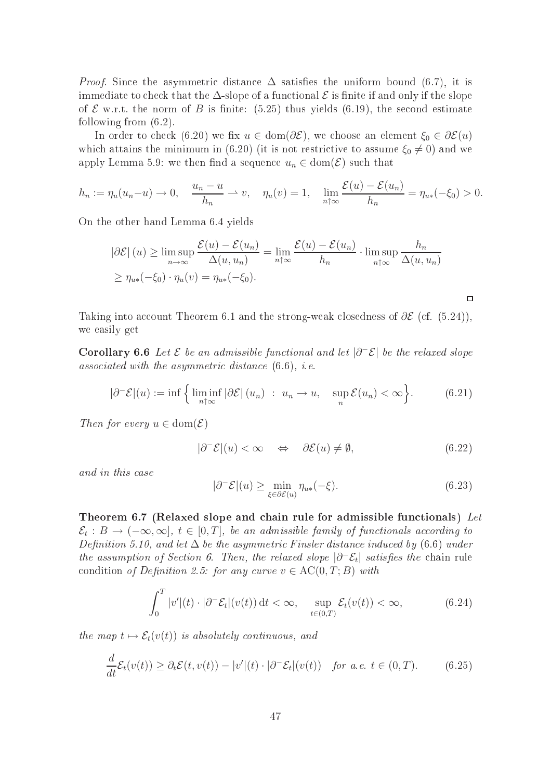*Proof.* Since the asymmetric distance  $\Delta$  satisfies the uniform bound (6.7), it is immediate to check that the  $\Delta$ -slope of a functional  $\mathcal E$  is finite if and only if the slope of  $\mathcal E$  w.r.t. the norm of B is finite: (5.25) thus yields (6.19), the second estimate following from (6.2).

In order to check (6.20) we fix  $u \in \text{dom}(\partial \mathcal{E})$ , we choose an element  $\xi_0 \in \partial \mathcal{E}(u)$ which attains the minimum in (6.20) (it is not restrictive to assume  $\xi_0 \neq 0$ ) and we apply Lemma 5.9: we then find a sequence  $u_n \in \text{dom}(\mathcal{E})$  such that

$$
h_n := \eta_u(u_n - u) \to 0, \quad \frac{u_n - u}{h_n} \to v, \quad \eta_u(v) = 1, \quad \lim_{n \uparrow \infty} \frac{\mathcal{E}(u) - \mathcal{E}(u_n)}{h_n} = \eta_{u*}(-\xi_0) > 0.
$$

On the other hand Lemma 6.4 yields

$$
|\partial \mathcal{E}| (u) \ge \limsup_{n \to \infty} \frac{\mathcal{E}(u) - \mathcal{E}(u_n)}{\Delta(u, u_n)} = \lim_{n \uparrow \infty} \frac{\mathcal{E}(u) - \mathcal{E}(u_n)}{h_n} \cdot \limsup_{n \uparrow \infty} \frac{h_n}{\Delta(u, u_n)}
$$
  
 
$$
\ge \eta_{u*}(-\xi_0) \cdot \eta_u(v) = \eta_{u*}(-\xi_0).
$$

Taking into account Theorem 6.1 and the strong-weak closedness of  $\partial \mathcal{E}$  (cf. (5.24)), we easily get

Corollary 6.6 Let  $\mathcal E$  be an admissible functional and let  $|\partial^-\mathcal E|$  be the relaxed slope asso
iated with the asymmetri distan
e (6.6), i.e.

$$
|\partial^{-} \mathcal{E}|(u) := \inf \left\{ \liminf_{n \uparrow \infty} |\partial \mathcal{E}|(u_n) : u_n \to u, \sup_{n} \mathcal{E}(u_n) < \infty \right\}. \tag{6.21}
$$

Then for every  $u \in \text{dom}(\mathcal{E})$ 

$$
|\partial^-\mathcal{E}|(u) < \infty \quad \Leftrightarrow \quad \partial \mathcal{E}(u) \neq \emptyset,\tag{6.22}
$$

 $\Box$ 

and in this ase

$$
|\partial^-\mathcal{E}|(u) \ge \min_{\xi \in \partial \mathcal{E}(u)} \eta_{u*}(-\xi). \tag{6.23}
$$

Theorem 6.7 (Relaxed slope and chain rule for admissible functionals) Let  $\mathcal{E}_t : B \to (-\infty, \infty], t \in [0,T],$  be an admissible family of functionals according to Definition 5.10, and let  $\Delta$  be the asymmetric Finsler distance induced by (6.6) under the assumption of Section 6. Then, the relaxed slope  $|\partial^-\mathcal{E}_t|$  satisfies the chain rule condition of Definition 2.5: for any curve  $v \in \mathrm{AC}(0,T;B)$  with

$$
\int_0^T |v'(t) \cdot |\partial^- \mathcal{E}_t|(v(t)) dt < \infty, \quad \sup_{t \in (0,T)} \mathcal{E}_t(v(t)) < \infty,
$$
 (6.24)

the map  $t \mapsto \mathcal{E}_t(v(t))$  is absolutely continuous, and

$$
\frac{d}{dt}\mathcal{E}_t(v(t)) \geq \partial_t \mathcal{E}(t, v(t)) - |v'|(t) \cdot |\partial^- \mathcal{E}_t|(v(t)) \quad \text{for a.e. } t \in (0, T). \tag{6.25}
$$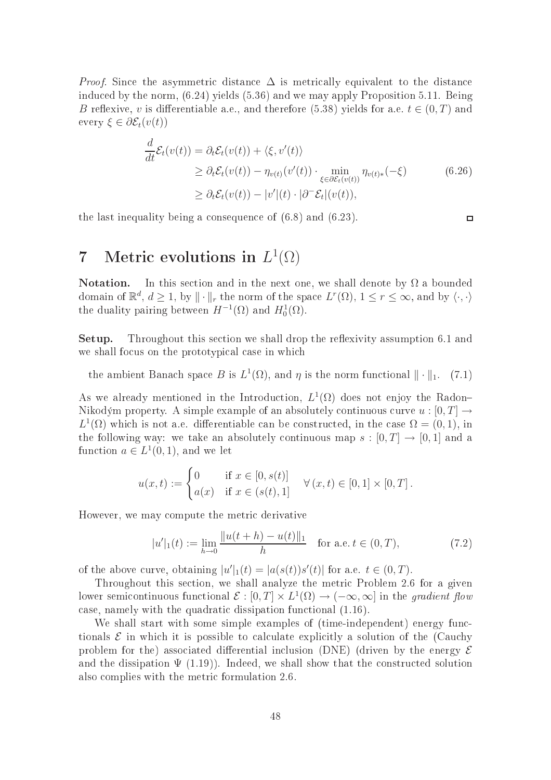*Proof.* Since the asymmetric distance  $\Delta$  is metrically equivalent to the distance indu
ed by the norm, (6.24) yields (5.36) and we may apply Proposition 5.11. Being B reflexive, v is differentiable a.e., and therefore (5.38) yields for a.e.  $t \in (0, T)$  and every  $\xi \in \partial \mathcal{E}_t(v(t))$ 

$$
\frac{d}{dt}\mathcal{E}_t(v(t)) = \partial_t \mathcal{E}_t(v(t)) + \langle \xi, v'(t) \rangle
$$
\n
$$
\geq \partial_t \mathcal{E}_t(v(t)) - \eta_{v(t)}(v'(t)) \cdot \min_{\xi \in \partial \mathcal{E}_t(v(t))} \eta_{v(t)*}(-\xi)
$$
\n
$$
\geq \partial_t \mathcal{E}_t(v(t)) - |v'(t) \cdot |\partial^- \mathcal{E}_t|(v(t)),
$$
\n(6.26)

the last inequality being a onsequen
e of (6.8) and (6.23).

# $7$  Metric evolutions in  $L^1(\Omega)$

**Notation.** In this section and in the next one, we shall denote by  $\Omega$  a bounded domain of  $\mathbb{R}^d$ ,  $d \geq 1$ , by  $\|\cdot\|_r$  the norm of the space  $L^r(\Omega)$ ,  $1 \leq r \leq \infty$ , and by  $\langle \cdot, \cdot \rangle$ the duality pairing between  $H^{-1}(\Omega)$  and  $H_0^1(\Omega)$ .

**Setup.** Throughout this section we shall drop the reflexivity assumption 6.1 and we shall focus on the prototypical case in which

the ambient Banach space B is  $L^1(\Omega)$ , and  $\eta$  is the norm functional  $\|\cdot\|_1$ . (7.1)

As we already mentioned in the Introduction,  $L^1(\Omega)$  does not enjoy the Radon-Nikodým property. A simple example of an absolutely continuous curve  $u:[0,T] \to$  $L^1(\Omega)$  which is not a.e. differentiable can be constructed, in the case  $\Omega = (0,1)$ , in the following way: we take an absolutely continuous map  $s : [0, T] \to [0, 1]$  and a function  $a \in L^1(0,1)$ , and we let

$$
u(x,t) := \begin{cases} 0 & \text{if } x \in [0, s(t)] \\ a(x) & \text{if } x \in (s(t), 1] \end{cases} \quad \forall (x, t) \in [0, 1] \times [0, T].
$$

However, we may ompute the metri derivative

$$
|u'|_1(t) := \lim_{h \to 0} \frac{\|u(t+h) - u(t)\|_1}{h} \quad \text{for a.e. } t \in (0, T), \tag{7.2}
$$

of the above curve, obtaining  $|u'|_1(t) = |a(s(t))s'(t)|$  for a.e.  $t \in (0, T)$ .

Throughout this section, we shall analyze the metric Problem 2.6 for a given lower semicontinuous functional  $\mathcal{E} : [0,T] \times L^1(\Omega) \to (-\infty,\infty]$  in the gradient flow ase, namely with the quadrati dissipation fun
tional (1.16).

We shall start with some simple examples of (time-independent) energy functionals  $\mathcal E$  in which it is possible to calculate explicitly a solution of the (Cauchy problem for the) associated differential inclusion (DNE) (driven by the energy  $\mathcal E$ and the dissipation  $\Psi$  (1.19)). Indeed, we shall show that the constructed solution also omplies with the metri formulation 2.6.

 $\Box$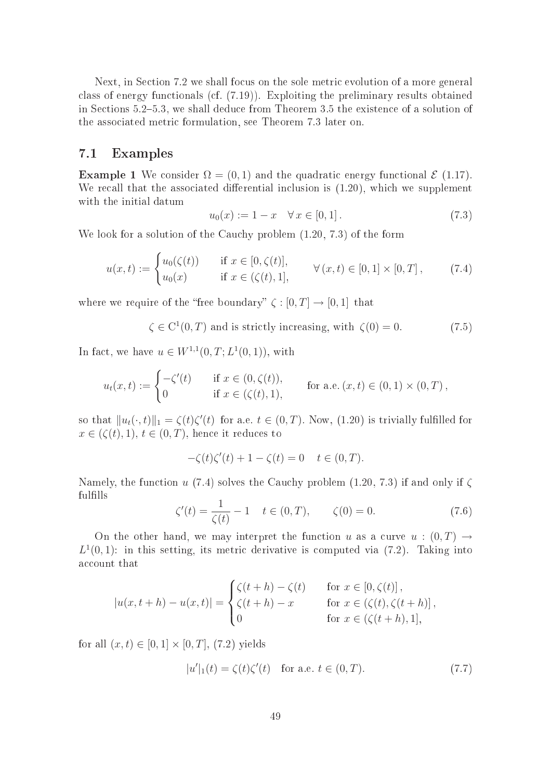Next, in Section 7.2 we shall focus on the sole metric evolution of a more general class of energy functionals (cf. (7.19)). Exploiting the preliminary results obtained in Sections 5.2-5.3, we shall deduce from Theorem 3.5 the existence of a solution of the asso
iated metri formulation, see Theorem 7.3 later on.

## 7.1 Examples

**Example 1** We consider  $\Omega = (0, 1)$  and the quadratic energy functional  $\mathcal{E}$  (1.17). We recall that the associated differential inclusion is  $(1.20)$ , which we supplement with the initial datum

$$
u_0(x) := 1 - x \quad \forall \, x \in [0, 1]. \tag{7.3}
$$

We look for a solution of the Cauchy problem  $(1.20, 7.3)$  of the form

$$
u(x,t) := \begin{cases} u_0(\zeta(t)) & \text{if } x \in [0,\zeta(t)], \\ u_0(x) & \text{if } x \in (\zeta(t),1], \end{cases} \forall (x,t) \in [0,1] \times [0,T], \tag{7.4}
$$

where we require of the "free boundary"  $\zeta : [0, T] \to [0, 1]$  that

 $\zeta \in C^1(0,T)$  and is strictly increasing, with  $\zeta(0) = 0$ . (7.5)

In fact, we have  $u \in W^{1,1}(0,T; L^1(0,1))$ , with

$$
u_t(x,t) := \begin{cases} -\zeta'(t) & \text{if } x \in (0,\zeta(t)), \\ 0 & \text{if } x \in (\zeta(t),1), \end{cases} \quad \text{for a.e. } (x,t) \in (0,1) \times (0,T),
$$

so that  $||u_t(\cdot, t)||_1 = \zeta(t)\zeta'(t)$  for a.e.  $t \in (0, T)$ . Now,  $(1.20)$  is trivially fulfilled for  $x \in (\zeta(t), 1), t \in (0, T)$ , hence it reduces to

$$
-\zeta(t)\zeta'(t) + 1 - \zeta(t) = 0 \quad t \in (0, T).
$$

Namely, the function u (7.4) solves the Cauchy problem  $(1.20, 7.3)$  if and only if  $\zeta$ fulfills

$$
\zeta'(t) = \frac{1}{\zeta(t)} - 1 \quad t \in (0, T), \qquad \zeta(0) = 0. \tag{7.6}
$$

On the other hand, we may interpret the function u as a curve  $u:(0,T) \to$  $L^1(0,1)$ : in this setting, its metric derivative is computed via (7.2). Taking into account that

$$
|u(x,t+h) - u(x,t)| = \begin{cases} \zeta(t+h) - \zeta(t) & \text{for } x \in [0,\zeta(t)], \\ \zeta(t+h) - x & \text{for } x \in (\zeta(t),\zeta(t+h)], \\ 0 & \text{for } x \in (\zeta(t+h),1], \end{cases}
$$

for all  $(x, t) \in [0, 1] \times [0, T]$ , (7.2) yields

$$
|u'|_1(t) = \zeta(t)\zeta'(t) \quad \text{for a.e. } t \in (0, T). \tag{7.7}
$$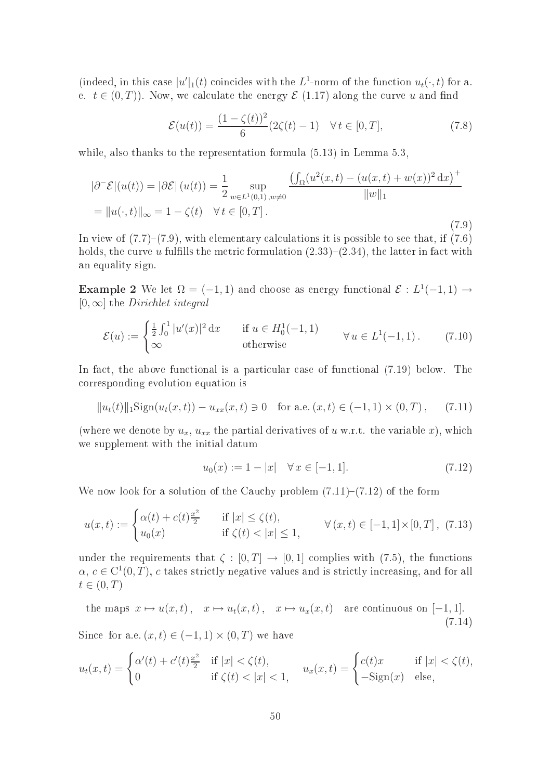(indeed, in this case  $|u'|_1(t)$  coincides with the L<sup>1</sup>-norm of the function  $u_t(\cdot,t)$  for a. e.  $t \in (0, T)$ ). Now, we calculate the energy  $\mathcal{E}(1.17)$  along the curve u and find

$$
\mathcal{E}(u(t)) = \frac{(1 - \zeta(t))^2}{6} (2\zeta(t) - 1) \quad \forall \, t \in [0, T], \tag{7.8}
$$

 $\cdots$ 

while, also thanks to the representation formula  $(5.13)$  in Lemma 5.3.

$$
|\partial^{-} \mathcal{E}|(u(t)) = |\partial \mathcal{E}|(u(t)) = \frac{1}{2} \sup_{w \in L^{1}(0,1), w \neq 0} \frac{\left(\int_{\Omega} (u^{2}(x,t) - (u(x,t) + w(x))^{2} dx\right)^{+}}{\|w\|_{1}}
$$

$$
= \|u(\cdot,t)\|_{\infty} = 1 - \zeta(t) \quad \forall \, t \in [0,T].
$$
\n(7.9)

In view of  $(7.7)-(7.9)$ , with elementary calculations it is possible to see that, if  $(7.6)$ holds, the curve u fulfills the metric formulation  $(2.33)-(2.34)$ , the latter in fact with an equality sign.

**Example 2** We let  $\Omega = (-1, 1)$  and choose as energy functional  $\mathcal{E}: L^1(-1, 1) \rightarrow$  $[0, \infty]$  the *Dirichlet integral* 

$$
\mathcal{E}(u) := \begin{cases} \frac{1}{2} \int_0^1 |u'(x)|^2 \, \mathrm{d}x & \text{if } u \in H_0^1(-1, 1) \\ \infty & \text{otherwise} \end{cases} \qquad \forall u \in L^1(-1, 1). \tag{7.10}
$$

In fact, the above functional is a particular case of functional  $(7.19)$  below. The orresponding evolution equation is

$$
||u_t(t)||_1 \text{Sign}(u_t(x,t)) - u_{xx}(x,t) \ni 0 \quad \text{for a.e. } (x,t) \in (-1,1) \times (0,T), \quad (7.11)
$$

(where we denote by  $u_x$ ,  $u_{xx}$  the partial derivatives of u w.r.t. the variable x), which we supplement with the initial datum

$$
u_0(x) := 1 - |x| \quad \forall \, x \in [-1, 1]. \tag{7.12}
$$

We now look for a solution of the Cauchy problem  $(7.11)-(7.12)$  of the form

$$
u(x,t) := \begin{cases} \alpha(t) + c(t)^{\frac{x^2}{2}} & \text{if } |x| \le \zeta(t), \\ u_0(x) & \text{if } \zeta(t) < |x| \le 1, \end{cases} \forall (x,t) \in [-1,1] \times [0,T], (7.13)
$$

under the requirements that  $\zeta : [0, T] \to [0, 1]$  complies with (7.5), the functions  $\alpha, c \in C^1(0,T)$ , c takes strictly negative values and is strictly increasing, and for all  $t\in(0,T)$ 

the maps 
$$
x \mapsto u(x, t)
$$
,  $x \mapsto u_t(x, t)$ ,  $x \mapsto u_x(x, t)$  are continuous on [-1, 1].  
(7.14)

Since for a.e.  $(x, t) \in (-1, 1) \times (0, T)$  we have

$$
u_t(x,t) = \begin{cases} \alpha'(t) + c'(t)\frac{x^2}{2} & \text{if } |x| < \zeta(t), \\ 0 & \text{if } \zeta(t) < |x| < 1, \end{cases} \quad u_x(x,t) = \begin{cases} c(t)x & \text{if } |x| < \zeta(t), \\ -\text{Sign}(x) & \text{else,} \end{cases}
$$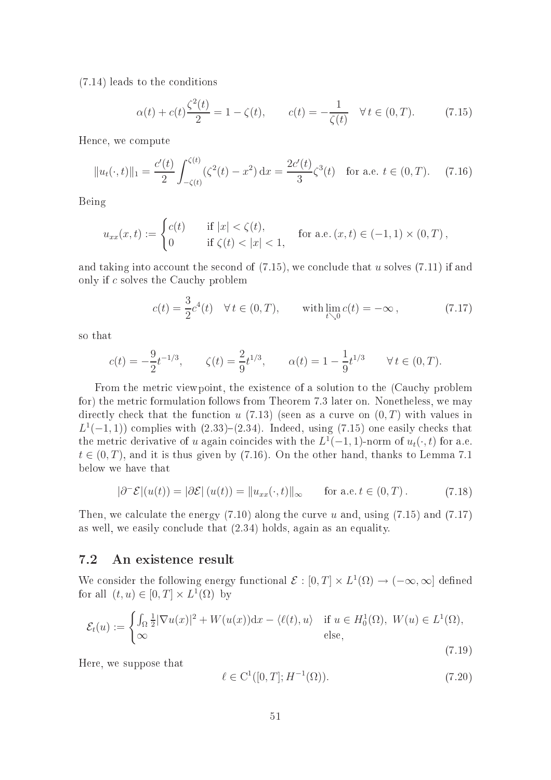(7.14) leads to the onditions

$$
\alpha(t) + c(t)\frac{\zeta^2(t)}{2} = 1 - \zeta(t), \qquad c(t) = -\frac{1}{\zeta(t)} \quad \forall \, t \in (0, T). \tag{7.15}
$$

Hen
e, we ompute

$$
||u_t(\cdot, t)||_1 = \frac{c'(t)}{2} \int_{-\zeta(t)}^{\zeta(t)} (\zeta^2(t) - x^2) dx = \frac{2c'(t)}{3} \zeta^3(t) \text{ for a.e. } t \in (0, T). \tag{7.16}
$$

Being

$$
u_{xx}(x,t) := \begin{cases} c(t) & \text{if } |x| < \zeta(t), \\ 0 & \text{if } \zeta(t) < |x| < 1, \end{cases} \text{ for a.e. } (x,t) \in (-1,1) \times (0,T),
$$

and taking into account the second of  $(7.15)$ , we conclude that u solves  $(7.11)$  if and only if c solves the Cau
hy problem

$$
c(t) = \frac{3}{2}c^4(t) \quad \forall \, t \in (0, T), \qquad \text{with } \lim_{t \searrow 0} c(t) = -\infty \,, \tag{7.17}
$$

so that

$$
c(t) = -\frac{9}{2}t^{-1/3}
$$
,  $\zeta(t) = \frac{2}{9}t^{1/3}$ ,  $\alpha(t) = 1 - \frac{1}{9}t^{1/3}$   $\forall t \in (0, T)$ .

From the metric viewpoint, the existence of a solution to the (Cauchy problem for) the metric formulation follows from Theorem 7.3 later on. Nonetheless, we may directly check that the function  $u(7.13)$  (seen as a curve on  $(0, T)$  with values in  $L^1(-1,1)$  complies with  $(2.33)-(2.34)$ . Indeed, using  $(7.15)$  one easily checks that the metric derivative of u again coincides with the  $L^1(-1, 1)$ -norm of  $u_t(\cdot, t)$  for a.e.  $t \in (0, T)$ , and it is thus given by (7.16). On the other hand, thanks to Lemma 7.1 below we have that

$$
|\partial^{-} \mathcal{E}|(u(t)) = |\partial \mathcal{E}|(u(t)) = ||u_{xx}(\cdot, t)||_{\infty} \quad \text{for a.e. } t \in (0, T). \tag{7.18}
$$

Then, we calculate the energy  $(7.10)$  along the curve u and, using  $(7.15)$  and  $(7.17)$ as well, we easily on
lude that (2.34) holds, again as an equality.

### 7.2 An existen
e result

We consider the following energy functional  $\mathcal{E} : [0,T] \times L^1(\Omega) \to (-\infty,\infty]$  defined for all  $(t, u) \in [0, T] \times L^1(\Omega)$  by

$$
\mathcal{E}_t(u) := \begin{cases} \int_{\Omega} \frac{1}{2} |\nabla u(x)|^2 + W(u(x)) \mathrm{d}x - \langle \ell(t), u \rangle & \text{if } u \in H_0^1(\Omega), \ W(u) \in L^1(\Omega), \\ \infty & \text{else,} \end{cases}
$$
(7.19)

Here, we suppose that

$$
\ell \in C^1([0, T]; H^{-1}(\Omega)).
$$
\n(7.20)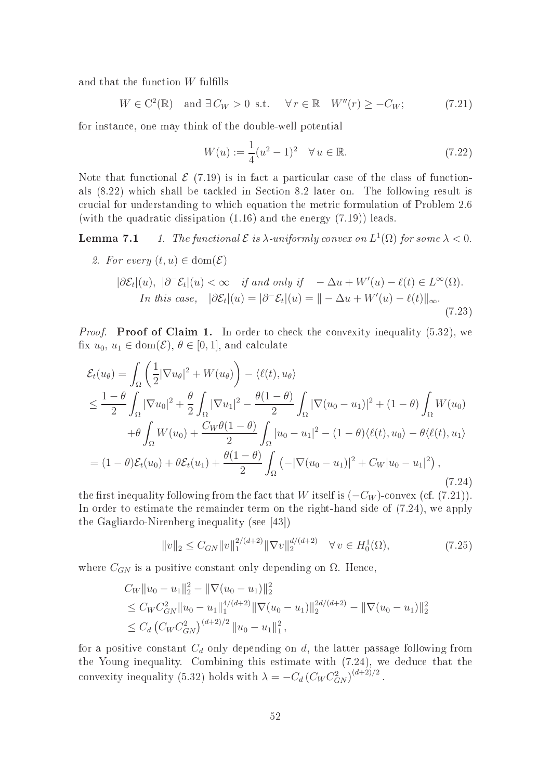and that the function  $W$  fulfills

 $W \in C^2(\mathbb{R})$  and  $\exists C_W > 0$  s.t.  $\forall r \in \mathbb{R}$   $W''(r) \geq -C_W;$  (7.21)

for instan
e, one may think of the double-well potential

$$
W(u) := \frac{1}{4}(u^2 - 1)^2 \quad \forall u \in \mathbb{R}.
$$
 (7.22)

Note that functional  $\mathcal{E}$  (7.19) is in fact a particular case of the class of functionals  $(8.22)$  which shall be tackled in Section 8.2 later on. The following result is ru
ial for understanding to whi
h equation the metri formulation of Problem 2.6 (with the quadratic dissipation  $(1.16)$  and the energy  $(7.19)$ ) leads.

**Lemma 7.1** 1. The functional  $\mathcal E$  is  $\lambda$ -uniformly convex on  $L^1(\Omega)$  for some  $\lambda < 0$ .

2. For every 
$$
(t, u) \in \text{dom}(\mathcal{E})
$$
  
\n
$$
|\partial \mathcal{E}_t|(u), |\partial^-\mathcal{E}_t|(u) < \infty \quad \text{if and only if} \quad -\Delta u + W'(u) - \ell(t) \in L^{\infty}(\Omega).
$$
\nIn this case,  $|\partial \mathcal{E}_t|(u) = |\partial^-\mathcal{E}_t|(u) = || -\Delta u + W'(u) - \ell(t)||_{\infty}.$ \n(7.23)

*Proof.* Proof of Claim 1. In order to check the convexity inequality  $(5.32)$ , we fix  $u_0, u_1 \in \text{dom}(\mathcal{E}), \theta \in [0,1]$ , and calculate

$$
\mathcal{E}_{t}(u_{\theta}) = \int_{\Omega} \left( \frac{1}{2} |\nabla u_{\theta}|^{2} + W(u_{\theta}) \right) - \langle \ell(t), u_{\theta} \rangle
$$
  
\n
$$
\leq \frac{1-\theta}{2} \int_{\Omega} |\nabla u_{0}|^{2} + \frac{\theta}{2} \int_{\Omega} |\nabla u_{1}|^{2} - \frac{\theta(1-\theta)}{2} \int_{\Omega} |\nabla(u_{0} - u_{1})|^{2} + (1-\theta) \int_{\Omega} W(u_{0})
$$
  
\n
$$
+ \theta \int_{\Omega} W(u_{0}) + \frac{C_{W}\theta(1-\theta)}{2} \int_{\Omega} |u_{0} - u_{1}|^{2} - (1-\theta) \langle \ell(t), u_{0} \rangle - \theta \langle \ell(t), u_{1} \rangle
$$
  
\n
$$
= (1-\theta) \mathcal{E}_{t}(u_{0}) + \theta \mathcal{E}_{t}(u_{1}) + \frac{\theta(1-\theta)}{2} \int_{\Omega} (-|\nabla(u_{0} - u_{1})|^{2} + C_{W}|u_{0} - u_{1}|^{2}), \tag{7.24}
$$

the first inequality following from the fact that W itself is  $(-C_W)$ -convex (cf. (7.21)). In order to estimate the remainder term on the right-hand side of (7.24), we apply the Gagliardo-Nirenberg inequality (see  $[43]$ )

$$
||v||_2 \le C_{GN} ||v||_1^{2/(d+2)} ||\nabla v||_2^{d/(d+2)} \quad \forall \, v \in H_0^1(\Omega), \tag{7.25}
$$

where  $C_{GN}$  is a positive constant only depending on  $\Omega$ . Hence,

$$
C_W ||u_0 - u_1||_2^2 - ||\nabla(u_0 - u_1)||_2^2
$$
  
\n
$$
\leq C_W C_{GN}^2 ||u_0 - u_1||_1^{4/(d+2)} ||\nabla(u_0 - u_1)||_2^{2d/(d+2)} - ||\nabla(u_0 - u_1)||_2^2
$$
  
\n
$$
\leq C_d \left( C_W C_{GN}^2 \right)^{(d+2)/2} ||u_0 - u_1||_1^2,
$$

for a positive constant  $C_d$  only depending on d, the latter passage following from the Young inequality. Combining this estimate with  $(7.24)$ , we deduce that the convexity inequality (5.32) holds with  $\lambda = -C_d \left( C_W C_{GN}^2 \right)^{(d+2)/2}$ .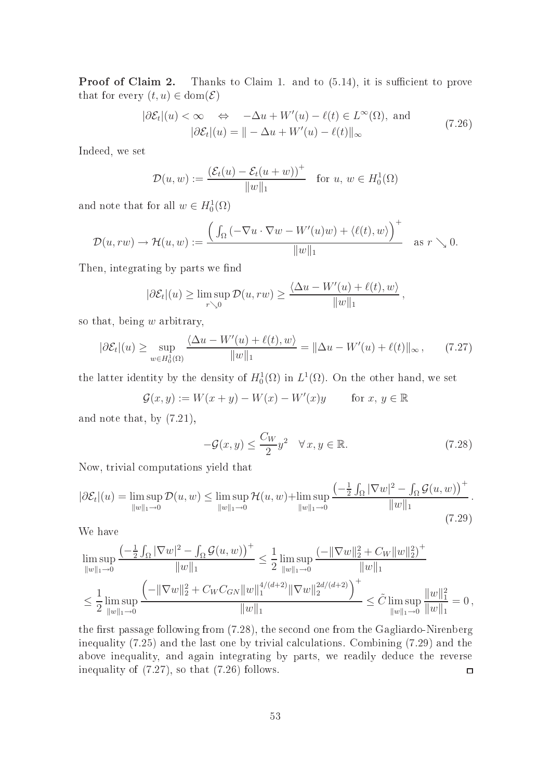**Proof of Claim 2.** Thanks to Claim 1. and to  $(5.14)$ , it is sufficient to prove that for every  $(t, u) \in \text{dom}(\mathcal{E})$ 

$$
|\partial \mathcal{E}_t|(u) < \infty \quad \Leftrightarrow \quad -\Delta u + W'(u) - \ell(t) \in L^\infty(\Omega), \text{ and}
$$
\n
$$
|\partial \mathcal{E}_t|(u) = || -\Delta u + W'(u) - \ell(t)||_{\infty} \tag{7.26}
$$

Indeed, we set

$$
\mathcal{D}(u, w) := \frac{(\mathcal{E}_t(u) - \mathcal{E}_t(u + w))^+}{\|w\|_1} \quad \text{for } u, w \in H_0^1(\Omega)
$$

and note that for all  $w \in H_0^1(\Omega)$ 

$$
\mathcal{D}(u, rw) \to \mathcal{H}(u,w) := \frac{\left(\int_{\Omega} \left(-\nabla u \cdot \nabla w - W'(u)w\right) + \langle \ell(t), w \rangle\right)^{+}}{\|w\|_{1}} \quad \text{as } r \searrow 0.
$$

Then, integrating by parts we find

$$
|\partial \mathcal{E}_t|(u) \ge \limsup_{r \searrow 0} \mathcal{D}(u, rw) \ge \frac{\langle \Delta u - W'(u) + \ell(t), w \rangle}{\|w\|_1},
$$

so that, being  $w$  arbitrary,

$$
|\partial \mathcal{E}_t|(u) \ge \sup_{w \in H_0^1(\Omega)} \frac{\langle \Delta u - W'(u) + \ell(t), w \rangle}{\|w\|_1} = \|\Delta u - W'(u) + \ell(t)\|_{\infty}, \qquad (7.27)
$$

the latter identity by the density of  $H_0^1(\Omega)$  in  $L^1(\Omega)$ . On the other hand, we set

$$
\mathcal{G}(x, y) := W(x + y) - W(x) - W'(x)y \quad \text{for } x, y \in \mathbb{R}
$$

and note that, by (7.21),

$$
-\mathcal{G}(x,y) \le \frac{C_W}{2} y^2 \quad \forall x, y \in \mathbb{R}.\tag{7.28}
$$

 $\cdots$ 

Now, trivial omputations yield that

$$
|\partial \mathcal{E}_t|(u) = \limsup_{\|w\|_1 \to 0} \mathcal{D}(u, w) \le \limsup_{\|w\|_1 \to 0} \mathcal{H}(u, w) + \limsup_{\|w\|_1 \to 0} \frac{\left(-\frac{1}{2} \int_{\Omega} |\nabla w|^2 - \int_{\Omega} \mathcal{G}(u, w)\right)^+}{\|w\|_1}.
$$
\n(7.29)

We have

$$
\limsup_{\|w\|_1\to 0} \frac{\left(-\frac{1}{2}\int_{\Omega} |\nabla w|^2 - \int_{\Omega} \mathcal{G}(u, w)\right)^{+}}{\|w\|_1} \leq \frac{1}{2} \limsup_{\|w\|_1\to 0} \frac{\left(-\|\nabla w\|_2^2 + C_W\|w\|_2^2\right)^{+}}{\|w\|_1}
$$
\n
$$
\leq \frac{1}{2} \limsup_{\|w\|_1\to 0} \frac{\left(-\|\nabla w\|_2^2 + C_W C_{GN}\|w\|_1^{4/(d+2)} \|\nabla w\|_2^{2d/(d+2)}\right)^{+}}{\|w\|_1} \leq \tilde{C} \limsup_{\|w\|_1\to 0} \frac{\|w\|_1^2}{\|w\|_1} = 0,
$$

the first passage following from  $(7.28)$ , the second one from the Gagliardo-Nirenberg inequality  $(7.25)$  and the last one by trivial calculations. Combining  $(7.29)$  and the above inequality, and again integrating by parts, we readily dedu
e the reverse inequality of (7.27), so that (7.26) follows.  $\Box$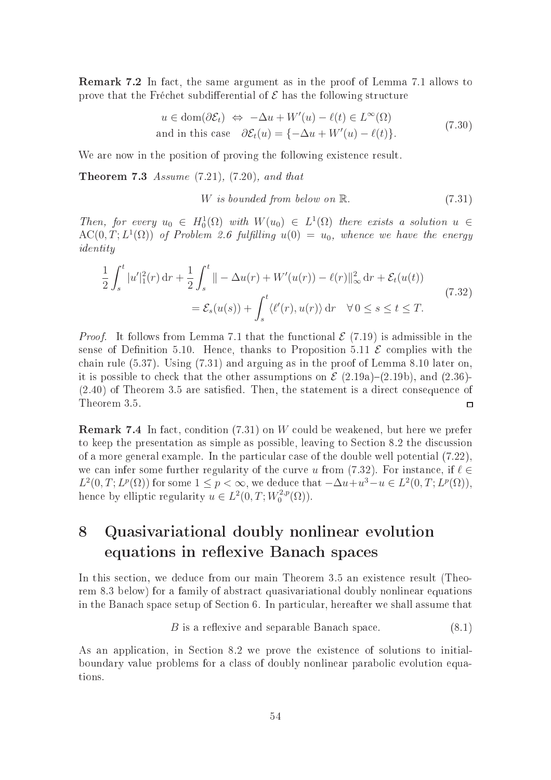**Remark 7.2** In fact, the same argument as in the proof of Lemma 7.1 allows to prove that the Fréchet subdifferential of  $\mathcal E$  has the following structure

$$
u \in \text{dom}(\partial \mathcal{E}_t) \iff -\Delta u + W'(u) - \ell(t) \in L^{\infty}(\Omega)
$$
  
and in this case  $\partial \mathcal{E}_t(u) = \{-\Delta u + W'(u) - \ell(t)\}.$  (7.30)

We are now in the position of proving the following existence result.

**Theorem 7.3** Assume  $(7.21)$ ,  $(7.20)$ , and that

$$
W \text{ is bounded from below on } \mathbb{R}. \tag{7.31}
$$

Then, for every  $u_0 \in H_0^1(\Omega)$  with  $W(u_0) \in L^1(\Omega)$  there exists a solution  $u \in$  $\mathrm{AC}(0,T;L^1(\Omega))$  of Problem 2.6 fulfilling  $u(0) = u_0$ , whence we have the energy identity

$$
\frac{1}{2} \int_{s}^{t} |u'|_{1}^{2}(r) dr + \frac{1}{2} \int_{s}^{t} \left\| -\Delta u(r) + W'(u(r)) - \ell(r) \right\|_{\infty}^{2} dr + \mathcal{E}_{t}(u(t))
$$
\n
$$
= \mathcal{E}_{s}(u(s)) + \int_{s}^{t} \langle \ell'(r), u(r) \rangle dr \quad \forall 0 \le s \le t \le T.
$$
\n(7.32)

*Proof.* It follows from Lemma 7.1 that the functional  $\mathcal{E}(7.19)$  is admissible in the sense of Definition 5.10. Hence, thanks to Proposition 5.11  $\mathcal E$  complies with the chain rule  $(5.37)$ . Using  $(7.31)$  and arguing as in the proof of Lemma 8.10 later on, it is possible to check that the other assumptions on  $\mathcal{E}(2.19a)$ – $(2.19b)$ , and  $(2.36)$ –  $(2.40)$  of Theorem 3.5 are satisfied. Then, the statement is a direct consequence of Theorem 3.5.  $\Box$ 

**Remark 7.4** In fact, condition  $(7.31)$  on W could be weakened, but here we prefer to keep the presentation as simple as possible, leaving to Section 8.2 the discussion of a more general example. In the particular case of the double well potential  $(7.22)$ , we can infer some further regularity of the curve u from  $(7.32)$ . For instance, if  $\ell \in$  $L^2(0,T;L^p(\Omega))$  for some  $1 \leq p < \infty$ , we deduce that  $-\Delta u + u^3 - u \in L^2(0,T;L^p(\Omega)),$ hence by elliptic regularity  $u \in L^2(0,T;W_0^{2,p})$  $\binom{2}{0}$   $\binom{2}{0}$ .

# 8 Quasivariational doubly nonlinear evolution equations in reflexive Banach spaces

In this se
tion, we dedu
e from our main Theorem 3.5 an existen
e result (Theorem 8.3 below) for a family of abstra
t quasivariational doubly nonlinear equations in the Banach space setup of Section 6. In particular, hereafter we shall assume that

$$
B \t{is a reflexive and separable Banach space.} \t(8.1)
$$

As an application, in Section 8.2 we prove the existence of solutions to initialboundary value problems for a lass of doubly nonlinear paraboli evolution equations.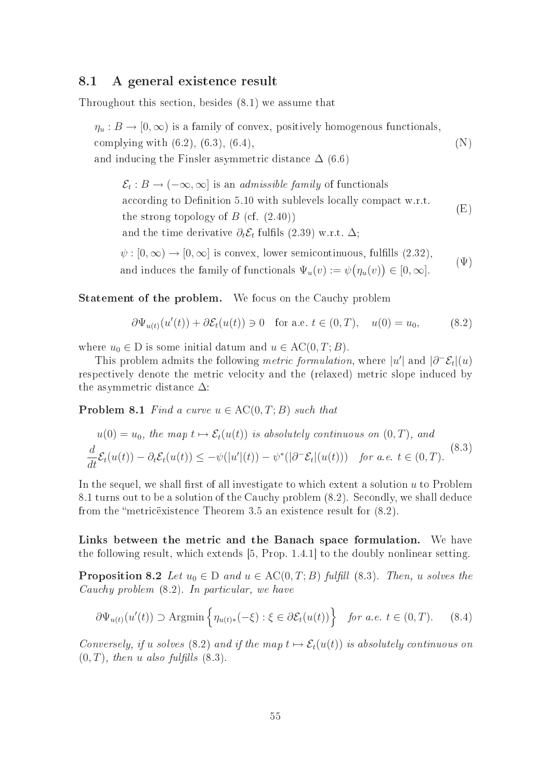### 8.1 A general existen
e result

Throughout this se
tion, besides (8.1) we assume that

 $\eta_u : B \to [0, \infty)$  is a family of convex, positively homogenous functionals, complying with  $(6.2)$ ,  $(6.3)$ ,  $(6.4)$ , and inducing the Finsler asymmetric distance  $\Delta$  (6.6) (N)

 $\mathcal{E}_t : B \to (-\infty, \infty]$  is an *admissible family* of functionals according to Definition 5.10 with sublevels locally compact w.r.t. the strong topology of  $B$  (cf.  $(2.40)$ ) and the time derivative  $\partial_t \mathcal{E}_t$  fulfils (2.39) w.r.t.  $\Delta$ ; (E)  $\psi : [0, \infty) \to [0, \infty]$  is convex, lower semicontinuous, fulfills  $(2.32)$ ,

and induces the family of functionals  $\Psi_u(v) := \psi(\eta_u(v)) \in [0, \infty]$ .  $(\Psi)$ 

**Statement of the problem.** We focus on the Cauchy problem

$$
\partial \Psi_{u(t)}(u'(t)) + \partial \mathcal{E}_t(u(t)) \ni 0 \quad \text{for a.e. } t \in (0, T), \quad u(0) = u_0,\tag{8.2}
$$

where  $u_0 \in D$  is some initial datum and  $u \in AC(0, T; B)$ .

This problem admits the following *metric formulation*, where  $|u'|$  and  $|\partial^-\mathcal{E}_t|(u)$ respectively denote the metric velocity and the (relaxed) metric slope induced by the asymmetric distance  $\Delta$ :

**Problem 8.1** Find a curve  $u \in AC(0, T; B)$  such that

$$
u(0) = u_0, \text{ the map } t \mapsto \mathcal{E}_t(u(t)) \text{ is absolutely continuous on } (0, T), \text{ and}
$$
  

$$
\frac{d}{dt}\mathcal{E}_t(u(t)) - \partial_t \mathcal{E}_t(u(t)) \le -\psi(|u'|(t)) - \psi^*(|\partial^- \mathcal{E}_t|(u(t))) \text{ for a.e. } t \in (0, T). \tag{8.3}
$$

In the sequel, we shall first of all investigate to which extent a solution  $u$  to Problem 8.1 turns out to be a solution of the Cauchy problem  $(8.2)$ . Secondly, we shall deduce from the "metric existence Theorem 3.5 an existence result for  $(8.2)$ .

Links between the metric and the Banach space formulation. We have the following result, which extends  $[5, Prop. 1.4.1]$  to the doubly nonlinear setting.

**Proposition 8.2** Let  $u_0 \in D$  and  $u \in AC(0, T; B)$  fulfill (8.3). Then, u solves the Cauchy problem  $(8.2)$ . In particular, we have

$$
\partial \Psi_{u(t)}(u'(t)) \supset \text{Argmin}\left\{\eta_{u(t)*}(-\xi) : \xi \in \partial \mathcal{E}_t(u(t))\right\} \text{ for a.e. } t \in (0, T). \tag{8.4}
$$

Conversely, if u solves (8.2) and if the map  $t \mapsto \mathcal{E}_t(u(t))$  is absolutely continuous on  $(0, T)$ , then u also fulfills  $(8.3)$ .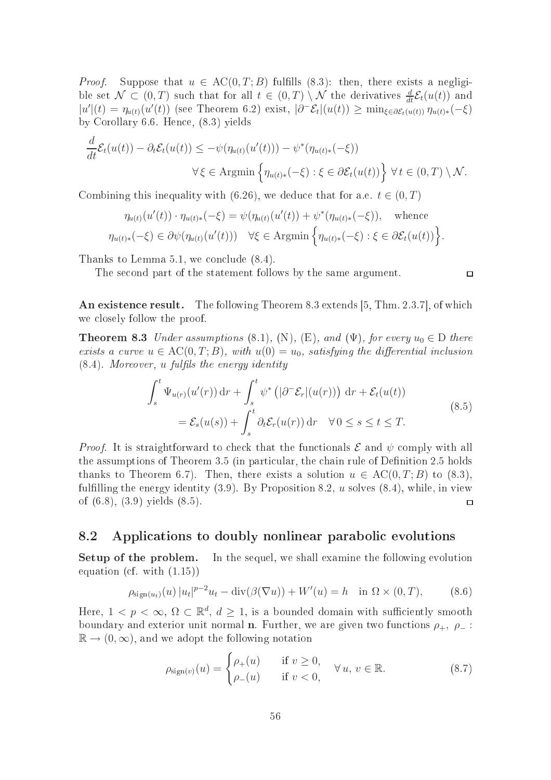*Proof.* Suppose that  $u \in AC(0, T; B)$  fulfills (8.3): then, there exists a negligible set  $\mathcal{N} \subset (0,T)$  such that for all  $t \in (0,T) \setminus \mathcal{N}$  the derivatives  $\frac{d}{dt} \mathcal{E}_t(u(t))$  and  $|u'(t) = \eta_{u(t)}(u'(t))$  (see Theorem 6.2) exist,  $|\partial^-\mathcal{E}_t|(u(t)) \ge \min_{\xi \in \partial \mathcal{E}_t(u(t))} \eta_{u(t)*}(-\xi)$ by Corollary 6.6. Hen
e, (8.3) yields

$$
\frac{d}{dt}\mathcal{E}_t(u(t)) - \partial_t \mathcal{E}_t(u(t)) \leq -\psi(\eta_{u(t)}(u'(t))) - \psi^*(\eta_{u(t)*}(-\xi))
$$
  

$$
\forall \xi \in \text{Argmin}\left\{\eta_{u(t)*}(-\xi) : \xi \in \partial \mathcal{E}_t(u(t))\right\} \forall t \in (0, T) \setminus \mathcal{N}.
$$

Combining this inequality with (6.26), we deduce that for a.e.  $t \in (0, T)$ 

$$
\eta_{u(t)}(u'(t)) \cdot \eta_{u(t)*}(-\xi) = \psi(\eta_{u(t)}(u'(t)) + \psi^*(\eta_{u(t)*}(-\xi)), \text{ whence}
$$
  

$$
\eta_{u(t)*}(-\xi) \in \partial \psi(\eta_{u(t)}(u'(t))) \quad \forall \xi \in \text{Argmin}\left\{\eta_{u(t)*}(-\xi) : \xi \in \partial \mathcal{E}_t(u(t))\right\}.
$$

Thanks to Lemma 5.1, we conclude  $(8.4)$ .

The se
ond part of the statement follows by the same argument.

 $\Box$ 

An existence result. The following Theorem 8.3 extends  $[5, Thm. 2.3.7]$ , of which we losely follow the proof.

**Theorem 8.3** Under assumptions (8.1), (N), (E), and ( $\Psi$ ), for every  $u_0 \in D$  there exists a curve  $u \in AC(0, T; B)$ , with  $u(0) = u_0$ , satisfying the differential inclusion  $(8.4)$ . Moreover, u fulfils the energy identity

$$
\int_{s}^{t} \Psi_{u(r)}(u'(r)) dr + \int_{s}^{t} \psi^* \left( |\partial^{-} \mathcal{E}_r|(u(r)) \right) dr + \mathcal{E}_t(u(t))
$$
\n
$$
= \mathcal{E}_s(u(s)) + \int_{s}^{t} \partial_t \mathcal{E}_r(u(r)) dr \quad \forall 0 \le s \le t \le T.
$$
\n(8.5)

*Proof.* It is straightforward to check that the functionals  $\mathcal E$  and  $\psi$  comply with all the assumptions of Theorem 3.5 (in particular, the chain rule of Definition 2.5 holds thanks to Theorem 6.7). Then, there exists a solution  $u \in AC(0, T; B)$  to (8.3), fulfilling the energy identity  $(3.9)$ . By Proposition 8.2, u solves  $(8.4)$ , while, in view of (6.8), (3.9) yields (8.5).  $\Box$ 

## 8.2 Appli
ations to doubly nonlinear paraboli evolutions

Setup of the problem. In the sequel, we shall examine the following evolution equation (
f. with (1.15))

$$
\rho_{\text{sign}(u_t)}(u) |u_t|^{p-2}u_t - \text{div}(\beta(\nabla u)) + W'(u) = h \quad \text{in } \Omega \times (0, T), \tag{8.6}
$$

Here,  $1 \leq p \leq \infty$ ,  $\Omega \subset \mathbb{R}^d$ ,  $d \geq 1$ , is a bounded domain with sufficiently smooth boundary and exterior unit normal **n**. Further, we are given two functions  $\rho_+$ ,  $\rho_-$ :  $\mathbb{R} \to (0,\infty)$ , and we adopt the following notation

$$
\rho_{\text{sign}(v)}(u) = \begin{cases} \rho_+(u) & \text{if } v \ge 0, \\ \rho_-(u) & \text{if } v < 0, \end{cases} \quad \forall u, v \in \mathbb{R}.\tag{8.7}
$$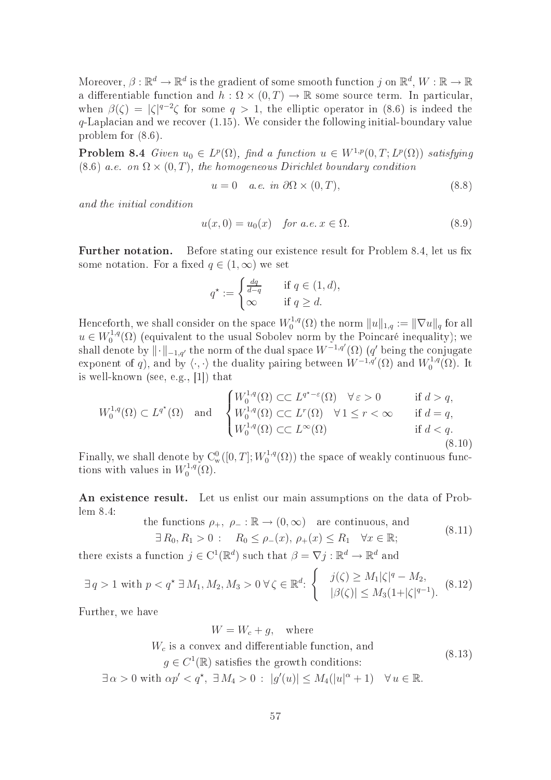Moreover,  $\beta: \mathbb{R}^d \to \mathbb{R}^d$  is the gradient of some smooth function j on  $\mathbb{R}^d$ ,  $W: \mathbb{R} \to \mathbb{R}$ a differentiable function and  $h : \Omega \times (0,T) \to \mathbb{R}$  some source term. In particular, when  $\beta(\zeta) = |\zeta|^{q-2}\zeta$  for some  $q > 1$ , the elliptic operator in (8.6) is indeed the  $q$ -Laplacian and we recover (1.15). We consider the following initial-boundary value problem for (8.6).

**Problem 8.4** Given  $u_0 \in L^p(\Omega)$ , find a function  $u \in W^{1,p}(0,T;L^p(\Omega))$  satisfying  $(8.6)$  a.e. on  $\Omega \times (0,T)$ , the homogeneous Dirichlet boundary condition

$$
u = 0 \quad a.e. \in \partial\Omega \times (0, T), \tag{8.8}
$$

and the initial ondition

$$
u(x,0) = u_0(x) \quad \text{for a.e. } x \in \Omega. \tag{8.9}
$$

**Further notation.** Before stating our existence result for Problem 8.4, let us fix some notation. For a fixed  $q \in (1,\infty)$  we set

$$
q^* := \begin{cases} \frac{dq}{d-q} & \text{if } q \in (1,d), \\ \infty & \text{if } q \ge d. \end{cases}
$$

Henceforth, we shall consider on the space  $W_0^{1,q}$  $\mathbb{C}^{1,q}_0(\Omega)$  the norm  $\|u\|_{1,q} := \|\nabla u\|_q$  for all  $u \in W_0^{1,q}$  $\int_0^{1,q}(\Omega)$  (equivalent to the usual Sobolev norm by the Poincaré inequality); we shall denote by  $\|\cdot\|_{-1,q'}$  the norm of the dual space  $W^{-1,q'}(\Omega)$  (q' being the conjugate exponent of q), and by  $\langle \cdot, \cdot \rangle$  the duality pairing between  $W^{-1,q'}(\Omega)$  and  $W_0^{1,q'}$  $_{0}^{\prime 1,q}(\Omega)$ . It is well-known (see, e.g.,  $[1]$ ) that

$$
W_0^{1,q}(\Omega) \subset L^{q^*}(\Omega) \quad \text{and} \quad \begin{cases} W_0^{1,q}(\Omega) \subset L^{q^*-\varepsilon}(\Omega) & \forall \varepsilon > 0 & \text{if } d > q, \\ W_0^{1,q}(\Omega) \subset \subset L^r(\Omega) & \forall 1 \le r < \infty & \text{if } d = q, \\ W_0^{1,q}(\Omega) \subset \subset L^{\infty}(\Omega) & \text{if } d < q. \end{cases}
$$
(8.10)

Finally, we shall denote by  $C_w^0([0,T];W_0^{1,q}(\Omega))$  the space of weakly continuous func- $\mathcal{O}_0^{1,q}(\Omega)$  the space of weakly continuous functions with values in  $W_0^{1,q}$  $\mathcal{O}^{1,q}(\Omega).$ 

An existen
e result. Let us enlist our main assumptions on the data of Problem 8.4:

the functions 
$$
\rho_+, \ \rho_- : \mathbb{R} \to (0, \infty)
$$
 are continuous, and  
\n $\exists R_0, R_1 > 0 : R_0 \le \rho_-(x), \ \rho_+(x) \le R_1 \quad \forall x \in \mathbb{R};$  (8.11)

there exists a function  $j \in C^1(\mathbb{R}^d)$  such that  $\beta = \nabla j : \mathbb{R}^d \to \mathbb{R}^d$  and

$$
\exists q > 1 \text{ with } p < q^* \exists M_1, M_2, M_3 > 0 \,\forall \zeta \in \mathbb{R}^d: \begin{cases} j(\zeta) \ge M_1 |\zeta|^q - M_2, \\ |\beta(\zeta)| \le M_3(1 + |\zeta|^{q-1}). \end{cases} (8.12)
$$

Further, we have

$$
W = W_c + g, \quad \text{where}
$$
  

$$
W_c \text{ is a convex and differentiable function, and}
$$

 $g \in C^1(\mathbb{R})$  satisfies the growth conditions: (8.13)

 $\exists \alpha > 0 \text{ with } \alpha p' < q^*$ ,  $\exists M_4 > 0 : |g'(u)| \leq M_4(|u|^{\alpha} + 1) \quad \forall u \in \mathbb{R}$ .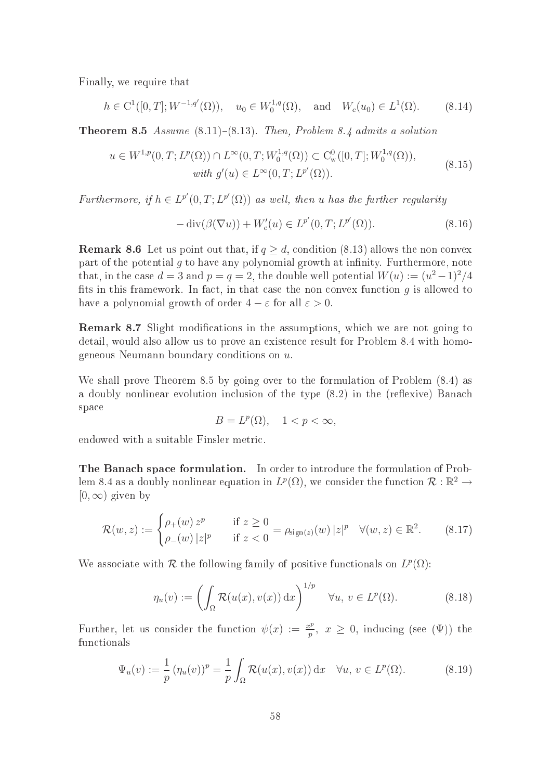Finally, we require that

$$
h \in C^1([0, T]; W^{-1,q'}(\Omega)), \quad u_0 \in W_0^{1,q}(\Omega), \quad \text{and} \quad W_c(u_0) \in L^1(\Omega).
$$
 (8.14)

**Theorem 8.5** Assume  $(8.11)-(8.13)$ . Then, Problem 8.4 admits a solution

$$
u \in W^{1,p}(0,T; L^p(\Omega)) \cap L^{\infty}(0,T; W_0^{1,q}(\Omega)) \subset C^0_w([0,T]; W_0^{1,q}(\Omega)),
$$
  
with  $g'(u) \in L^{\infty}(0,T; L^{p'}(\Omega)).$  (8.15)

Furthermore, if  $h \in L^{p'}(0,T; L^{p'}(\Omega))$  as well, then u has the further regularity

$$
-\operatorname{div}(\beta(\nabla u)) + W_c'(u) \in L^{p'}(0, T; L^{p'}(\Omega)).
$$
\n(8.16)

**Remark 8.6** Let us point out that, if  $q \geq d$ , condition (8.13) allows the non convex part of the potential  $g$  to have any polynomial growth at infinity. Furthermore, note that, in the case  $d = 3$  and  $p = q = 2$ , the double well potential  $W(u) := (u^2 - 1)^2/4$ fits in this framework. In fact, in that case the non convex function  $g$  is allowed to have a polynomial growth of order  $4 - \varepsilon$  for all  $\varepsilon > 0$ .

**Remark 8.7** Slight modifications in the assumptions, which we are not going to detail, would also allow us to prove an existen
e result for Problem 8.4 with homogeneous Neumann boundary conditions on  $u$ .

We shall prove Theorem 8.5 by going over to the formulation of Problem (8.4) as a doubly nonlinear evolution inclusion of the type (8.2) in the (reflexive) Banach spa
e

$$
B = L^p(\Omega), \quad 1 < p < \infty,
$$

endowed with a suitable Finsler metri
.

The Banach space formulation. In order to introduce the formulation of Problem 8.4 as a doubly nonlinear equation in  $L^p(\Omega)$ , we consider the function  $\mathcal{R}: \mathbb{R}^2 \to$  $[0, \infty)$  given by

$$
\mathcal{R}(w, z) := \begin{cases} \rho_+(w) z^p & \text{if } z \ge 0 \\ \rho_-(w) |z|^p & \text{if } z < 0 \end{cases} = \rho_{\text{sign}(z)}(w) |z|^p \quad \forall (w, z) \in \mathbb{R}^2. \tag{8.17}
$$

We associate with  $\mathcal R$  the following family of positive functionals on  $L^p(\Omega)$ :

$$
\eta_u(v) := \left(\int_{\Omega} \mathcal{R}(u(x), v(x)) dx\right)^{1/p} \quad \forall u, v \in L^p(\Omega). \tag{8.18}
$$

Further, let us consider the function  $\psi(x) := \frac{x^p}{n}$  $\frac{p}{p}$ ,  $x \geq 0$ , inducing (see  $(\Psi)$ ) the fun
tionals

$$
\Psi_u(v) := \frac{1}{p} \left( \eta_u(v) \right)^p = \frac{1}{p} \int_{\Omega} \mathcal{R}(u(x), v(x)) \, \mathrm{d}x \quad \forall u, v \in L^p(\Omega). \tag{8.19}
$$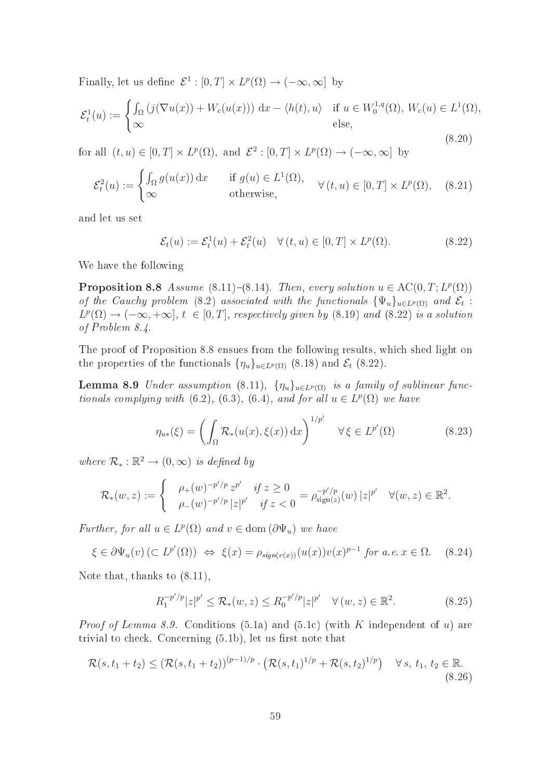Finally, let us define  $\mathcal{E}^1 : [0,T] \times L^p(\Omega) \to (-\infty,\infty]$  by

$$
\mathcal{E}_t^1(u) := \begin{cases} \int_{\Omega} \left( j(\nabla u(x)) + W_c(u(x)) \right) dx - \langle h(t), u \rangle & \text{if } u \in W_0^{1,q}(\Omega), W_c(u) \in L^1(\Omega), \\ \infty & \text{else,} \end{cases}
$$
\n(8.20)

for all  $(t, u) \in [0, T] \times L^p(\Omega)$ , and  $\mathcal{E}^2 : [0, T] \times L^p(\Omega) \to (-\infty, \infty]$  by

$$
\mathcal{E}_t^2(u) := \begin{cases} \int_{\Omega} g(u(x)) dx & \text{if } g(u) \in L^1(\Omega), \\ \infty & \text{otherwise,} \end{cases} \forall (t, u) \in [0, T] \times L^p(\Omega), \quad (8.21)
$$

and let us set

$$
\mathcal{E}_t(u) := \mathcal{E}_t^1(u) + \mathcal{E}_t^2(u) \quad \forall (t, u) \in [0, T] \times L^p(\Omega). \tag{8.22}
$$

We have the following

**Proposition 8.8** Assume (8.11)-(8.14). Then, every solution  $u \in AC(0, T; L^p(\Omega))$ of the Cauchy problem (8.2) associated with the functionals  $\{\Psi_u\}_{u\in L^p(\Omega)}$  and  $\mathcal{E}_t$ :  $L^p(\Omega) \to (-\infty, +\infty], t \in [0, T],$  respectively given by (8.19) and (8.22) is a solution of Problem 8.4.

The proof of Proposition 8.8 ensues from the following results, whi
h shed light on the properties of the functionals  $\{\eta_u\}_{u \in L^p(\Omega)}$  (8.18) and  $\mathcal{E}_t$  (8.22).

**Lemma 8.9** Under assumption (8.11),  $\{\eta_u\}_{u \in L^p(\Omega)}$  is a family of sublinear functionals complying with (6.2), (6.3), (6.4), and for all  $u \in L^p(\Omega)$  we have

$$
\eta_{u*}(\xi) = \left(\int_{\Omega} \mathcal{R}_*(u(x), \xi(x)) dx\right)^{1/p'} \quad \forall \xi \in L^{p'}(\Omega)
$$
\n(8.23)

where  $\mathcal{R}_*: \mathbb{R}^2 \to (0, \infty)$  is defined by

$$
\mathcal{R}_*(w, z) := \begin{cases} \rho_+(w)^{-p'/p} z^{p'} & \text{if } z \ge 0 \\ \rho_-(w)^{-p'/p} |z|^{p'} & \text{if } z < 0 \end{cases} = \rho_{\text{sign}(z)}^{-p'/p}(w) |z|^{p'} \quad \forall (w, z) \in \mathbb{R}^2.
$$

Further, for all  $u \in L^p(\Omega)$  and  $v \in \text{dom}(\partial \Psi_u)$  we have

 $\xi \in \partial \Psi_u(v) (\subset L^{p'}(\Omega)) \Leftrightarrow \xi(x) = \rho_{sign(v(x))}(u(x))v(x)^{p-1}$  for a.e.  $x \in \Omega$ . (8.24)

Note that, thanks to (8.11),

$$
R_1^{-p'/p}|z|^{p'} \le \mathcal{R}_*(w, z) \le R_0^{-p'/p}|z|^{p'} \quad \forall (w, z) \in \mathbb{R}^2.
$$
 (8.25)

*Proof of Lemma 8.9.* Conditions (5.1a) and (5.1c) (with K independent of u) are trivial to check. Concerning  $(5.1b)$ , let us first note that

$$
\mathcal{R}(s, t_1 + t_2) \leq (\mathcal{R}(s, t_1 + t_2))^{(p-1)/p} \cdot (\mathcal{R}(s, t_1)^{1/p} + \mathcal{R}(s, t_2)^{1/p}) \quad \forall s, t_1, t_2 \in \mathbb{R}.
$$
\n(8.26)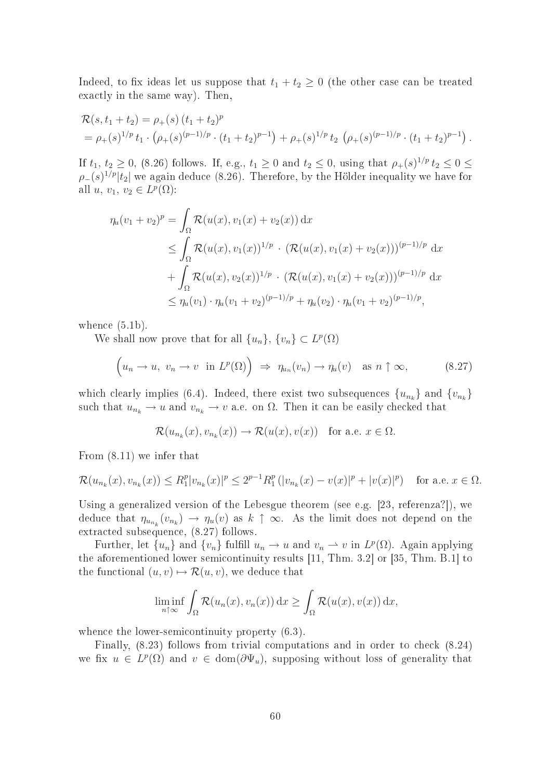Indeed, to fix ideas let us suppose that  $t_1 + t_2 \geq 0$  (the other case can be treated exactly in the same way). Then,

$$
\mathcal{R}(s, t_1 + t_2) = \rho_+(s) (t_1 + t_2)^p
$$
  
=  $\rho_+(s)^{1/p} t_1 \cdot (\rho_+(s)^{(p-1)/p} \cdot (t_1 + t_2)^{p-1}) + \rho_+(s)^{1/p} t_2 (\rho_+(s)^{(p-1)/p} \cdot (t_1 + t_2)^{p-1}).$ 

If  $t_1, t_2 \geq 0$ , (8.26) follows. If, e.g.,  $t_1 \geq 0$  and  $t_2 \leq 0$ , using that  $\rho_+(s)^{1/p} t_2 \leq 0 \leq$  $\rho_-(s)^{1/p}|t_2|$  we again deduce (8.26). Therefore, by the Hölder inequality we have for all  $u, v_1, v_2 \in L^p(\Omega)$ :

$$
\eta_u(v_1 + v_2)^p = \int_{\Omega} \mathcal{R}(u(x), v_1(x) + v_2(x)) dx
$$
  
\n
$$
\leq \int_{\Omega} \mathcal{R}(u(x), v_1(x))^{1/p} \cdot (\mathcal{R}(u(x), v_1(x) + v_2(x)))^{(p-1)/p} dx
$$
  
\n
$$
+ \int_{\Omega} \mathcal{R}(u(x), v_2(x))^{1/p} \cdot (\mathcal{R}(u(x), v_1(x) + v_2(x)))^{(p-1)/p} dx
$$
  
\n
$$
\leq \eta_u(v_1) \cdot \eta_u(v_1 + v_2)^{(p-1)/p} + \eta_u(v_2) \cdot \eta_u(v_1 + v_2)^{(p-1)/p},
$$

whence  $(5.1b)$ .

We shall now prove that for all  $\{u_n\}$ ,  $\{v_n\} \subset L^p(\Omega)$ 

$$
\left(u_n \to u, \ v_n \to v \ \text{in} \ L^p(\Omega)\right) \ \Rightarrow \ \eta_{u_n}(v_n) \to \eta_u(v) \quad \text{as} \ n \uparrow \infty,
$$
 (8.27)

which clearly implies (6.4). Indeed, there exist two subsequences  $\{u_{n_k}\}\$  and  $\{v_{n_k}\}\$ such that  $u_{n_k} \to u$  and  $v_{n_k} \to v$  a.e. on  $\Omega$ . Then it can be easily checked that

$$
\mathcal{R}(u_{n_k}(x), v_{n_k}(x)) \to \mathcal{R}(u(x), v(x))
$$
 for a.e.  $x \in \Omega$ .

From (8.11) we infer that

$$
\mathcal{R}(u_{n_k}(x), v_{n_k}(x)) \le R_1^p |v_{n_k}(x)|^p \le 2^{p-1} R_1^p (|v_{n_k}(x) - v(x)|^p + |v(x)|^p) \quad \text{for a.e. } x \in \Omega.
$$

Using a generalized version of the Lebesgue theorem (see e.g.  $[23, \text{ referenza}!]$ ), we deduce that  $\eta_{u_{n_k}}(v_{n_k}) \to \eta_u(v)$  as  $k \uparrow \infty$ . As the limit does not depend on the extracted subsequence, (8.27) follows.

Further, let  $\{u_n\}$  and  $\{v_n\}$  fulfill  $u_n \to u$  and  $v_n \to v$  in  $L^p(\Omega)$ . Again applying the aforementioned lower semicontinuity results  $[11, Thm. 3.2]$  or  $[35, Thm. B.1]$  to the functional  $(u, v) \mapsto \mathcal{R}(u, v)$ , we deduce that

$$
\liminf_{n \uparrow \infty} \int_{\Omega} \mathcal{R}(u_n(x), v_n(x)) \, dx \ge \int_{\Omega} \mathcal{R}(u(x), v(x)) \, dx,
$$

whence the lower-semicontinuity property  $(6.3)$ .

Finally,  $(8.23)$  follows from trivial computations and in order to check  $(8.24)$ we fix  $u \in L^p(\Omega)$  and  $v \in \text{dom}(\partial \Psi_u)$ , supposing without loss of generality that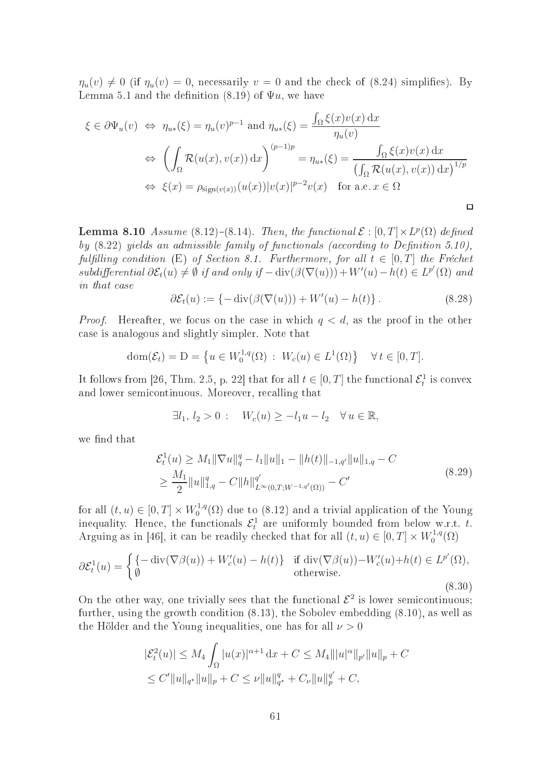$\eta_u(v) \neq 0$  (if  $\eta_u(v) = 0$ , necessarily  $v = 0$  and the check of (8.24) simplifies). By Lemma 5.1 and the definition (8.19) of  $\Psi u$ , we have

$$
\xi \in \partial \Psi_u(v) \iff \eta_{u*}(\xi) = \eta_u(v)^{p-1} \text{ and } \eta_{u*}(\xi) = \frac{\int_{\Omega} \xi(x)v(x) dx}{\eta_u(v)}
$$

$$
\iff \left(\int_{\Omega} \mathcal{R}(u(x), v(x)) dx\right)^{(p-1)p} = \eta_{u*}(\xi) = \frac{\int_{\Omega} \xi(x)v(x) dx}{(\int_{\Omega} \mathcal{R}(u(x), v(x)) dx)^{1/p}}
$$

$$
\iff \xi(x) = \rho_{\text{sign}(v(x))}(u(x))|v(x)|^{p-2}v(x) \text{ for a.e. } x \in \Omega
$$

**Lemma 8.10** Assume (8.12)-(8.14). Then, the functional  $\mathcal{E} : [0, T] \times L^p(\Omega)$  defined by  $(8.22)$  yields an admissible family of functionals (according to Definition 5.10), fulfilling condition (E) of Section 8.1. Furthermore, for all  $t \in [0, T]$  the Fréchet  $subdifferential \,\partial \mathcal{E}_t(u) \neq \emptyset$  if and only if  $-\text{div}(\beta(\nabla(u))) + W'(u) - h(t) \in L^{p'}(\Omega)$  and in that case

$$
\partial \mathcal{E}_t(u) := \{-\operatorname{div}(\beta(\nabla(u))) + W'(u) - h(t)\}.
$$
\n(8.28)

*Proof.* Hereafter, we focus on the case in which  $q < d$ , as the proof in the other ase is analogous and slightly simpler. Note that

$$
dom(\mathcal{E}_t) = D = \left\{ u \in W_0^{1,q}(\Omega) : W_c(u) \in L^1(\Omega) \right\} \quad \forall t \in [0, T].
$$

It follows from [26, Thm. 2.5, p. 22] that for all  $t \in [0, T]$  the functional  $\mathcal{E}_t^1$  is convex and lower semi
ontinuous. Moreover, re
alling that

$$
\exists l_1, l_2 > 0: \quad W_c(u) \ge -l_1 u - l_2 \quad \forall u \in \mathbb{R},
$$

we find that

$$
\mathcal{E}_t^1(u) \ge M_1 \|\nabla u\|_q^q - l_1 \|u\|_1 - \|h(t)\|_{-1,q'} \|u\|_{1,q} - C
$$
  
\n
$$
\ge \frac{M_1}{2} \|u\|_{1,q}^q - C \|h\|_{L^\infty(0,T;W^{-1,q'}(\Omega))}^q - C'
$$
\n(8.29)

for all  $(t, u) \in [0, T] \times W_0^{1,q}$  $\chi_0^{1,q}(\Omega)$  due to (8.12) and a trivial application of the Young inequality. Hence, the functionals  $\mathcal{E}_t^1$  are uniformly bounded from below w.r.t. t. Arguing as in [46], it can be readily checked that for all  $(t, u) \in [0, T] \times W_0^{1,q}$  $\zeta_0^{1,q}(\Omega)$ 

$$
\partial \mathcal{E}_t^1(u) = \begin{cases} \{-\operatorname{div}(\nabla \beta(u)) + W_c'(u) - h(t)\} & \text{if } \operatorname{div}(\nabla \beta(u)) - W_c'(u) + h(t) \in L^{p'}(\Omega), \\ \emptyset & \text{otherwise.} \end{cases}
$$
\n(8.30)

On the other way, one trivially sees that the functional  $\mathcal{E}^2$  is lower semicontinuous; further, using the growth condition (8.13), the Sobolev embedding (8.10), as well as the Hölder and the Young inequalities, one has for all  $\nu > 0$ 

$$
|\mathcal{E}_t^2(u)| \le M_4 \int_{\Omega} |u(x)|^{\alpha+1} dx + C \le M_4 |||u|^{\alpha} ||_{p'} ||u||_p + C
$$
  

$$
\le C'||u||_{q^*} ||u||_p + C \le \nu ||u||_{q^*}^q + C_{\nu} ||u||_p^q + C,
$$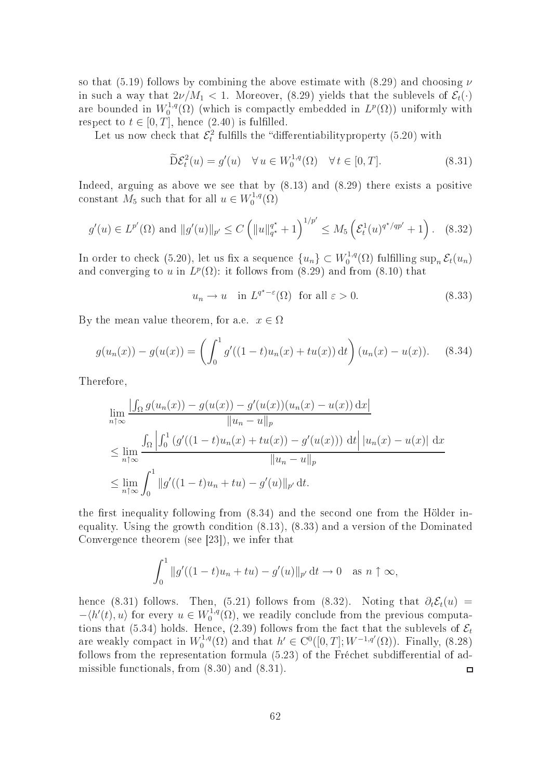so that (5.19) follows by combining the above estimate with  $(8.29)$  and choosing  $\nu$ in such a way that  $2\nu/M_1 < 1$ . Moreover, (8.29) yields that the sublevels of  $\mathcal{E}_t(\cdot)$ are bounded in  $W_0^{1,q}$  $L^{1,q}(\Omega)$  (which is compactly embedded in  $L^p(\Omega)$ ) uniformly with respect to  $t \in [0, T]$ , hence  $(2.40)$  is fulfilled.

Let us now check that  $\mathcal{E}_t^2$  fulfills the "differentiability property (5.20) with

$$
\widetilde{\mathcal{D}}\mathcal{E}_t^2(u) = g'(u) \quad \forall \, u \in W_0^{1,q}(\Omega) \quad \forall \, t \in [0, T]. \tag{8.31}
$$

Indeed, arguing as above we see that by (8.13) and (8.29) there exists a positive constant  $M_5$  such that for all  $u \in W_0^{1,q}$  $\zeta_0^{1,q}(\Omega)$ 

$$
g'(u) \in L^{p'}(\Omega) \text{ and } ||g'(u)||_{p'} \le C \left( ||u||_{q^*}^{q^*} + 1 \right)^{1/p'} \le M_5 \left( \mathcal{E}_t^1(u)^{q^*/qp'} + 1 \right). \tag{8.32}
$$

In order to check (5.20), let us fix a sequence  $\{u_n\} \subset W_0^{1,q}$  $\mathcal{E}_0^{1,q}(\Omega)$  fulfilling sup<sub>n</sub>  $\mathcal{E}_t(u_n)$ and converging to u in  $L^p(\Omega)$ : it follows from (8.29) and from (8.10) that

$$
u_n \to u \quad \text{in } L^{q^*-\varepsilon}(\Omega) \quad \text{for all } \varepsilon > 0. \tag{8.33}
$$

By the mean value theorem, for a.e.  $x \in \Omega$ 

$$
g(u_n(x)) - g(u(x)) = \left(\int_0^1 g'((1-t)u_n(x) + tu(x)) dt\right) (u_n(x) - u(x)). \quad (8.34)
$$

Therefore,

$$
\lim_{n \uparrow \infty} \frac{\left| \int_{\Omega} g(u_n(x)) - g(u(x)) - g'(u(x))(u_n(x) - u(x)) \, dx \right|}{\|u_n - u\|_p}
$$
\n
$$
\leq \lim_{n \uparrow \infty} \frac{\int_{\Omega} \left| \int_0^1 (g'((1-t)u_n(x) + tu(x)) - g'(u(x))) \, dt \right| |u_n(x) - u(x)| \, dx}{\|u_n - u\|_p}
$$
\n
$$
\leq \lim_{n \uparrow \infty} \int_0^1 \|g'((1-t)u_n + tu) - g'(u)\|_{p'} \, dt.
$$

the first inequality following from  $(8.34)$  and the second one from the Hölder inequality. Using the growth ondition (8.13), (8.33) and a version of the Dominated Convergence theorem (see  $[23]$ ), we infer that

$$
\int_0^1 \|g'((1-t)u_n+tu)-g'(u)\|_{p'} dt \to 0 \quad \text{as } n \uparrow \infty,
$$

hence (8.31) follows. Then, (5.21) follows from (8.32). Noting that  $\partial_t \mathcal{E}_t(u)$  =  $-\langle h'(t), u \rangle$  for every  $u \in W_0^{1,q}$  $\int_0^{1,q}(\Omega)$ , we readily conclude from the previous computations that (5.34) holds. Hence, (2.39) follows from the fact that the sublevels of  $\mathcal{E}_t$  $C_0^{1,q}(\Omega)$  and that  $h' \in C^0([0,T];W^{-1,q'}(\Omega))$ . Finally,  $(8.28)$ are weakly compact in  $W_0^{1,q}$ follows from the representation formula  $(5.23)$  of the Fréchet subdifferential of admissible fun
tionals, from (8.30) and (8.31).  $\Box$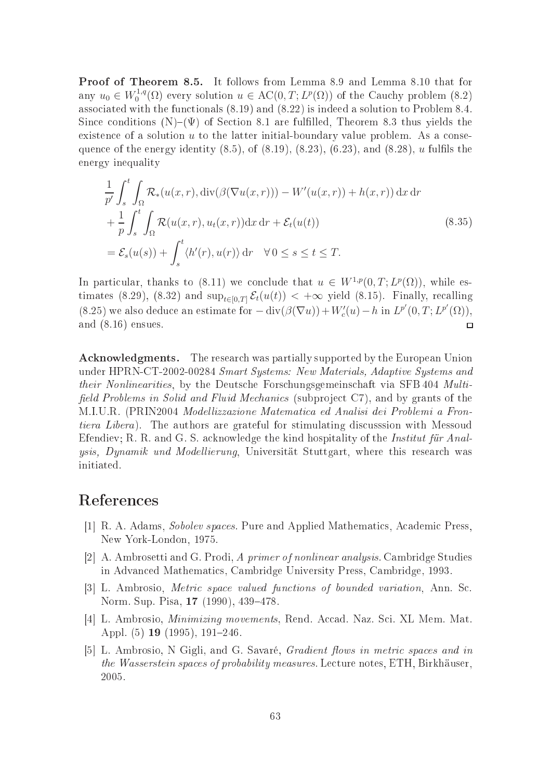Proof of Theorem 8.5. It follows from Lemma 8.9 and Lemma 8.10 that for any  $u_0 \in W_0^{1,q}$  $\chi_0^{1,q}(\Omega)$  every solution  $u \in \mathrm{AC}(0,T; L^p(\Omega))$  of the Cauchy problem (8.2) associated with the functionals  $(8.19)$  and  $(8.22)$  is indeed a solution to Problem 8.4. Since conditions  $(N)$ – $(\Psi)$  of Section 8.1 are fulfilled, Theorem 8.3 thus yields the existence of a solution  $u$  to the latter initial-boundary value problem. As a consequence of the energy identity  $(8.5)$ , of  $(8.19)$ ,  $(8.23)$ ,  $(6.23)$ , and  $(8.28)$ , u fulfils the energy inequality

$$
\frac{1}{p'} \int_{s}^{t} \int_{\Omega} \mathcal{R}_{*}(u(x,r), \operatorname{div}(\beta(\nabla u(x,r))) - W'(u(x,r)) + h(x,r)) \, dx \, dr \n+ \frac{1}{p} \int_{s}^{t} \int_{\Omega} \mathcal{R}(u(x,r), u_{t}(x,r)) \, dx \, dr + \mathcal{E}_{t}(u(t)) \n= \mathcal{E}_{s}(u(s)) + \int_{s}^{t} \langle h'(r), u(r) \rangle \, dr \quad \forall \, 0 \le s \le t \le T.
$$
\n(8.35)

In particular, thanks to (8.11) we conclude that  $u \in W^{1,p}(0,T;L^p(\Omega))$ , while estimates (8.29), (8.32) and  $\sup_{t\in[0,T]}\mathcal{E}_t(u(t)) < +\infty$  yield (8.15). Finally, recalling (8.25) we also deduce an estimate for  $-\text{div}(\beta(\nabla u)) + W'_c(u) - h$  in  $L^{p'}(0,T; L^{p'}(\Omega))$ , and (8.16) ensues.  $\Box$ 

Acknowledgments. The research was partially supported by the European Union under HPRN-CT-2002-00284 Smart Systems: New Materials, Adaptive Systems and their Nonlinearities, by the Deutsche Forschungsgemeinschaft via SFB 404 Multifield Problems in Solid and Fluid Mechanics (subproject C7), and by grants of the M.I.U.R. (PRIN2004 Modellizzazione Matematica ed Analisi dei Problemi a Frontiera Libera). The authors are grateful for stimulating discussion with Messoud Efendiev; R. R. and G. S. acknowledge the kind hospitality of the *Institut für Anal*ysis, Dynamik und Modellierung, Universität Stuttgart, where this research was initiated.

## Referen
es

- [1] R. A. Adams, *Sobolev spaces*. Pure and Applied Mathematics, Academic Press. New York-London, 1975.
- [2] A. Ambrosetti and G. Prodi, A primer of nonlinear analysis. Cambridge Studies in Advan
ed Mathemati
s, Cambridge University Press, Cambridge, 1993.
- [3] L. Ambrosio, *Metric space valued functions of bounded variation*, Ann. Sc. Norm. Sup. Pisa, 17 (1990), 439–478.
- [4] L. Ambrosio, *Minimizing movements*, Rend. Accad. Naz. Sci. XL Mem. Mat. Appl. (5) **19** (1995), 191-246.
- [5] L. Ambrosio, N Gigli, and G. Savaré, *Gradient flows in metric spaces and in* the Wasserstein spaces of probability measures. Lecture notes, ETH, Birkhäuser 2005.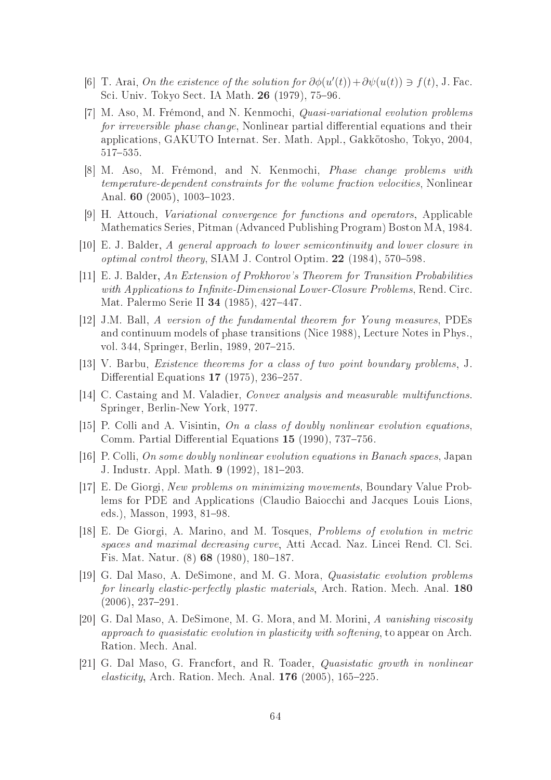- [6] T. Arai, On the existence of the solution for  $\partial \phi(u'(t)) + \partial \psi(u(t)) \ni f(t)$ , J. Fac. Sci. Univ. Tokyo Sect. IA Math. 26 (1979), 75–96.
- [7] M. Aso, M. Frémond, and N. Kenmochi, *Quasi-variational evolution problems* for irreversible phase change, Nonlinear partial differential equations and their applications, GAKUTO Internat. Ser. Math. Appl., Gakkotosho, Tokyo, 2004, 517-535.
- [8] M. Aso, M. Frémond, and N. Kenmochi, *Phase change problems with* temperature-dependent constraints for the volume fraction velocities, Nonlinear Anal. 60  $(2005)$ , 1003-1023.
- [9] H. Attouch, Variational convergence for functions and operators, Applicable Mathemati
s Series, Pitman (Advan
ed Publishing Program) Boston MA, 1984.
- $[10]$  E. J. Balder, A general approach to lower semicontinuity and lower closure in optimal control theory, SIAM J. Control Optim.  $22$  (1984), 570–598.
- $[11]$  E. J. Balder, An Extension of Prokhorov's Theorem for Transition Probabilities with Applications to Infinite-Dimensional Lower-Closure Problems, Rend. Circ. Mat. Palermo Serie II 34 (1985), 427-447.
- [12] J.M. Ball, A version of the fundamental theorem for Young measures, PDEs and ontinuum models of phase transitions (Ni
e 1988), Le
ture Notes in Phys., vol. 344, Springer, Berlin, 1989, 207-215.
- [13] V. Barbu, *Existence theorems for a class of two point boundary problems*, J. Differential Equations  $17$  (1975), 236–257.
- [14] C. Castaing and M. Valadier, *Convex analysis and measurable multifunctions*. Springer, Berlin-New York, 1977.
- [15] P. Colli and A. Visintin, On a class of doubly nonlinear evolution equations, Comm. Partial Differential Equations  $15$  (1990), 737-756.
- $[16]$  P. Colli, On some doubly nonlinear evolution equations in Banach spaces, Japan J. Industr. Appl. Math. 9 (1992), 181–203.
- [17] E. De Giorgi, New problems on minimizing movements, Boundary Value Problems for PDE and Applications (Claudio Baiocchi and Jacques Louis Lions, eds.), Masson, 1993, 81-98.
- [18] E. De Giorgi, A. Marino, and M. Tosques, *Problems of evolution in metric* spaces and maximal decreasing curve, Atti Accad. Naz. Lincei Rend. Cl. Sci. Fis. Mat. Natur. (8) 68 (1980), 180-187.
- [19] G. Dal Maso, A. DeSimone, and M. G. Mora, *Quasistatic evolution problems* for linearly elastic-perfectly plastic materials, Arch. Ration. Mech. Anal. 180  $(2006), 237-291.$
- [20] G. Dal Maso, A. DeSimone, M. G. Mora, and M. Morini, A vanishing viscosity approach to quasistatic evolution in plasticity with softening, to appear on Arch. Ration. Me
h. Anal.
- [21] G. Dal Maso, G. Francfort, and R. Toader, Quasistatic growth in nonlinear *elasticity*, Arch. Ration. Mech. Anal. **176** (2005),  $165-225$ .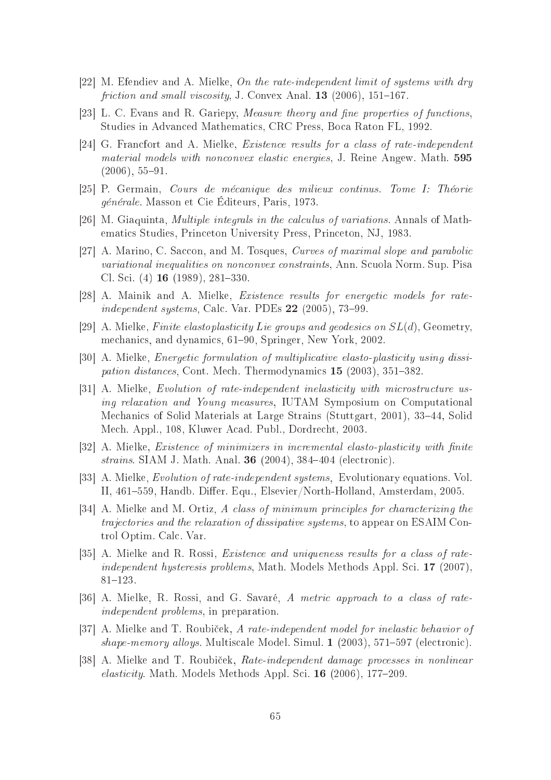- [22] M. Efendiev and A. Mielke, On the rate-independent limit of systems with dry friction and small viscosity, J. Convex Anal.  $13$  (2006), 151–167.
- [23] L. C. Evans and R. Gariepy, *Measure theory and fine properties of functions*, Studies in Advan
ed Mathemati
s, CRC Press, Bo
a Raton FL, 1992.
- [24] G. Francfort and A. Mielke, *Existence results for a class of rate-independent* material models with nonconvex elastic energies, J. Reine Angew. Math. 595  $(2006), 55 - 91.$
- [25] P. Germain, *Cours de mécanique des milieux continus. Tome I: Théorie* générale. Masson et Cie Éditeurs, Paris, 1973.
- [26] M. Giaquinta, *Multiple integrals in the calculus of variations*. Annals of Mathemati
s Studies, Prin
eton University Press, Prin
eton, NJ, 1983.
- [27] A. Marino, C. Saccon, and M. Tosques, *Curves of maximal slope and parabolic* variational inequalities on nonconvex constraints, Ann. Scuola Norm. Sup. Pisa Cl. Sci.  $(4)$  **16** (1989), 281–330.
- [28] A. Mainik and A. Mielke, *Existence results for energetic models for rate*independent systems, Calc. Var. PDEs  $22$  (2005), 73–99.
- [29] A. Mielke, Finite elastoplasticity Lie groups and geodesics on  $SL(d)$ , Geometry, mechanics, and dynamics, 61–90, Springer, New York, 2002.
- [30] A. Mielke, *Energetic formulation of multiplicative elasto-plasticity using dissi*pation distances, Cont. Mech. Thermodynamics 15 (2003), 351–382.
- [31] A. Mielke, Evolution of rate-independent inelasticity with microstructure using relaxation and Young measures, IUTAM Symposium on Computational Mechanics of Solid Materials at Large Strains (Stuttgart, 2001), 33–44, Solid Mech. Appl., 108, Kluwer Acad. Publ., Dordrecht, 2003.
- [32] A. Mielke, *Existence of minimizers in incremental elasto-plasticity with finite* strains. SIAM J. Math. Anal. 36  $(2004)$ , 384-404 (electronic).
- [33] A. Mielke, *Evolution of rate-independent systems*, Evolutionary equations. Vol. II, 461–559, Handb. Differ. Equ., Elsevier/North-Holland, Amsterdam, 2005.
- [34] A. Mielke and M. Ortiz, A class of minimum principles for characterizing the traje
tories and the relaxation of dissipative systems, to appear on ESAIM Control Optim. Cal
. Var.
- [35] A. Mielke and R. Rossi, *Existence and uniqueness results for a class of rate*independent hysteresis problems, Math. Models Methods Appl. Sci. 17 (2007),  $81 - 123.$
- [36] A. Mielke, R. Rossi, and G. Savaré, A metric approach to a class of rateindependent problems, in preparation.
- [37] A. Mielke and T. Roubiček, A rate-independent model for inelastic behavior of shape-memory alloys. Multiscale Model. Simul. 1 (2003), 571-597 (electronic).
- [38] A. Mielke and T. Roubiček, *Rate-independent damage processes in nonlinear*  $elasticity$ . Math. Models Methods Appl. Sci. 16 (2006), 177–209.